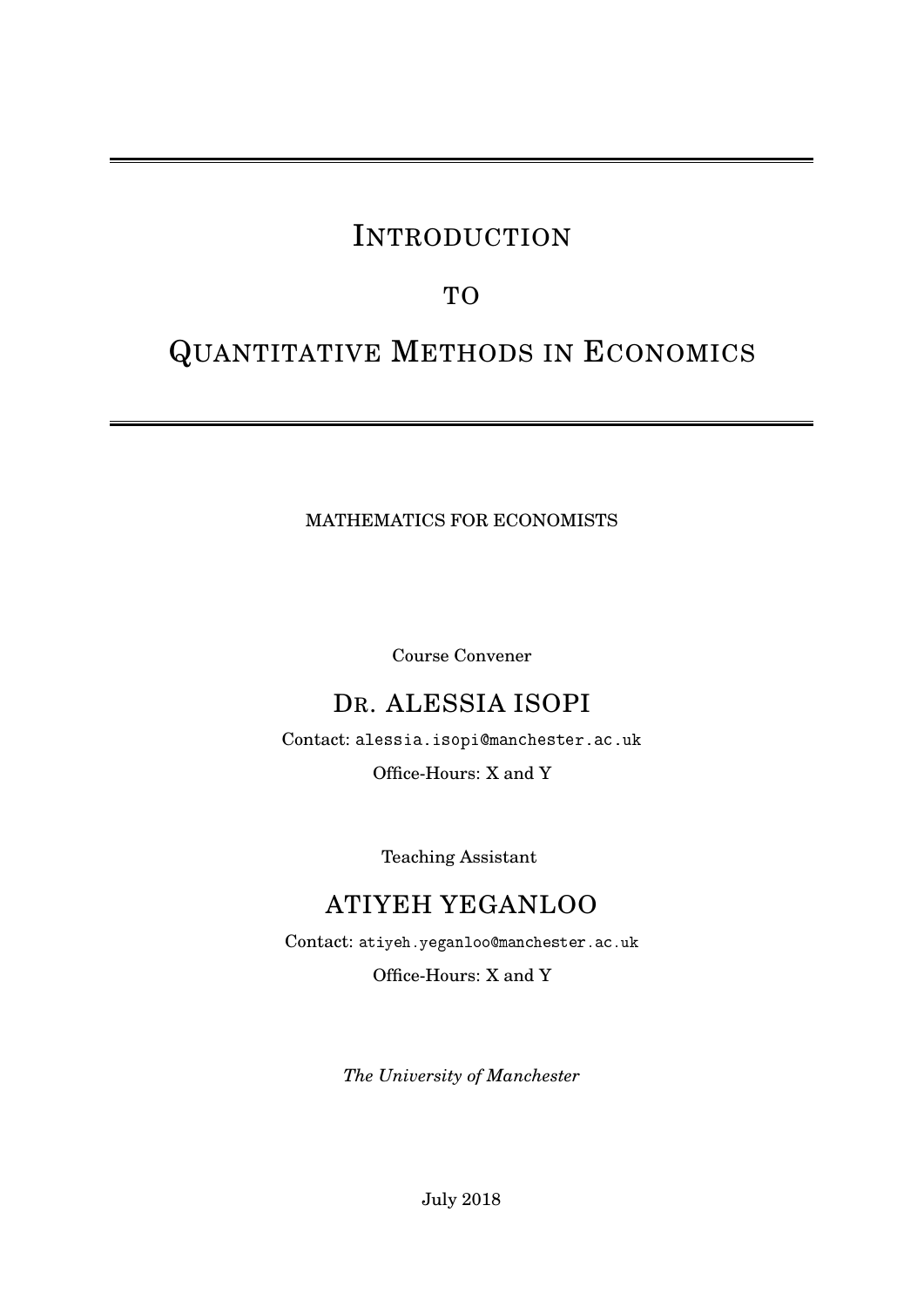# INTRODUCTION

# TO

# QUANTITATIVE METHODS IN ECONOMICS

MATHEMATICS FOR ECONOMISTS

Course Convener

# DR. ALESSIA ISOPI

Contact: <alessia.isopi@manchester.ac.uk>

Office-Hours: X and Y

Teaching Assistant

# ATIYEH YEGANLOO

Contact: <atiyeh.yeganloo@manchester.ac.uk>

Office-Hours: X and Y

*The University of Manchester*

July 2018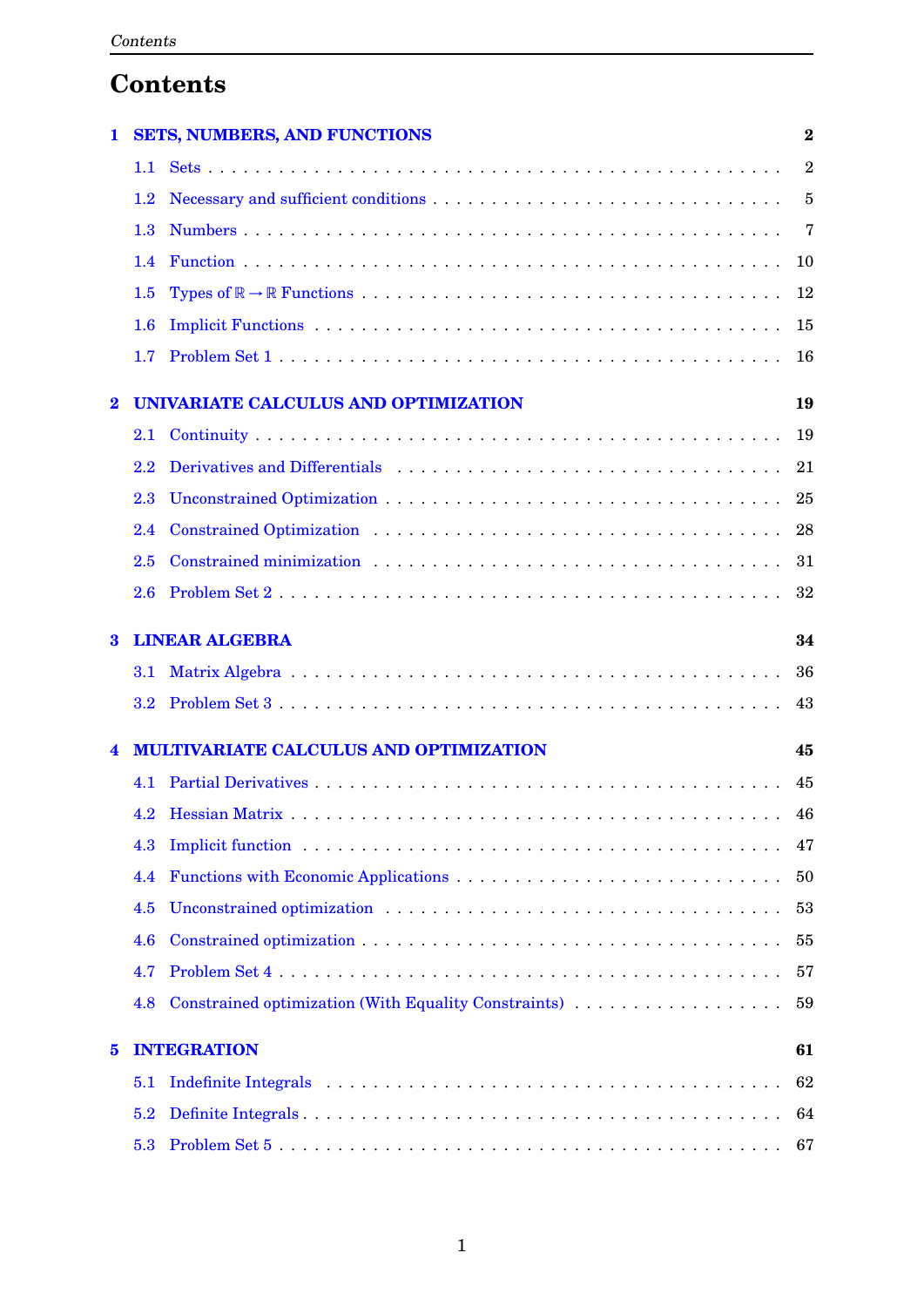# **Contents**

| 1                |         | <b>SETS, NUMBERS, AND FUNCTIONS</b>                                                                                                                                                                                            | $\overline{\mathbf{2}}$ |
|------------------|---------|--------------------------------------------------------------------------------------------------------------------------------------------------------------------------------------------------------------------------------|-------------------------|
|                  | $1.1 -$ |                                                                                                                                                                                                                                | $\overline{2}$          |
|                  | 1.2     |                                                                                                                                                                                                                                | $\overline{5}$          |
|                  | 1.3     |                                                                                                                                                                                                                                | 7                       |
|                  | 1.4     |                                                                                                                                                                                                                                | 10                      |
|                  | 1.5     |                                                                                                                                                                                                                                | 12                      |
|                  | $1.6\,$ |                                                                                                                                                                                                                                | 15                      |
|                  | 1.7     |                                                                                                                                                                                                                                | 16                      |
| $\boldsymbol{2}$ |         | UNIVARIATE CALCULUS AND OPTIMIZATION                                                                                                                                                                                           | 19                      |
|                  | 2.1     |                                                                                                                                                                                                                                | 19                      |
|                  | 2.2     | Derivatives and Differentials enterprise in the set of the set of the set of the set of the set of the set of the set of the set of the set of the set of the set of the set of the set of the set of the set of the set of th | 21                      |
|                  | 2.3     |                                                                                                                                                                                                                                | 25                      |
|                  | 2.4     |                                                                                                                                                                                                                                | 28                      |
|                  | 2.5     |                                                                                                                                                                                                                                | 31                      |
|                  | 2.6     |                                                                                                                                                                                                                                | 32                      |
| 3                |         | <b>LINEAR ALGEBRA</b>                                                                                                                                                                                                          | 34                      |
|                  | 3.1     |                                                                                                                                                                                                                                | 36                      |
|                  | 3.2     |                                                                                                                                                                                                                                | 43                      |
| 4                |         | MULTIVARIATE CALCULUS AND OPTIMIZATION                                                                                                                                                                                         | 45                      |
|                  | 4.1     |                                                                                                                                                                                                                                | 45                      |
|                  |         |                                                                                                                                                                                                                                | 46                      |
|                  | 4.3     |                                                                                                                                                                                                                                | 47                      |
|                  | 4.4     |                                                                                                                                                                                                                                | 50                      |
|                  | 4.5     |                                                                                                                                                                                                                                | 53                      |
|                  | 4.6     |                                                                                                                                                                                                                                | 55                      |
|                  | 4.7     |                                                                                                                                                                                                                                | 57                      |
|                  | 4.8     |                                                                                                                                                                                                                                | 59                      |
|                  |         |                                                                                                                                                                                                                                |                         |
| 5                |         | <b>INTEGRATION</b>                                                                                                                                                                                                             | 61                      |
|                  | 5.1     |                                                                                                                                                                                                                                | 62                      |
|                  | 5.2     |                                                                                                                                                                                                                                | 64                      |
|                  | 5.3     | Problem Set 5                                                                                                                                                                                                                  | 67                      |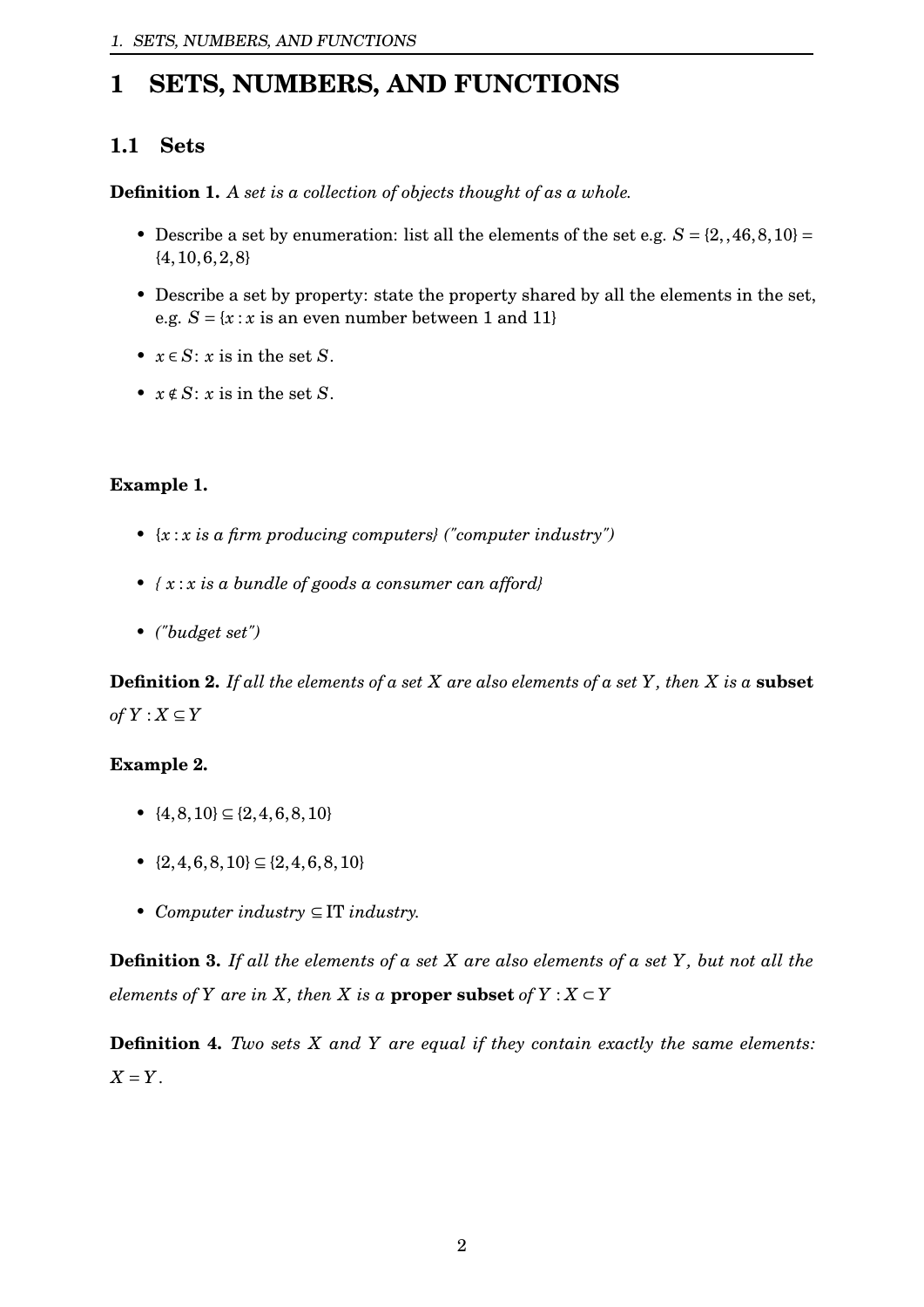# <span id="page-2-0"></span>**1 SETS, NUMBERS, AND FUNCTIONS**

# <span id="page-2-1"></span>**1.1 Sets**

**Definition 1.** *A set is a collection of objects thought of as a whole.*

- Describe a set by enumeration: list all the elements of the set e.g.  $S = \{2, 46, 8, 10\}$  $\{4, 10, 6, 2, 8\}$
- Describe a set by property: state the property shared by all the elements in the set, e.g.  $S = \{x : x \text{ is an even number between 1 and 11}\}$
- $x \in S$ : *x* is in the set *S*.
- $x \notin S$ : *x* is in the set *S*.

## **Example 1.**

- *•* {*x* : *x is a firm producing computers} ("computer industry")*
- *• { x* : *x is a bundle of goods a consumer can afford}*
- *• ("budget set")*

**Definition 2.** *If all the elements of a set X are also elements of a set Y, then X is a* **subset**  $of Y: X ⊆ Y$ 

## **Example 2.**

- *•* {4,8,10} ⊆ {2,4,6,8,10}
- *•* {2,4,6,8,10} ⊆ {2,4,6,8,10}
- *• Computer industry* ⊆ IT *industry.*

**Definition 3.** *If all the elements of a set X are also elements of a set Y, but not all the elements of Y are in X, then X is a* **proper subset** *of*  $Y : X \subset Y$ 

**Definition 4.** *Two sets X and Y are equal if they contain exactly the same elements: X* = *Y*.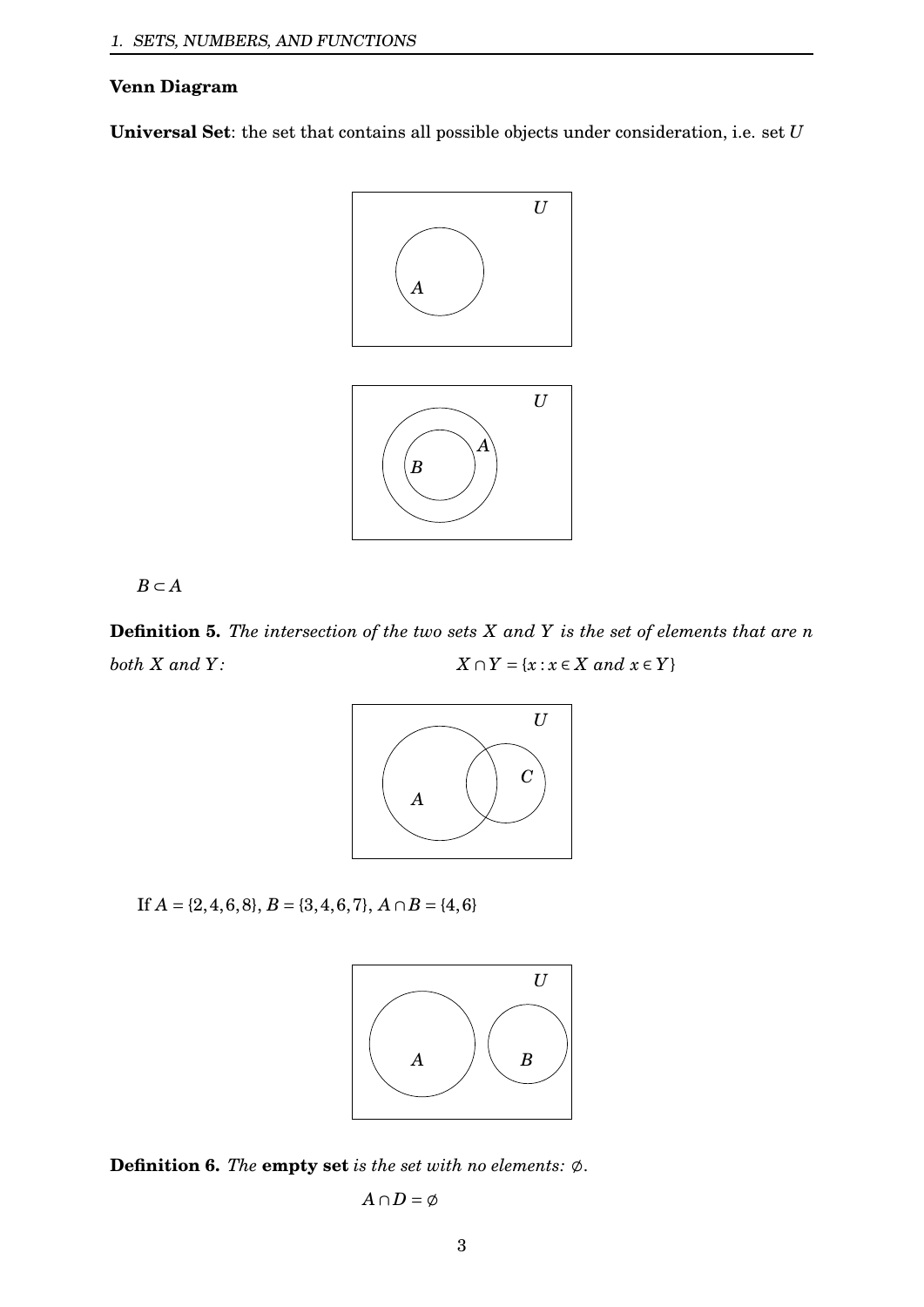#### **Venn Diagram**

**Universal Set**: the set that contains all possible objects under consideration, i.e. set *U*



*B* ⊂ *A*

**Definition 5.** *The intersection of the two sets X and Y is the set of elements that are n both X and Y*:  $X \cap Y = \{x : x \in X \text{ and } x \in Y\}$ 



If  $A = \{2, 4, 6, 8\}, B = \{3, 4, 6, 7\}, A \cap B = \{4, 6\}$ 



**Definition 6.** *The* **empty set** *is the set with no elements:*  $\emptyset$ .

$$
A\cap D=\emptyset
$$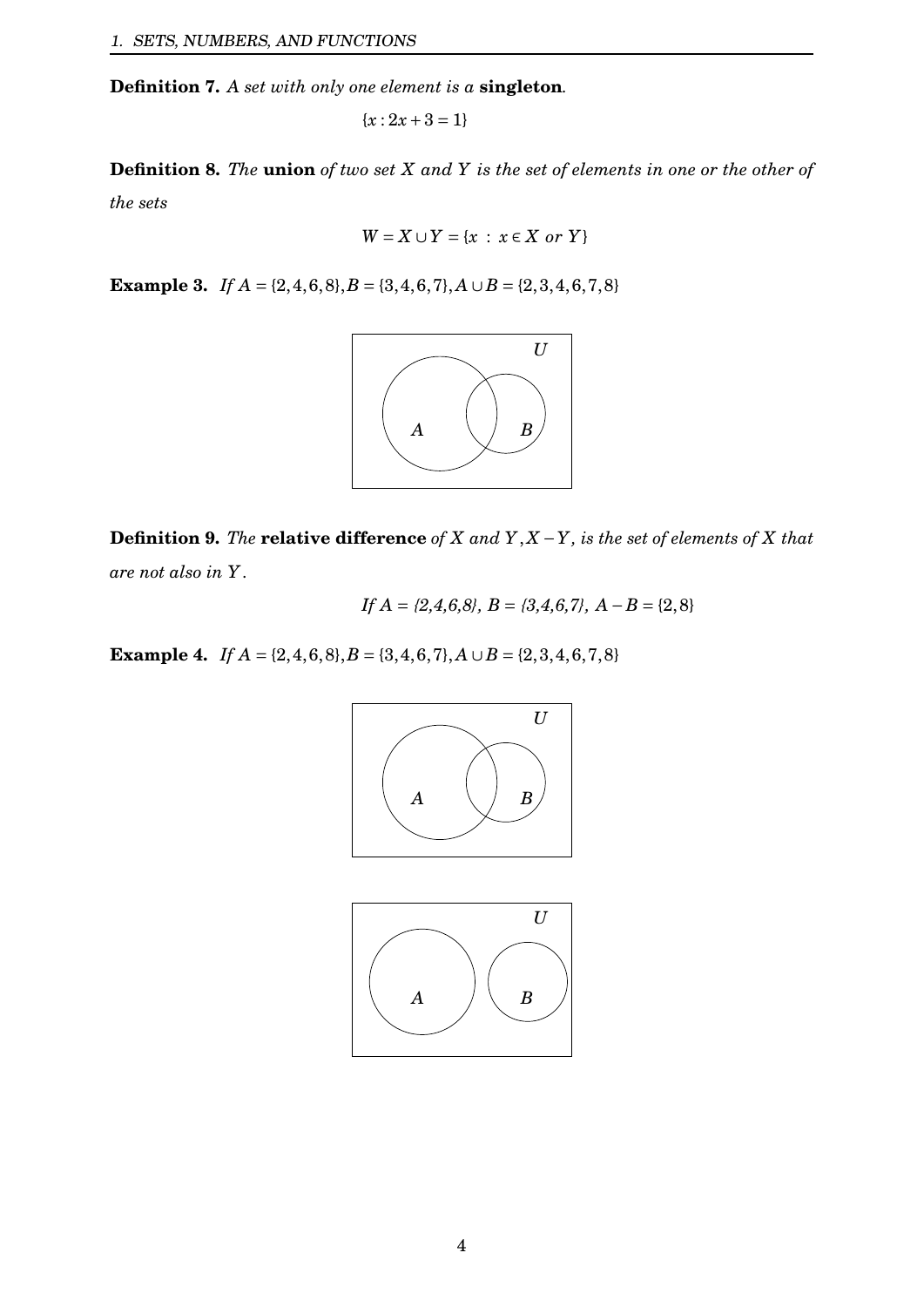**Definition 7.** *A set with only one element is a* **singleton***.*

$$
\{x:2x+3=1\}
$$

**Definition 8.** *The* **union** *of two set X and Y is the set of elements in one or the other of the sets*

$$
W = X \cup Y = \{x : x \in X \text{ or } Y\}
$$

**Example 3.** *If*  $A = \{2, 4, 6, 8\}, B = \{3, 4, 6, 7\}, A \cup B = \{2, 3, 4, 6, 7, 8\}$ 



**Definition 9.** *The* **relative difference** *of X and Y*, *X* −*Y, is the set of elements of X that are not also in Y*.

If 
$$
A = \{2, 4, 6, 8\}
$$
,  $B = \{3, 4, 6, 7\}$ ,  $A - B = \{2, 8\}$ 

**Example 4.** *If*  $A = \{2, 4, 6, 8\}, B = \{3, 4, 6, 7\}, A \cup B = \{2, 3, 4, 6, 7, 8\}$ 

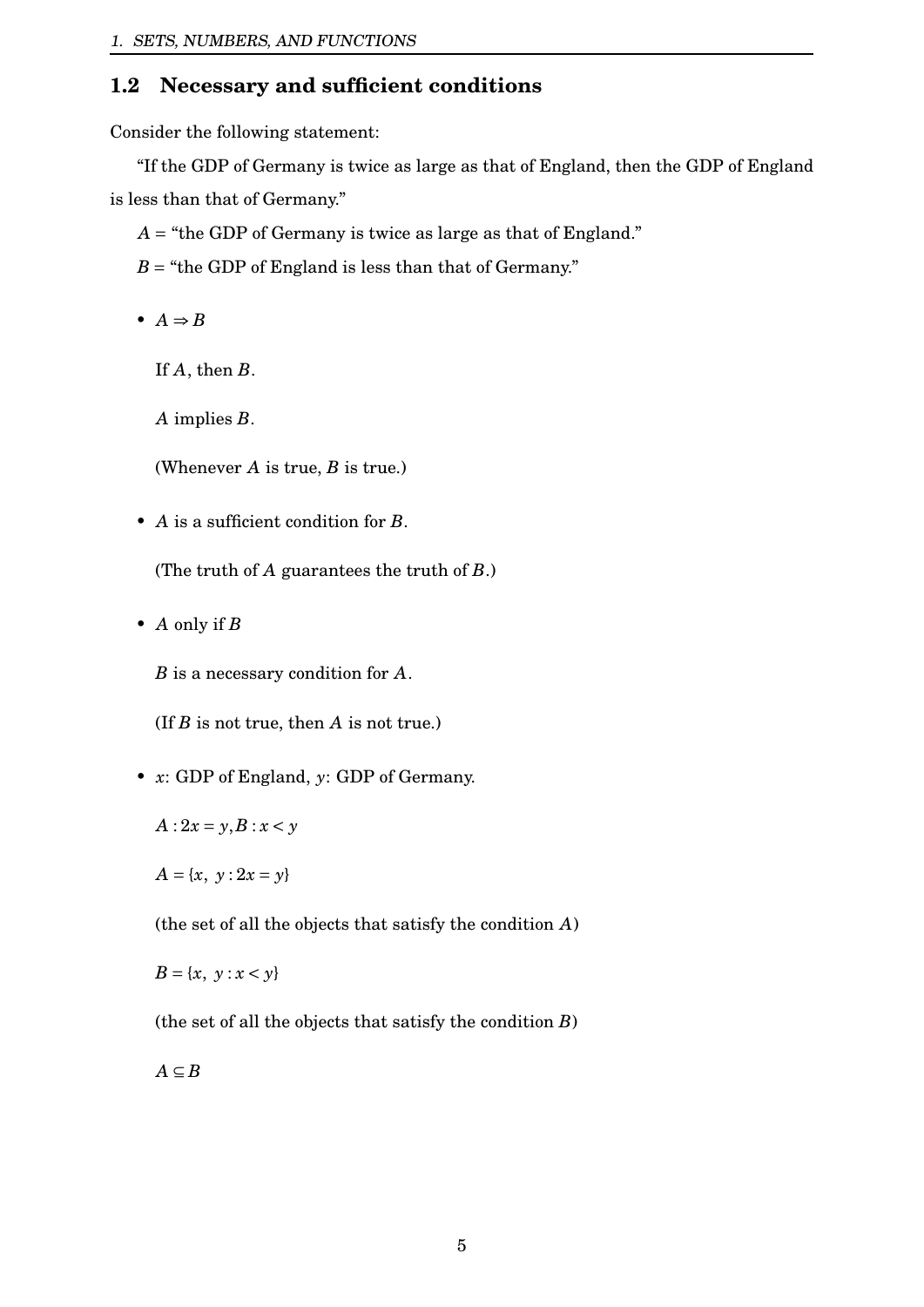# <span id="page-5-0"></span>**1.2 Necessary and sufficient conditions**

Consider the following statement:

"If the GDP of Germany is twice as large as that of England, then the GDP of England is less than that of Germany."

- $A =$  "the GDP of Germany is twice as large as that of England."
- $B =$  "the GDP of England is less than that of Germany."
- $A \Rightarrow B$

If *A*, then *B*.

*A* implies *B*.

(Whenever *A* is true, *B* is true.)

• *A* is a sufficient condition for *B*.

(The truth of *A* guarantees the truth of *B*.)

• *A* only if *B*

*B* is a necessary condition for *A*.

(If *B* is not true, then *A* is not true.)

- *x*: GDP of England, *y*: GDP of Germany.
	- $A: 2x = y, B: x < y$
	- $A = \{x, y : 2x = y\}$

(the set of all the objects that satisfy the condition *A*)

 $B = \{x, y : x < y\}$ 

(the set of all the objects that satisfy the condition *B*)

 $A ⊆ B$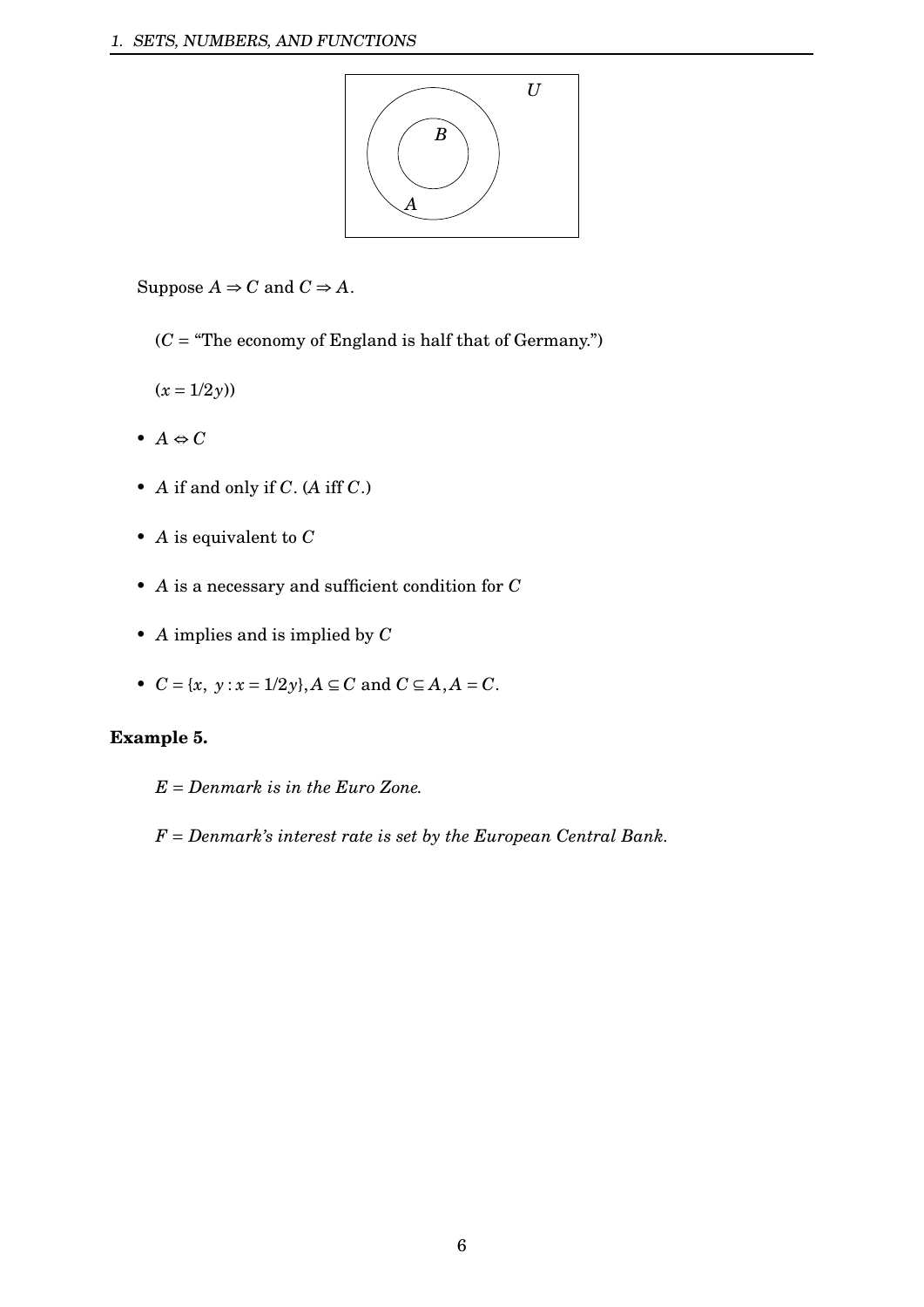

Suppose  $A \Rightarrow C$  and  $C \Rightarrow A$ .

 $(C = "The economy of England is half that of Germany.")$ 

 $(x = 1/2y)$ 

- $A \Leftrightarrow C$
- *A* if and only if *C*. (*A* iff *C*.)
- *A* is equivalent to *C*
- *A* is a necessary and sufficient condition for *C*
- *A* implies and is implied by *C*
- $C = \{x, y : x = 1/2y\}, A \subseteq C \text{ and } C \subseteq A, A = C.$

## **Example 5.**

*E* = *Denmark is in the Euro Zone.*

*F* = *Denmark's interest rate is set by the European Central Bank.*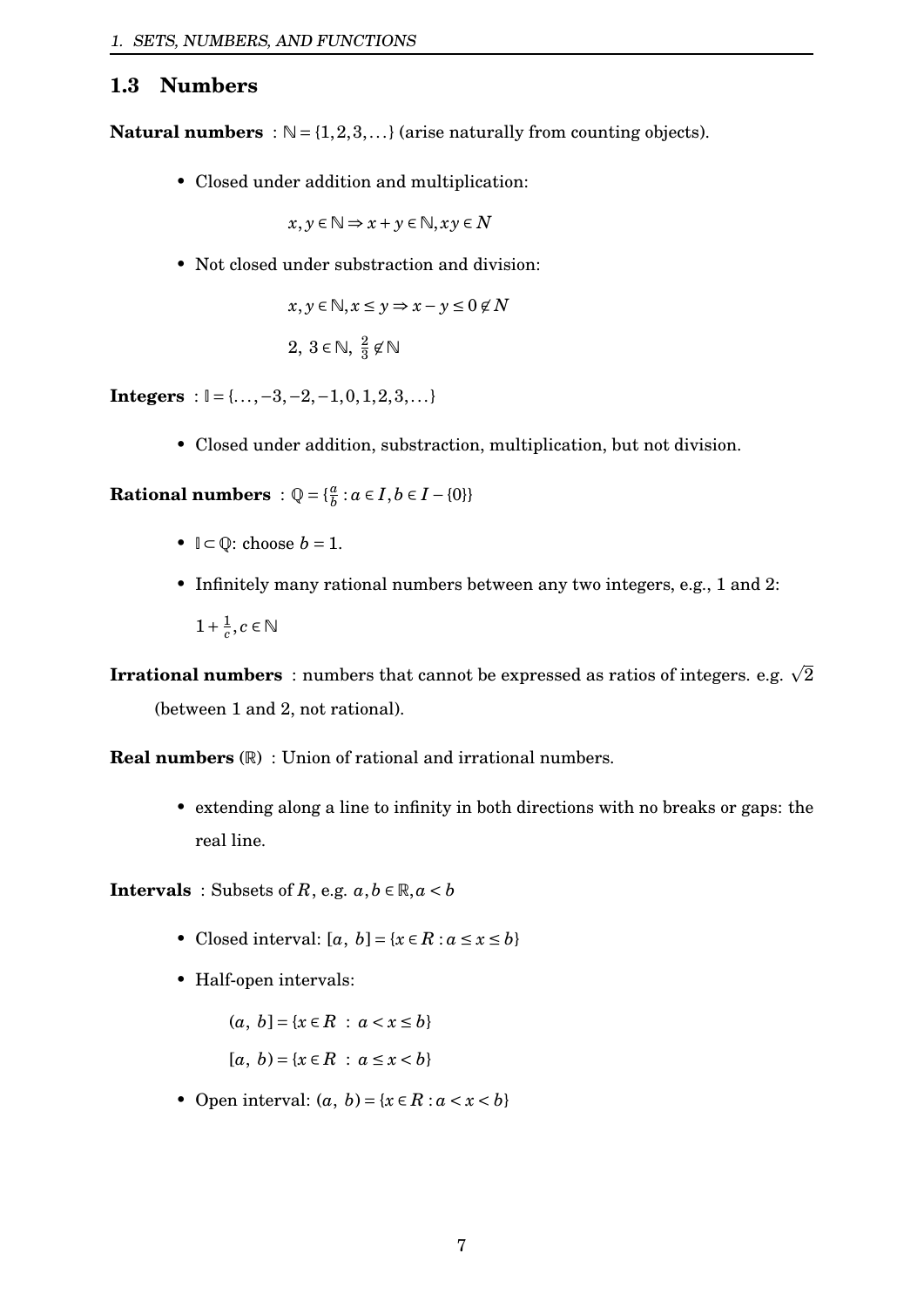## <span id="page-7-0"></span>**1.3 Numbers**

**Natural numbers** :  $\mathbb{N} = \{1, 2, 3, ...\}$  (arise naturally from counting objects).

• Closed under addition and multiplication:

$$
x, y \in \mathbb{N} \Rightarrow x + y \in \mathbb{N}, xy \in N
$$

• Not closed under substraction and division:

$$
x, y \in \mathbb{N}, x \le y \Rightarrow x - y \le 0 \notin N
$$

$$
2, 3 \in \mathbb{N}, \frac{2}{3} \not\in \mathbb{N}
$$

**Integers** :  $\mathbb{I} = \{..., -3, -2, -1, 0, 1, 2, 3, ...\}$ 

• Closed under addition, substraction, multiplication, but not division.

**Rational numbers** :  $Q = \{\frac{a}{b}\}$  $\frac{a}{b}$  :  $a \in I, b \in I - \{0\}\}$ 

- $\mathbb{I} \subset \mathbb{O}$ : choose  $b = 1$ .
- Infinitely many rational numbers between any two integers, e.g., 1 and 2:  $1 + \frac{1}{c}$  $\frac{1}{c}$ ,  $c \in \mathbb{N}$

**Irrational numbers** : numbers that cannot be expressed as ratios of integers. e.g.  $\sqrt{2}$ (between 1 and 2, not rational).

**Real numbers** (R) : Union of rational and irrational numbers.

• extending along a line to infinity in both directions with no breaks or gaps: the real line.

**Intervals** : Subsets of *R*, e.g.  $a, b \in \mathbb{R}, a < b$ 

- Closed interval:  $[a, b] = \{x \in R : a \le x \le b\}$
- Half-open intervals:

$$
(a, b] = \{x \in R : a < x \le b\}
$$
\n
$$
[a, b) = \{x \in R : a \le x < b\}
$$

• Open interval:  $(a, b) = \{x \in R : a < x < b\}$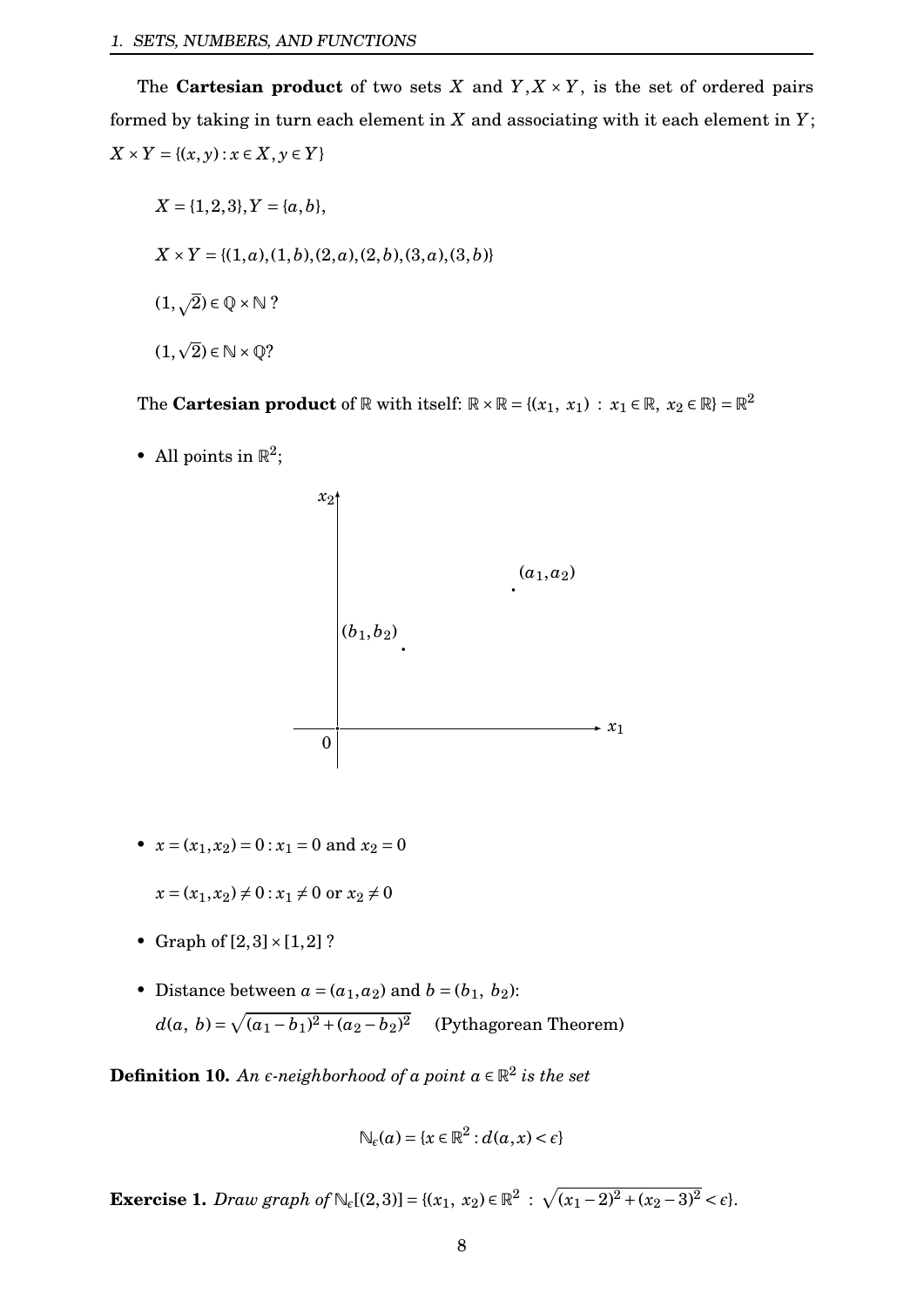The **Cartesian product** of two sets *X* and  $Y, X \times Y$ , is the set of ordered pairs formed by taking in turn each element in *X* and associating with it each element in *Y*; *X* × *Y* = {(*x*, *y*) : *x* ∈ *X*, *y* ∈ *Y*}

 $X = \{1, 2, 3\}, Y = \{a, b\},\$  $X \times Y = \{(1, a), (1, b), (2, a), (2, b), (3, a), (3, b)\}$  $(1,\sqrt{2}) \in \mathbb{Q} \times \mathbb{N}$  ? (1,  $\overline{2})\in \mathbb{N}\times \mathbb{Q}$ ?

The **Cartesian product** of  $\mathbb R$  with itself:  $\mathbb R \times \mathbb R = \{(x_1, x_1) : x_1 \in \mathbb R, x_2 \in \mathbb R\} = \mathbb R^2$ 

• All points in  $\mathbb{R}^2$ ;



•  $x = (x_1, x_2) = 0$ :  $x_1 = 0$  and  $x_2 = 0$ 

 $x = (x_1, x_2) \neq 0$ :  $x_1 \neq 0$  or  $x_2 \neq 0$ 

- Graph of  $[2,3] \times [1,2]$  ?
- Distance between  $a = (a_1, a_2)$  and  $b = (b_1, b_2)$ :  $d(a, b) = \sqrt{(a_1 - b_1)^2 + (a_2 - b_2)^2}$  (Pythagorean Theorem)

**Definition 10.** An  $\epsilon$ -neighborhood of a point  $a \in \mathbb{R}^2$  is the set

$$
\mathbb{N}_{\epsilon}(a) = \{x \in \mathbb{R}^2 : d(a, x) < \epsilon\}
$$

**Exercise 1.** *Draw graph of*  $\mathbb{N}_{\epsilon}[(2,3)] = \{(x_1, x_2) \in \mathbb{R}^2 : \sqrt{(x_1-2)^2 + (x_2-3)^2} < \epsilon\}.$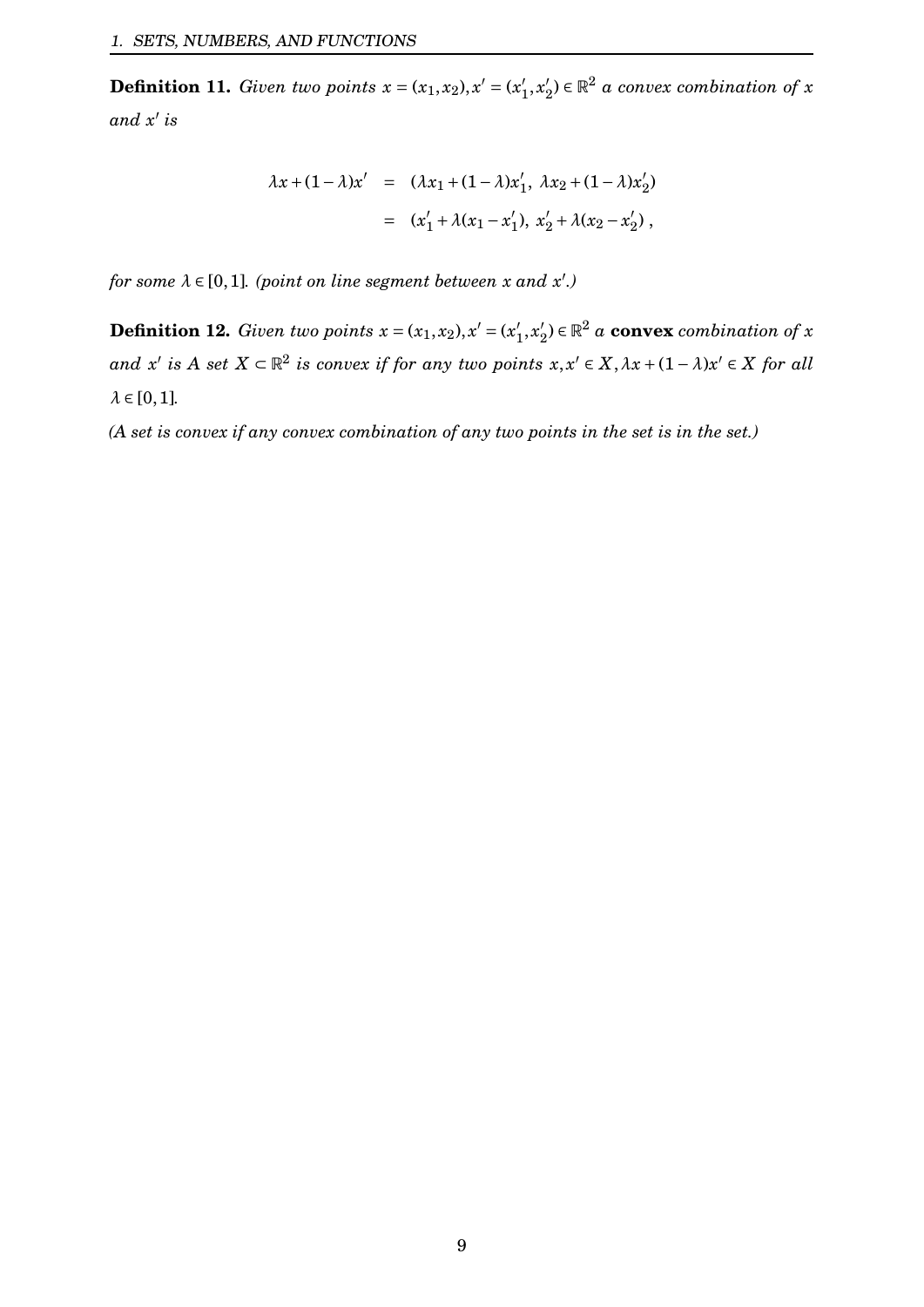**Definition 11.** *Given two points*  $x = (x_1, x_2), x' = (x_1')$  $x'_{1}, x'_{2}$  $\mathbf{Z}_2^{\prime}$ )  $\in \mathbb{R}^2$  a convex combination of x *and x* 0 *is*

$$
\lambda x + (1 - \lambda)x' = (\lambda x_1 + (1 - \lambda)x'_1, \lambda x_2 + (1 - \lambda)x'_2)
$$
  
=  $(x'_1 + \lambda(x_1 - x'_1), x'_2 + \lambda(x_2 - x'_2)),$ 

*for some*  $\lambda \in [0,1]$ *. (point on line segment between x and x'.)* 

**Definition 12.** *Given two points*  $x = (x_1, x_2), x' = (x_1')$  $x'_{1}, x'_{2}$  $\mathbf{Z}_2^{\prime}$ )  $\in \mathbb{R}^2$  a **convex** combination of  $x$  $and$  *x'* is  $A$  set  $X \subset \mathbb{R}^2$  is convex if for any two points  $x, x' \in X, \lambda x + (1 - \lambda)x' \in X$  for all  $\lambda \in [0,1]$ .

*(A set is convex if any convex combination of any two points in the set is in the set.)*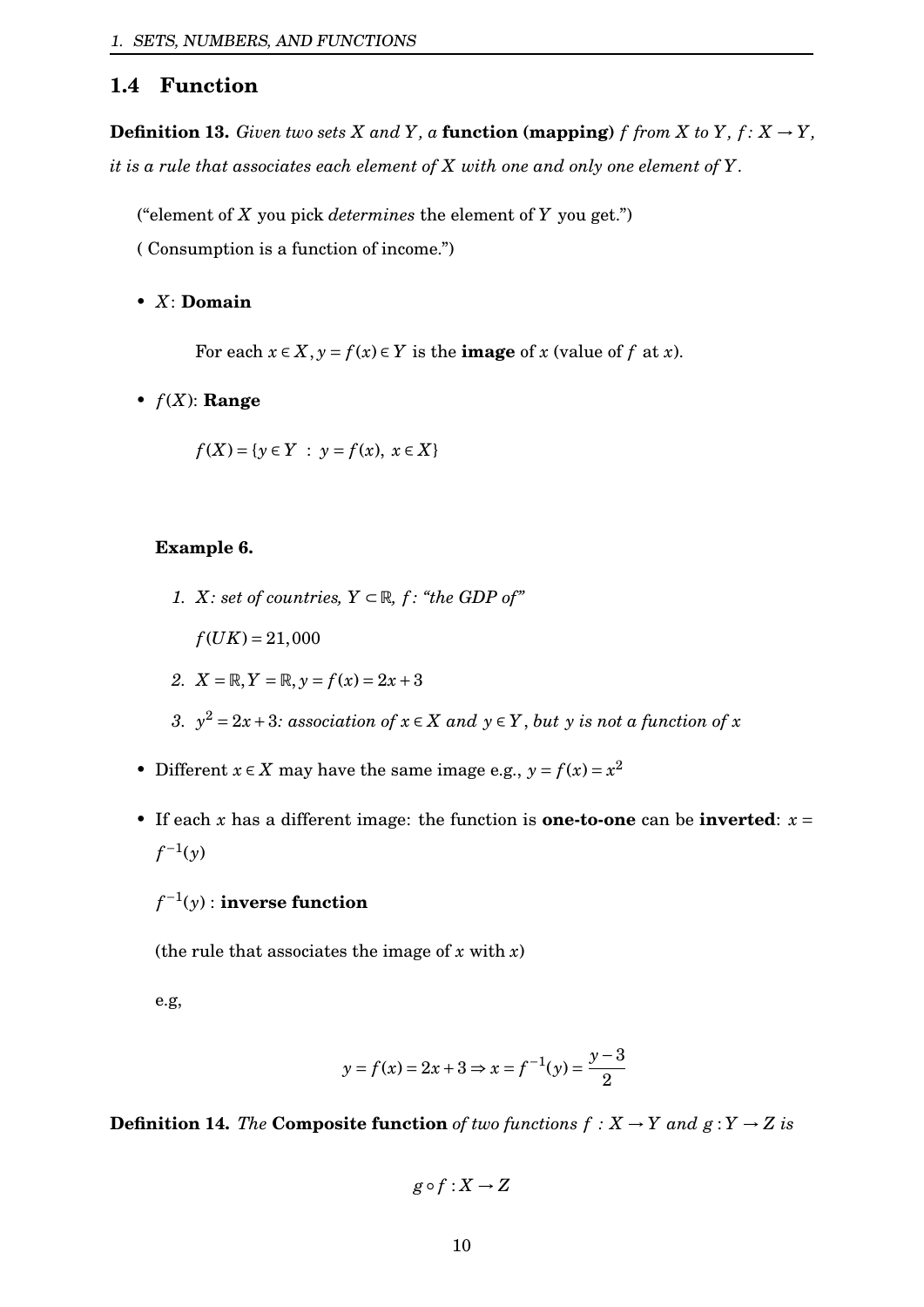## <span id="page-10-0"></span>**1.4 Function**

**Definition 13.** Given two sets  $X$  and  $Y$ , a **function (mapping)**  $f$  *from*  $X$  *to*  $Y$ *,*  $f: X \rightarrow Y$ *, it is a rule that associates each element of X with one and only one element of Y.*

("element of *X* you pick *determines* the element of *Y* you get.")

( Consumption is a function of income.")

#### • *X*: **Domain**

For each  $x \in X$ ,  $y = f(x) \in Y$  is the **image** of *x* (value of *f* at *x*).

 $\bullet$   $f(X)$ : **Range** 

$$
f(X) = \{ y \in Y : y = f(x), x \in X \}
$$

#### **Example 6.**

*1. X: set of countries,*  $Y \subset \mathbb{R}$ *, f: "the GDP of"* 

 $f(UK) = 21,000$ 

2. 
$$
X = \mathbb{R}, Y = \mathbb{R}, y = f(x) = 2x + 3
$$

- *3.*  $y^2 = 2x + 3$ *: association of*  $x \in X$  *and*  $y \in Y$ *, but y is not a function of x*
- Different  $x \in X$  may have the same image e.g.,  $y = f(x) = x^2$
- If each x has a different image: the function is **one-to-one** can be **inverted**:  $x =$  $f^{-1}(y)$

# *f* −1 (*y*) : **inverse function**

(the rule that associates the image of  $x$  with  $x$ )

e.g,

$$
y = f(x) = 2x + 3 \Rightarrow x = f^{-1}(y) = \frac{y - 3}{2}
$$

**Definition 14.** *The* **Composite function** of two functions  $f : X \to Y$  and  $g : Y \to Z$  is

$$
g \circ f : X \to Z
$$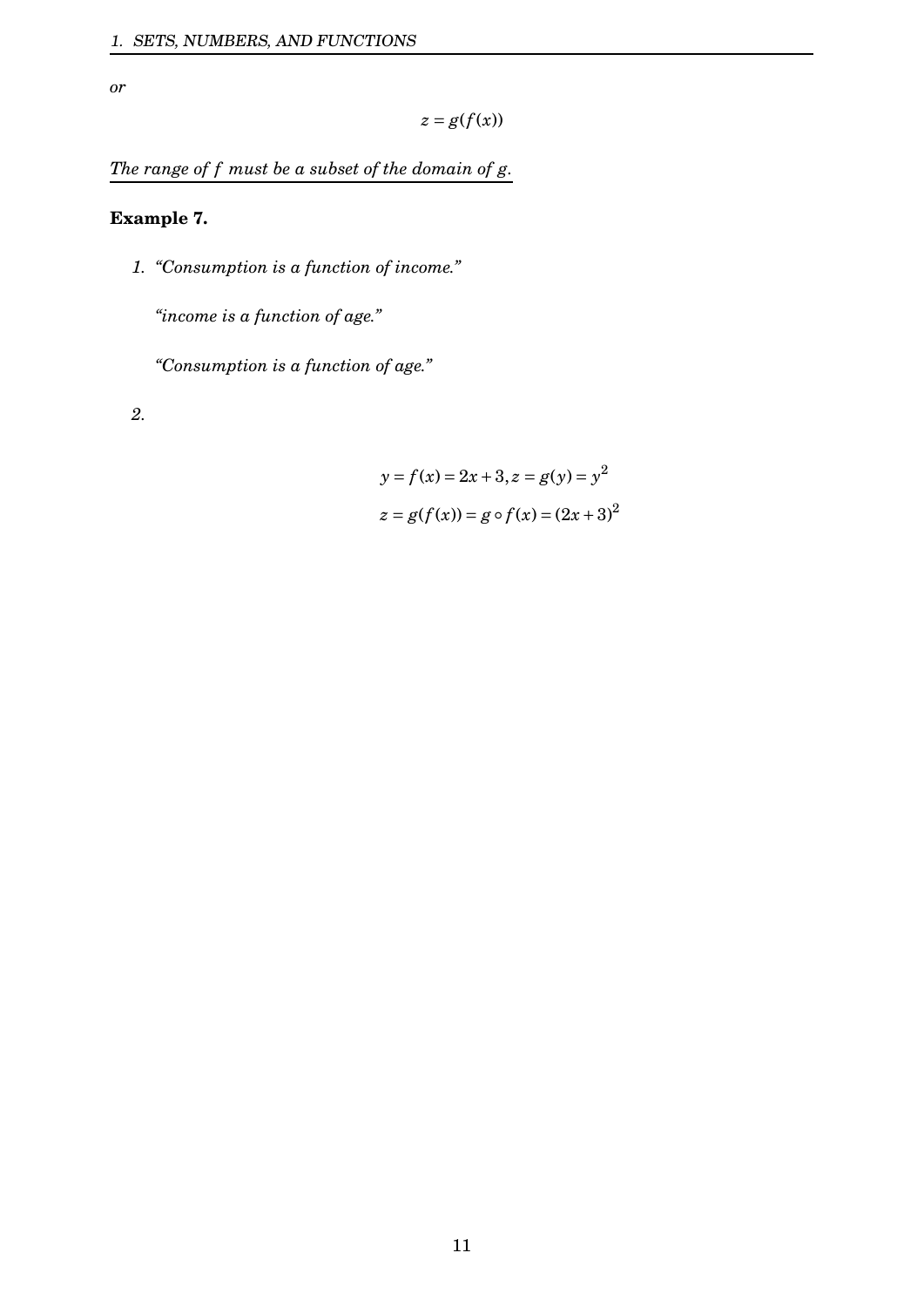*or*

$$
z=g(f(x))
$$

*The range of f must be a subset of the domain of g.*

## **Example 7.**

*1. "Consumption is a function of income."*

*"income is a function of age."*

*"Consumption is a function of age."*

*2.*

$$
y = f(x) = 2x + 3, z = g(y) = y2
$$
  

$$
z = g(f(x)) = g \circ f(x) = (2x + 3)2
$$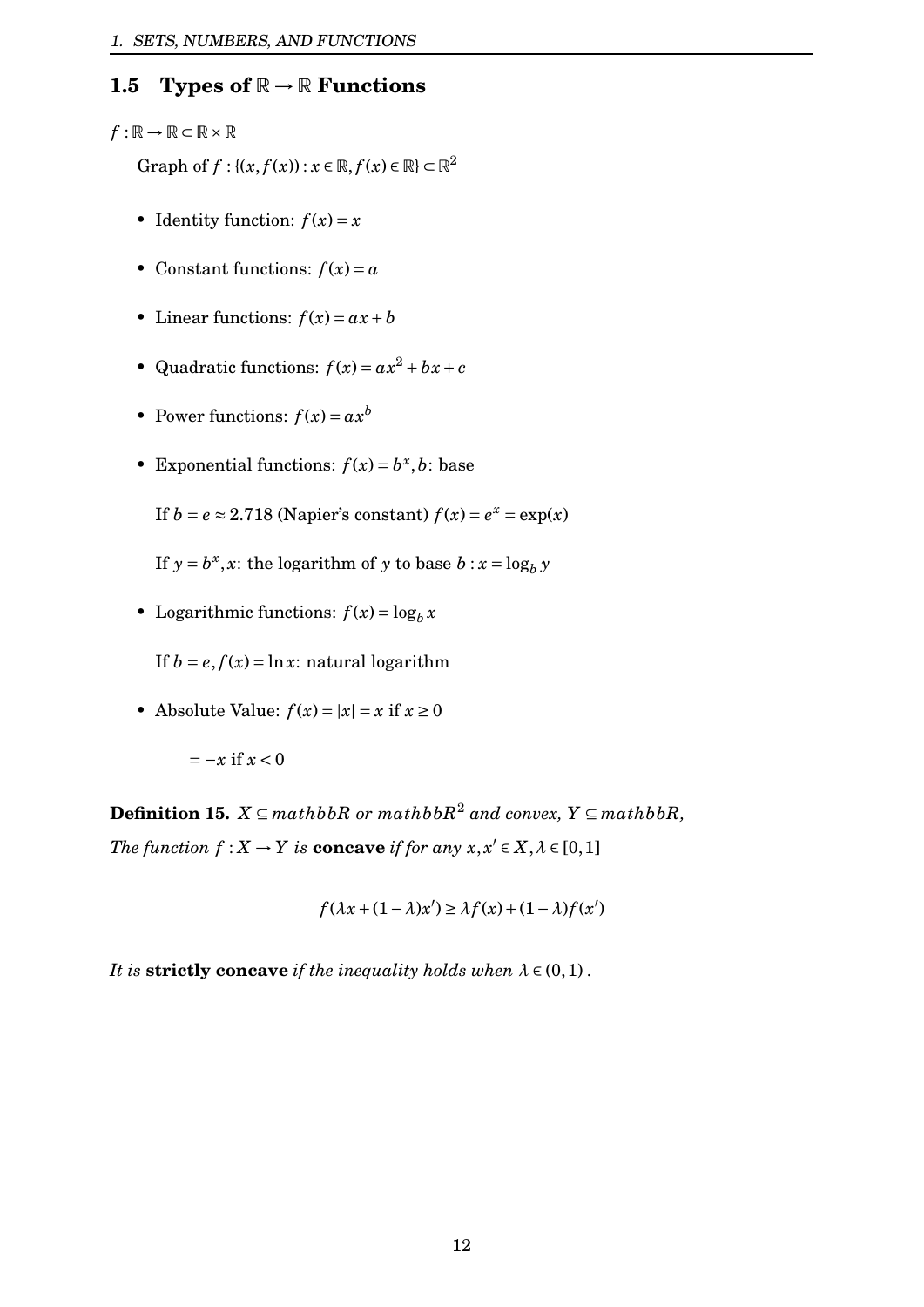# <span id="page-12-0"></span>**1.5 Types of**  $\mathbb{R} \to \mathbb{R}$  **Functions**

## $f : \mathbb{R} \to \mathbb{R} \subset \mathbb{R} \times \mathbb{R}$

Graph of  $f: \{(x, f(x)) : x \in \mathbb{R}, f(x) \in \mathbb{R}\}\subset \mathbb{R}^2$ 

- Identity function:  $f(x) = x$
- Constant functions:  $f(x) = a$
- Linear functions:  $f(x) = ax + b$
- Quadratic functions:  $f(x) = ax^2 + bx + c$
- Power functions:  $f(x) = ax^b$
- Exponential functions:  $f(x) = b^x, b$ : base

If  $b = e \approx 2.718$  (Napier's constant)  $f(x) = e^x = \exp(x)$ 

- If  $y = b^x$ , *x*: the logarithm of *y* to base  $b : x = \log_b y$
- Logarithmic functions:  $f(x) = \log_b x$

If  $b = e, f(x) = \ln x$ : natural logarithm

• Absolute Value:  $f(x) = |x| = x$  if  $x \ge 0$ 

$$
=-x \text{ if } x < 0
$$

**Definition 15.** *X* ⊆ *mathbbR or mathbbR*<sup>2</sup> *and convex, Y* ⊆ *mathbbR, The function*  $f: X \to Y$  *is* **concave** *if for any*  $x, x' \in X, \lambda \in [0,1]$ 

$$
f(\lambda x + (1 - \lambda)x') \ge \lambda f(x) + (1 - \lambda)f(x')
$$

*It is* **strictly concave** *if the inequality holds when*  $\lambda \in (0,1)$ .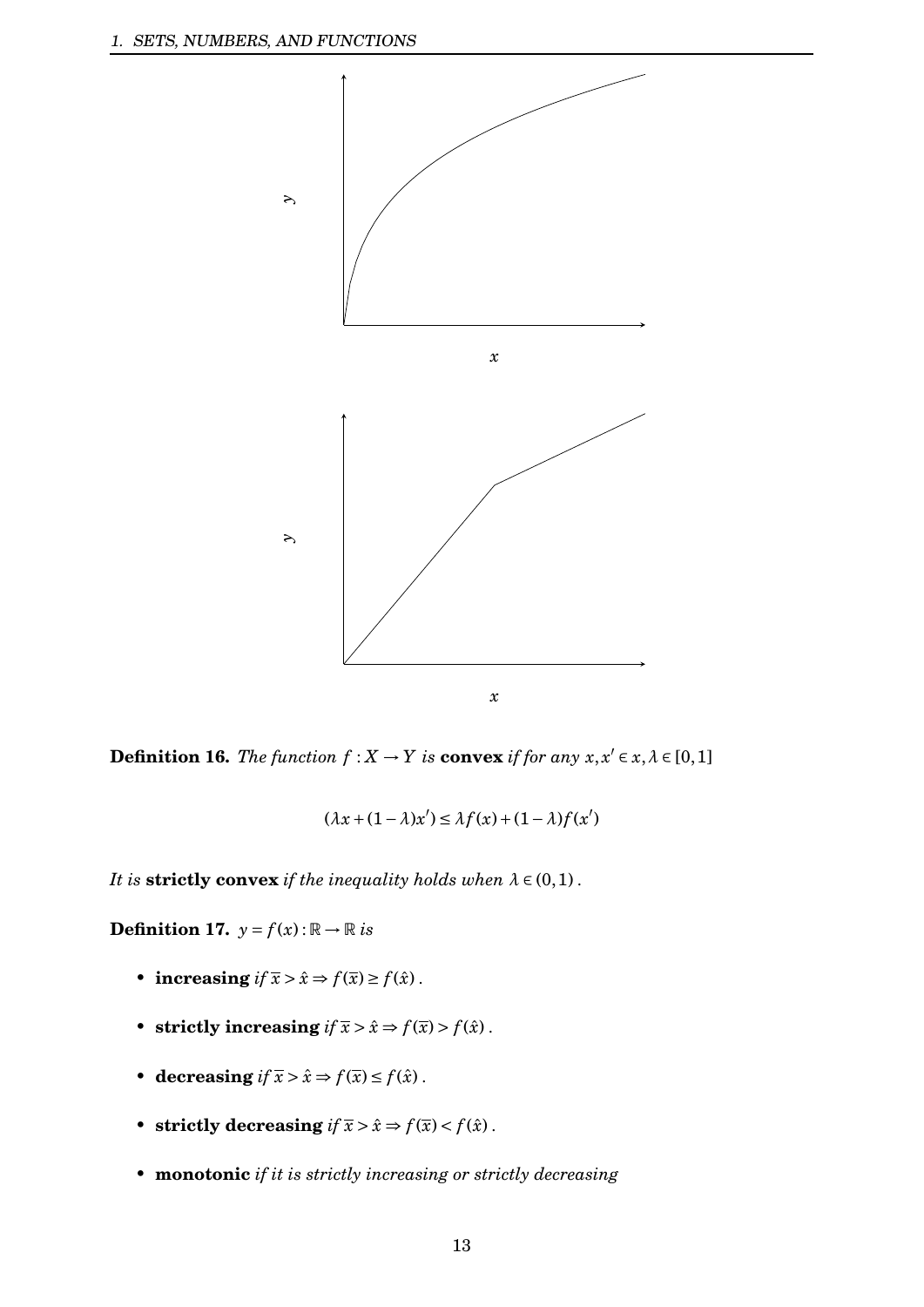

**Definition 16.** *The function*  $f: X \to Y$  *is* **convex** *if for any*  $x, x' \in x, \lambda \in [0,1]$ 

$$
(\lambda x + (1 - \lambda)x') \le \lambda f(x) + (1 - \lambda)f(x')
$$

*It is* **strictly convex** *if the inequality holds when*  $\lambda \in (0,1)$ .

**Definition 17.**  $y = f(x): \mathbb{R} \to \mathbb{R}$  is

- **increasing**  $if \bar{x} > \hat{x} \Rightarrow f(\bar{x}) \ge f(\hat{x})$ .
- **strictly increasing**  $if \bar{x} > \hat{x} \Rightarrow f(\bar{x}) > f(\hat{x})$ .
- **decreasing**  $if \overline{x} > \hat{x} \Rightarrow f(\overline{x}) \le f(\hat{x})$ .
- **strictly decreasing**  $if \overline{x} > \hat{x} \Rightarrow f(\overline{x}) < f(\hat{x})$ .
- *•* **monotonic** *if it is strictly increasing or strictly decreasing*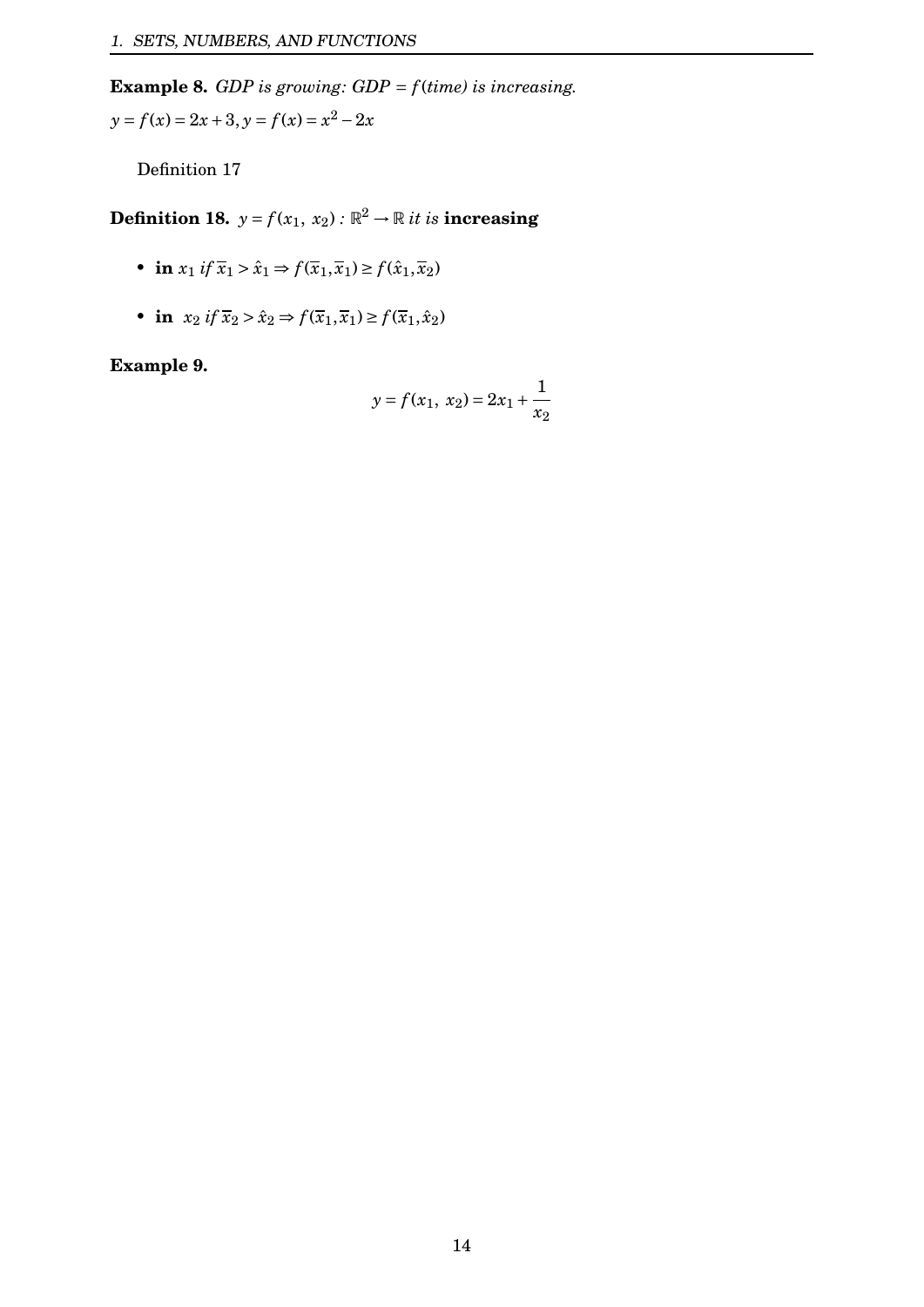**Example 8.** *GDP is growing: GDP* = *f* (*time) is increasing.*  $y = f(x) = 2x + 3, y = f(x) = x^2 - 2x$ 

Definition 17

**Definition 18.**  $y = f(x_1, x_2)$  :  $\mathbb{R}^2 \to \mathbb{R}$  *it is* **increasing** 

- **in**  $x_1$  *if*  $\bar{x}_1 > \hat{x}_1 \Rightarrow f(\bar{x}_1, \bar{x}_1) \ge f(\hat{x}_1, \bar{x}_2)$
- **in**  $x_2$  *if*  $\overline{x}_2 > \hat{x}_2 \Rightarrow f(\overline{x}_1, \overline{x}_1) \ge f(\overline{x}_1, \hat{x}_2)$

**Example 9.**

$$
y = f(x_1, x_2) = 2x_1 + \frac{1}{x_2}
$$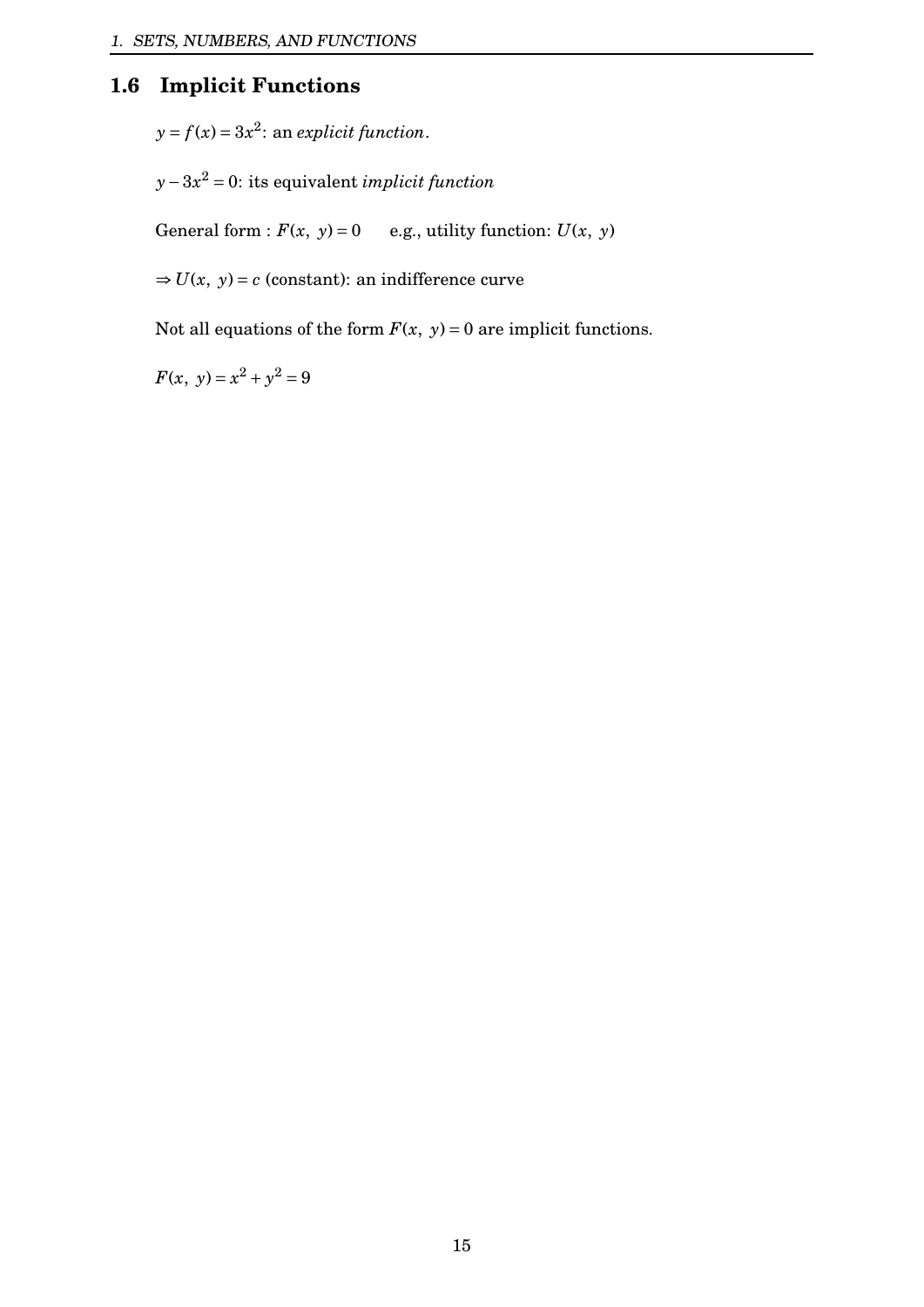# <span id="page-15-0"></span>**1.6 Implicit Functions**

 $y = f(x) = 3x^2$ : an *explicit function*.

*y*−3*x* <sup>2</sup> = 0: its equivalent *implicit function*

General form :  $F(x, y) = 0$  e.g., utility function:  $U(x, y)$ 

 $\Rightarrow$  *U*(*x*, *y*) = *c* (constant): an indifference curve

Not all equations of the form  $F(x, y) = 0$  are implicit functions.

 $F(x, y) = x^2 + y^2 = 9$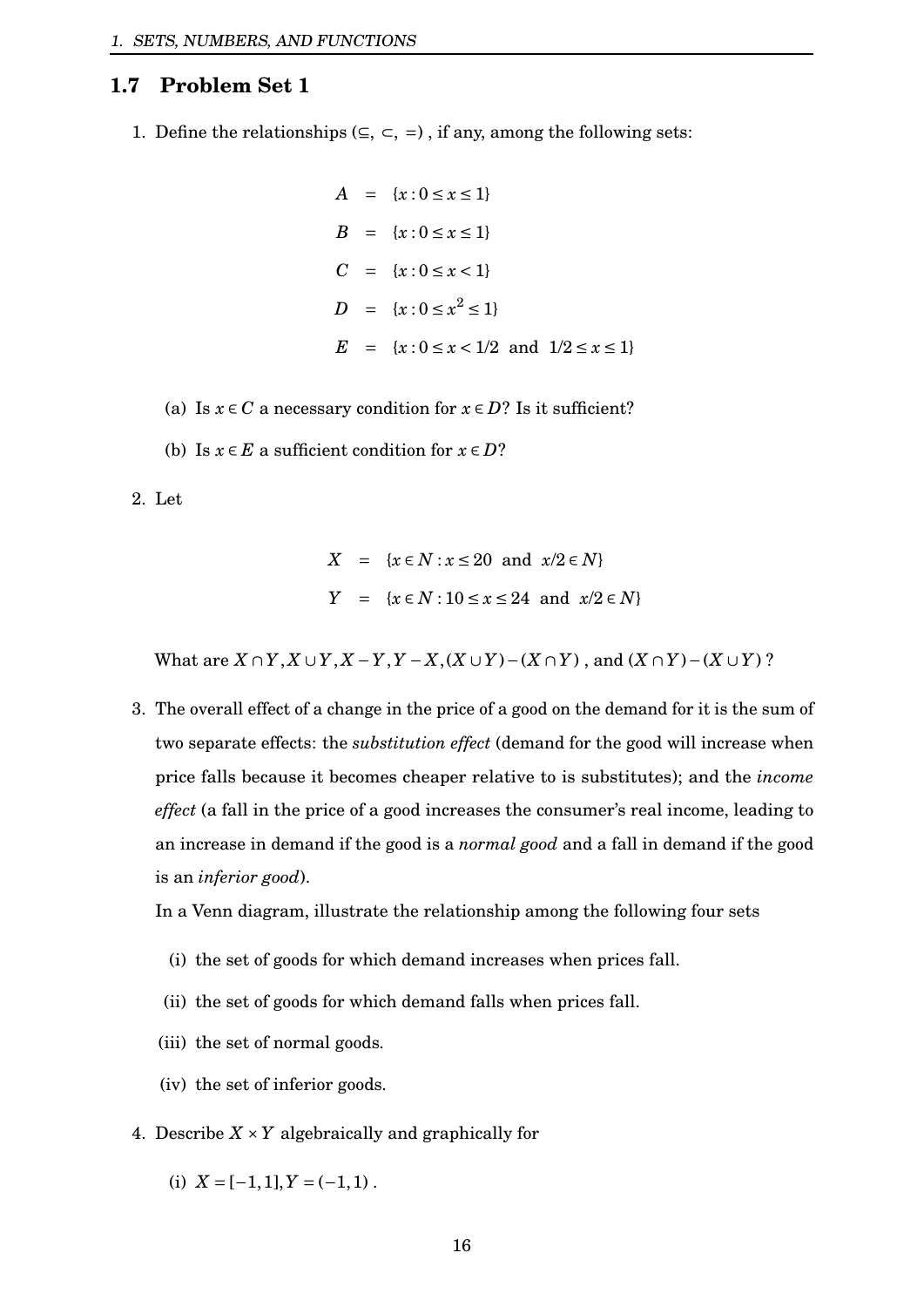## <span id="page-16-0"></span>**1.7 Problem Set 1**

1. Define the relationships ( $\subseteq$ ,  $\subseteq$ ,  $=$ ), if any, among the following sets:

$$
A = \{x : 0 \le x \le 1\}
$$
  
\n
$$
B = \{x : 0 \le x \le 1\}
$$
  
\n
$$
C = \{x : 0 \le x < 1\}
$$
  
\n
$$
D = \{x : 0 \le x^2 \le 1\}
$$
  
\n
$$
E = \{x : 0 \le x < 1/2 \text{ and } 1/2 \le x \le 1\}
$$

- (a) Is  $x \in C$  a necessary condition for  $x \in D$ ? Is it sufficient?
- (b) Is  $x \in E$  a sufficient condition for  $x \in D$ ?

#### 2. Let

$$
X = \{x \in N : x \le 20 \text{ and } x/2 \in N\}
$$
  

$$
Y = \{x \in N : 10 \le x \le 24 \text{ and } x/2 \in N\}
$$

What are  $X \cap Y$ ,  $X \cup Y$ ,  $X - Y$ ,  $Y - X$ ,  $(X \cup Y) - (X \cap Y)$ , and  $(X \cap Y) - (X \cup Y)$ ?

3. The overall effect of a change in the price of a good on the demand for it is the sum of two separate effects: the *substitution effect* (demand for the good will increase when price falls because it becomes cheaper relative to is substitutes); and the *income effect* (a fall in the price of a good increases the consumer's real income, leading to an increase in demand if the good is a *normal good* and a fall in demand if the good is an *inferior good*).

In a Venn diagram, illustrate the relationship among the following four sets

- (i) the set of goods for which demand increases when prices fall.
- (ii) the set of goods for which demand falls when prices fall.
- (iii) the set of normal goods.
- (iv) the set of inferior goods.
- 4. Describe  $X \times Y$  algebraically and graphically for
	- (i)  $X = [-1,1], Y = (-1,1)$ .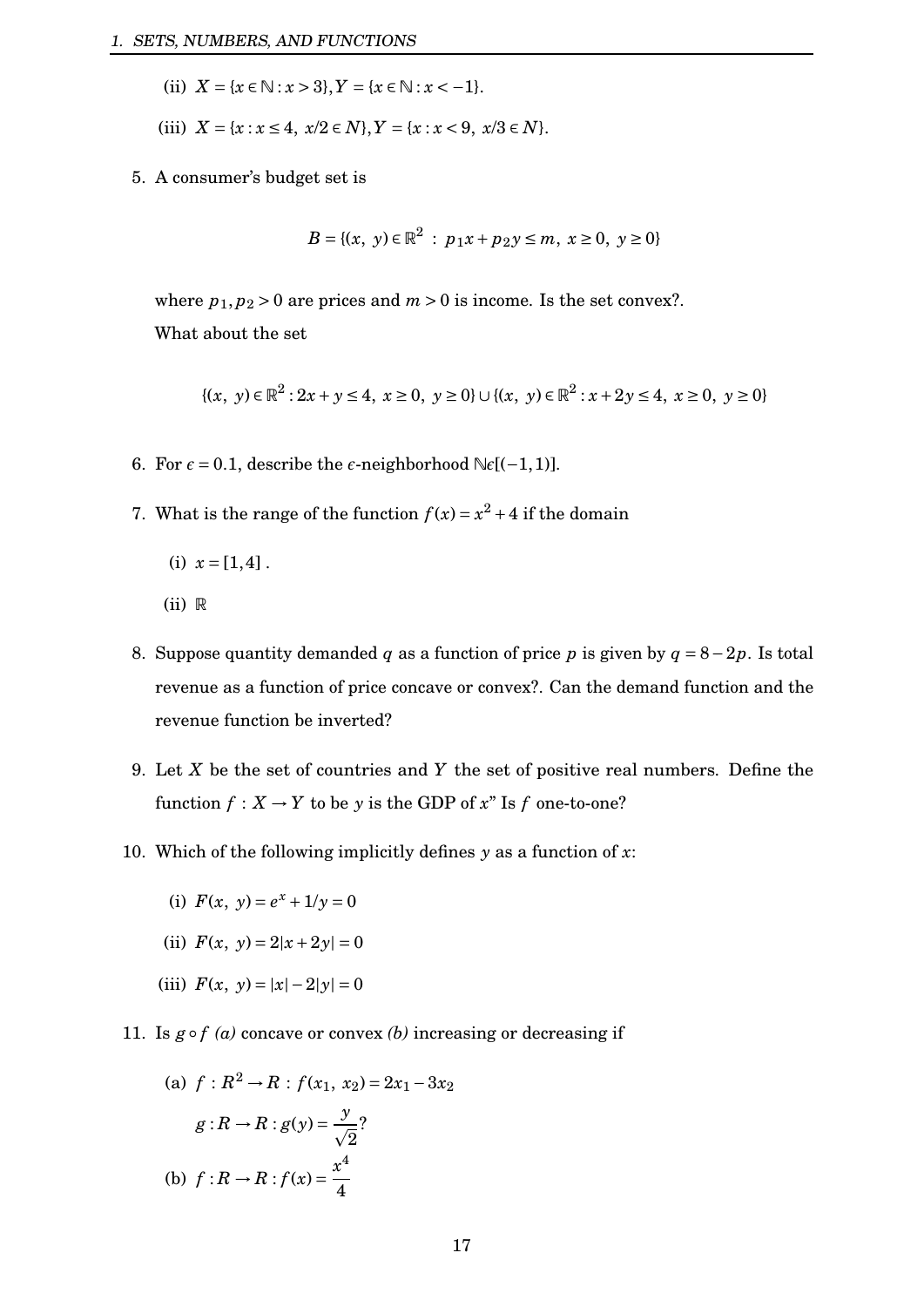- (ii)  $X = \{x \in \mathbb{N} : x > 3\}, Y = \{x \in \mathbb{N} : x < -1\}.$
- (iii)  $X = \{x : x \le 4, x/2 \in N\}, Y = \{x : x < 9, x/3 \in N\}.$
- 5. A consumer's budget set is

$$
B = \{(x, y) \in \mathbb{R}^2 : p_1x + p_2y \le m, x \ge 0, y \ge 0\}
$$

where  $p_1, p_2 > 0$  are prices and  $m > 0$  is income. Is the set convex?.

What about the set

$$
\{(x, y) \in \mathbb{R}^2 : 2x + y \le 4, x \ge 0, y \ge 0\} \cup \{(x, y) \in \mathbb{R}^2 : x + 2y \le 4, x \ge 0, y \ge 0\}
$$

- 6. For  $\epsilon = 0.1$ , describe the  $\epsilon$ -neighborhood  $\mathbb{N}\epsilon[(-1,1)]$ .
- 7. What is the range of the function  $f(x) = x^2 + 4$  if the domain

(i) 
$$
x = [1, 4]
$$
.

- $(ii)$  R
- 8. Suppose quantity demanded *q* as a function of price *p* is given by *q* = 8−2*p*. Is total revenue as a function of price concave or convex?. Can the demand function and the revenue function be inverted?
- 9. Let *X* be the set of countries and *Y* the set of positive real numbers. Define the function  $f: X \to Y$  to be *y* is the GDP of *x*" Is *f* one-to-one?
- 10. Which of the following implicitly defines *y* as a function of *x*:
	- (i)  $F(x, y) = e^x + 1/y = 0$
	- (ii)  $F(x, y) = 2|x+2y| = 0$
	- (iii)  $F(x, y) = |x| 2|y| = 0$
- 11. Is  $g \circ f$  *(a)* concave or convex *(b)* increasing or decreasing if

(a) 
$$
f: R^2 \to R : f(x_1, x_2) = 2x_1 - 3x_2
$$
  
\n $g: R \to R : g(y) = \frac{y}{\sqrt{2}}$ ?  
\n(b)  $f: R \to R : f(x) = \frac{x^4}{4}$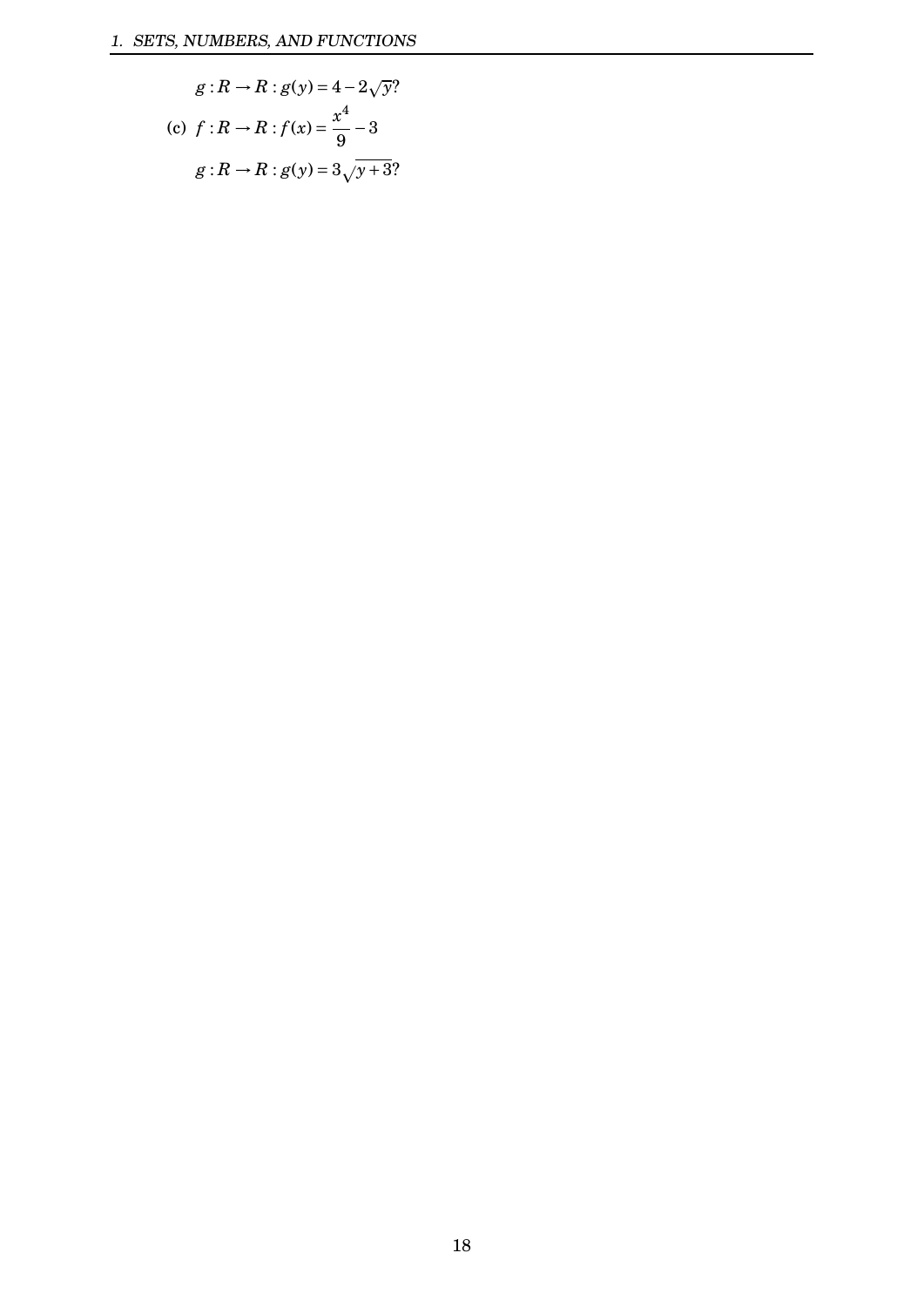$$
g: R \to R : g(y) = 4 - 2\sqrt{y}?
$$
  
(c)  $f: R \to R : f(x) = \frac{x^4}{9} - 3$   
 $g: R \to R : g(y) = 3\sqrt{y + 3}?$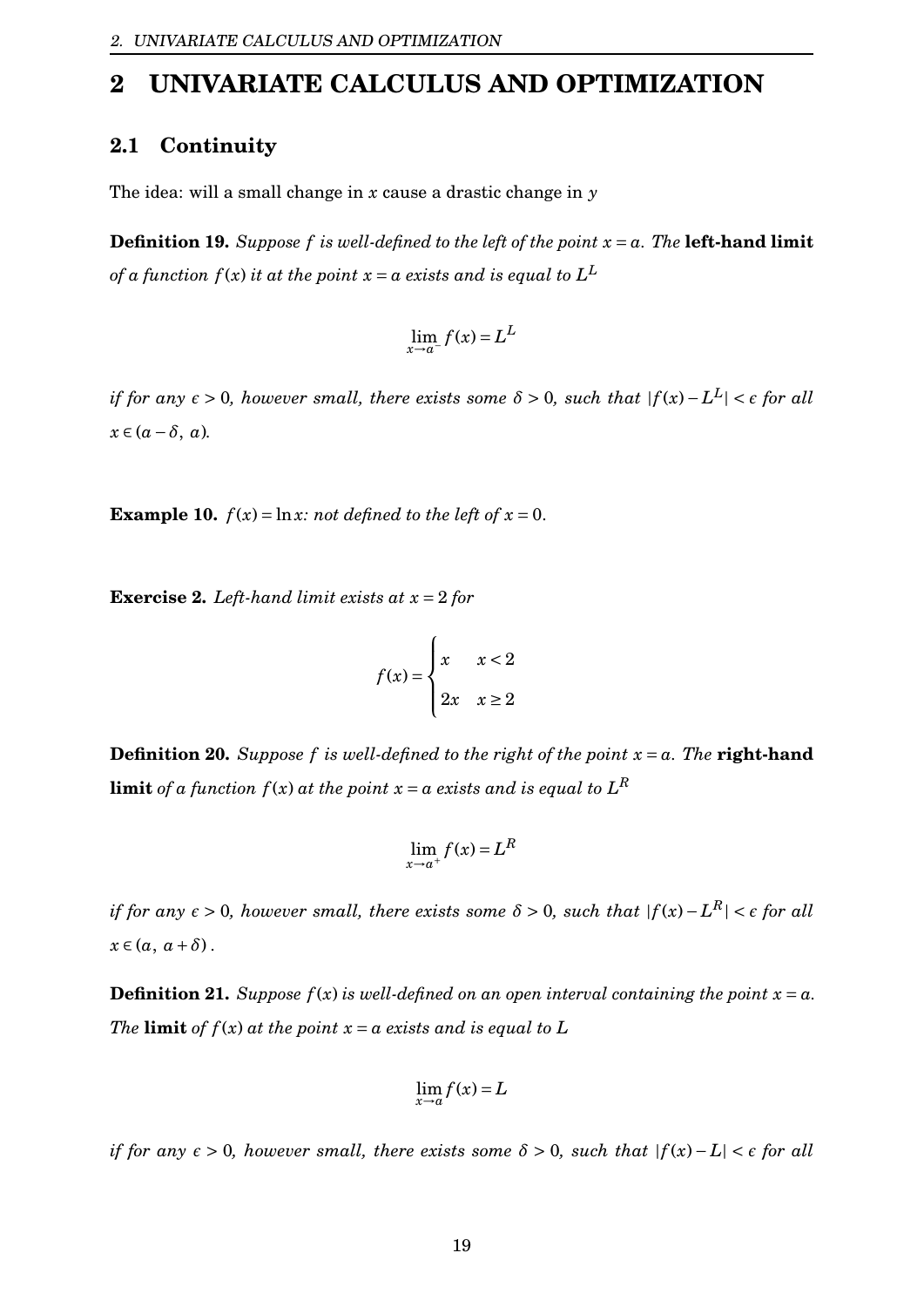# <span id="page-19-0"></span>**2 UNIVARIATE CALCULUS AND OPTIMIZATION**

# <span id="page-19-1"></span>**2.1 Continuity**

The idea: will a small change in *x* cause a drastic change in *y*

**Definition 19.** Suppose f is well-defined to the left of the point  $x = a$ . The **left-hand limit** *of a function*  $f(x)$  *it at the point*  $x$  *=*  $a$  *exists and is equal to*  $L^L$ 

$$
\lim_{x \to a^{-}} f(x) = L^{L}
$$

 $i$  *f* for any  $\epsilon > 0$ , however small, there exists some  $\delta > 0$ , such that  $|f(x) - L^L| < \epsilon$  for all  $x \in (a - \delta, a)$ .

**Example 10.**  $f(x) = \ln x$ *: not defined to the left of*  $x = 0$ *.* 

**Exercise 2.** *Left-hand limit exists at x* = 2 *for*

$$
f(x) = \begin{cases} x & x < 2 \\ 2x & x \ge 2 \end{cases}
$$

**Definition 20.** Suppose f is well-defined to the right of the point  $x = a$ . The **right-hand**  ${\bf limit}$  *of a function*  $f(x)$  *at the point*  $x$  *=*  $a$  *exists and is equal to*  $L^R$ 

$$
\lim_{x \to a^+} f(x) = L^R
$$

 $i$  *f* for any  $\epsilon > 0$ , however small, there exists some  $\delta > 0$ , such that  $|f(x) - L^R| < \epsilon$  for all  $x \in (a, a + \delta)$ .

**Definition 21.** *Suppose*  $f(x)$  *is well-defined on an open interval containing the point*  $x = a$ *. The* **limit** *of*  $f(x)$  *at the point*  $x = a$  *exists and is equal to*  $L$ 

$$
\lim_{x \to a} f(x) = L
$$

*if for any*  $\epsilon > 0$ , however small, there exists some  $\delta > 0$ , such that  $|f(x) - L| < \epsilon$  *for all*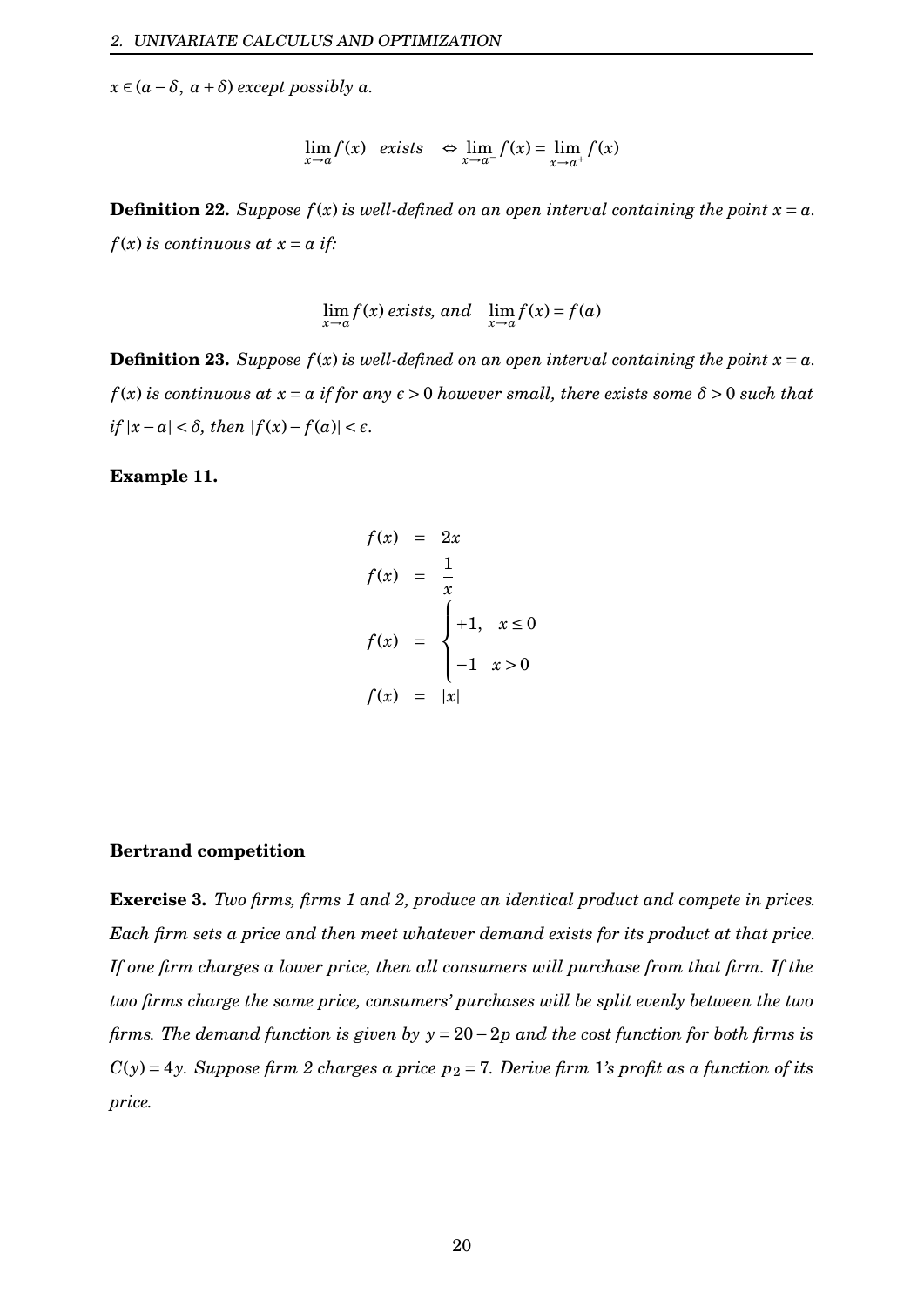$x \in (a - \delta, a + \delta)$  *except possibly*  $a$ *.* 

$$
\lim_{x \to a} f(x) \quad exists \quad \Leftrightarrow \lim_{x \to a^{-}} f(x) = \lim_{x \to a^{+}} f(x)
$$

**Definition 22.** *Suppose*  $f(x)$  *is well-defined on an open interval containing the point*  $x = a$ *.*  $f(x)$  *is continuous at*  $x = a$  *if:* 

$$
\lim_{x \to a} f(x) \text{ exists, and } \lim_{x \to a} f(x) = f(a)
$$

**Definition 23.** *Suppose*  $f(x)$  *is well-defined on an open interval containing the point*  $x = a$ *.*  $f(x)$  *is continuous at*  $x = a$  *if for any*  $\epsilon > 0$  *however small, there exists some*  $\delta > 0$  *such that*  $if |x-a| < \delta$ , then  $|f(x) - f(a)| < \epsilon$ .

#### **Example 11.**

$$
f(x) = 2x
$$
  
\n
$$
f(x) = \frac{1}{x}
$$
  
\n
$$
f(x) = \begin{cases} +1, & x \le 0 \\ -1 & x > 0 \end{cases}
$$
  
\n
$$
f(x) = |x|
$$

#### **Bertrand competition**

**Exercise 3.** *Two firms, firms 1 and 2, produce an identical product and compete in prices. Each firm sets a price and then meet whatever demand exists for its product at that price. If one firm charges a lower price, then all consumers will purchase from that firm. If the two firms charge the same price, consumers' purchases will be split evenly between the two firms. The demand function is given by y* = 20−2*p and the cost function for both firms is*  $C(y) = 4y$ *. Suppose firm 2 charges a price*  $p_2 = 7$ *. Derive firm 1's profit as a function of its price.*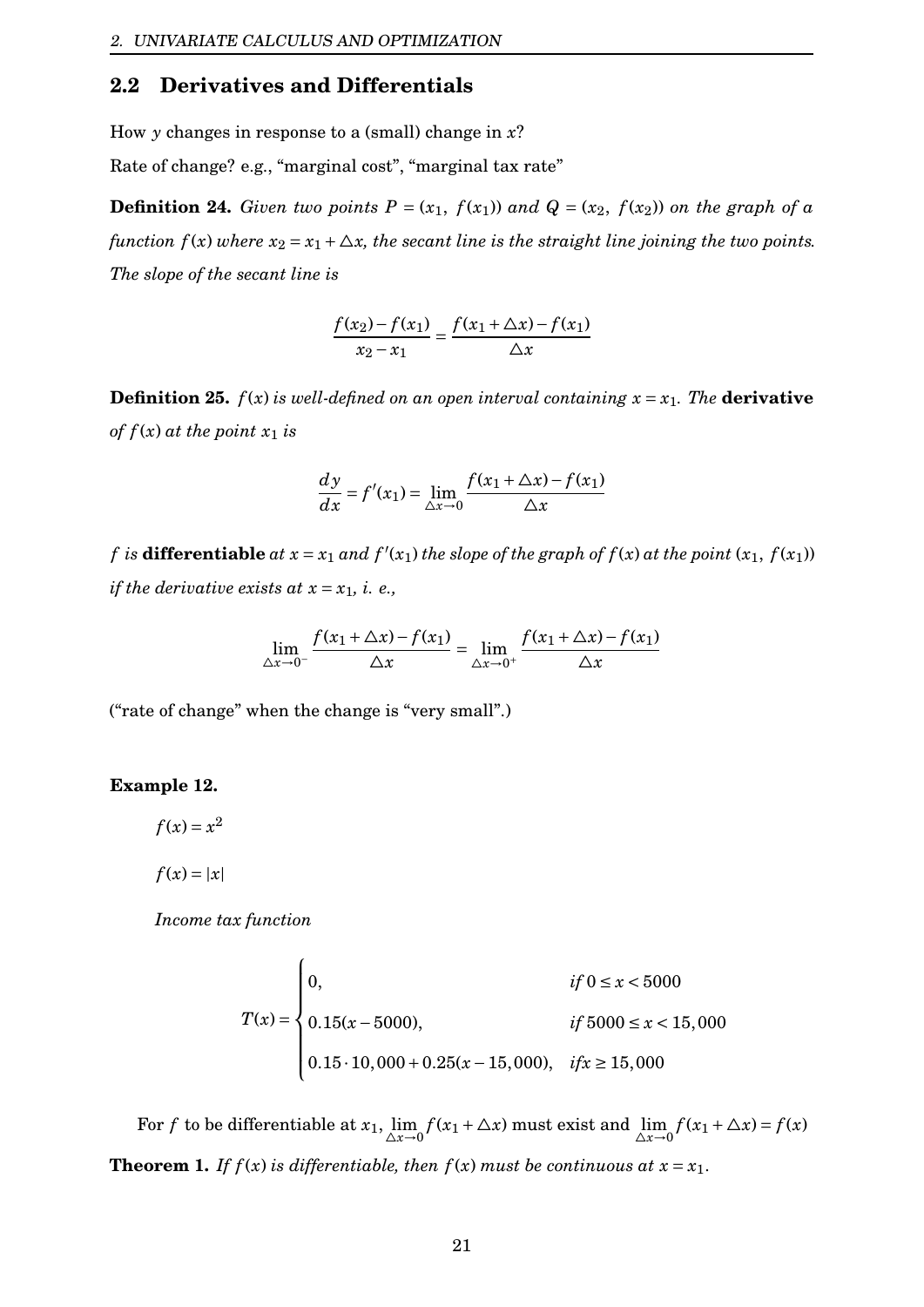## <span id="page-21-0"></span>**2.2 Derivatives and Differentials**

How *y* changes in response to a (small) change in *x*?

Rate of change? e.g., "marginal cost", "marginal tax rate"

**Definition 24.** *Given two points*  $P = (x_1, f(x_1))$  *and*  $Q = (x_2, f(x_2))$  *on the graph of a function*  $f(x)$  *where*  $x_2 = x_1 + \Delta x$ *, the secant line is the straight line joining the two points. The slope of the secant line is*

$$
\frac{f(x_2) - f(x_1)}{x_2 - x_1} = \frac{f(x_1 + \Delta x) - f(x_1)}{\Delta x}
$$

**Definition 25.**  $f(x)$  *is well-defined on an open interval containing*  $x = x_1$ *. The derivative of*  $f(x)$  *at the point*  $x_1$  *is* 

$$
\frac{dy}{dx} = f'(x_1) = \lim_{\Delta x \to 0} \frac{f(x_1 + \Delta x) - f(x_1)}{\Delta x}
$$

*f* is **differentiable** at  $x = x_1$  and  $f'(x_1)$  the slope of the graph of  $f(x)$  at the point  $(x_1, f(x_1))$ *if the derivative exists at*  $x = x_1$ *, i. e.,* 

$$
\lim_{\Delta x \to 0^-} \frac{f(x_1 + \Delta x) - f(x_1)}{\Delta x} = \lim_{\Delta x \to 0^+} \frac{f(x_1 + \Delta x) - f(x_1)}{\Delta x}
$$

("rate of change" when the change is "very small".)

## **Example 12.**

 $f(x) = x^2$ 

$$
f(x) = |x|
$$

*Income tax function*

$$
T(x) = \begin{cases} 0, & \text{if } 0 \le x < 5000 \\ 0.15(x - 5000), & \text{if } 5000 \le x < 15,000 \\ 0.15 \cdot 10,000 + 0.25(x - 15,000), & \text{if } x \ge 15,000 \end{cases}
$$

For *f* to be differentiable at  $x_1$ ,  $\lim_{\Delta x \to 0} f(x_1 + \Delta x)$  must exist and  $\lim_{\Delta x \to 0} f(x_1 + \Delta x) = f(x)$ **Theorem 1.** *If*  $f(x)$  *is differentiable, then*  $f(x)$  *must be continuous at*  $x = x_1$ *.*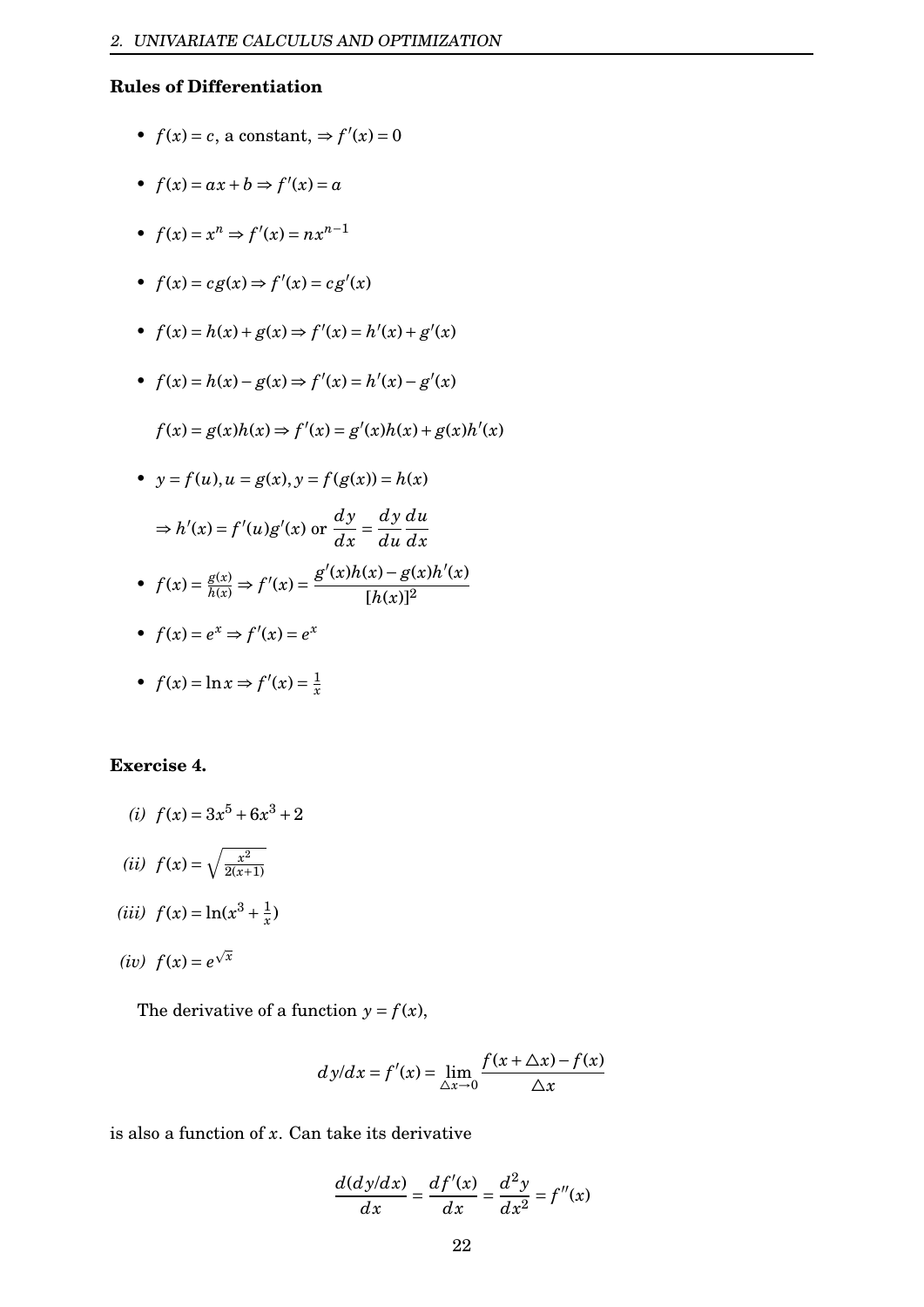## **Rules of Differentiation**

- $f(x) = c$ , a constant,  $\Rightarrow f'(x) = 0$
- $f(x) = ax + b \Rightarrow f'(x) = a$
- $f(x) = x^n \Rightarrow f'(x) = nx^{n-1}$

• 
$$
f(x) = cg(x) \Rightarrow f'(x) = cg'(x)
$$

- $f(x) = h(x) + g(x) \Rightarrow f'(x) = h'(x) + g'(x)$
- $f(x) = h(x) g(x) \Rightarrow f'(x) = h'(x) g'(x)$

$$
f(x) = g(x)h(x) \Rightarrow f'(x) = g'(x)h(x) + g(x)h'(x)
$$

• 
$$
y = f(u), u = g(x), y = f(g(x)) = h(x)
$$

$$
\Rightarrow h'(x) = f'(u)g'(x) \text{ or } \frac{dy}{dx} = \frac{dy}{du}\frac{du}{dx}
$$

• 
$$
f(x) = \frac{g(x)}{h(x)} \Rightarrow f'(x) = \frac{g'(x)h(x) - g(x)h'(x)}{[h(x)]^2}
$$

• 
$$
f(x) = e^x \Rightarrow f'(x) = e^x
$$

• 
$$
f(x) = \ln x \Rightarrow f'(x) = \frac{1}{x}
$$

### **Exercise 4.**

- (*i*)  $f(x) = 3x^5 + 6x^3 + 2$
- (*ii*)  $f(x) = \sqrt{\frac{x^2}{2(x+1)}}$  $\frac{2(x+1)}{2(x+1)}$
- (*iii*)  $f(x) = \ln(x^3 + \frac{1}{x})$  $\frac{1}{x}$
- (*iv*)  $f(x) = e^{\sqrt{x}}$

The derivative of a function  $y = f(x)$ ,

$$
dy/dx = f'(x) = \lim_{\Delta x \to 0} \frac{f(x + \Delta x) - f(x)}{\Delta x}
$$

is also a function of *x*. Can take its derivative

$$
\frac{d(dy/dx)}{dx} = \frac{df'(x)}{dx} = \frac{d^2y}{dx^2} = f''(x)
$$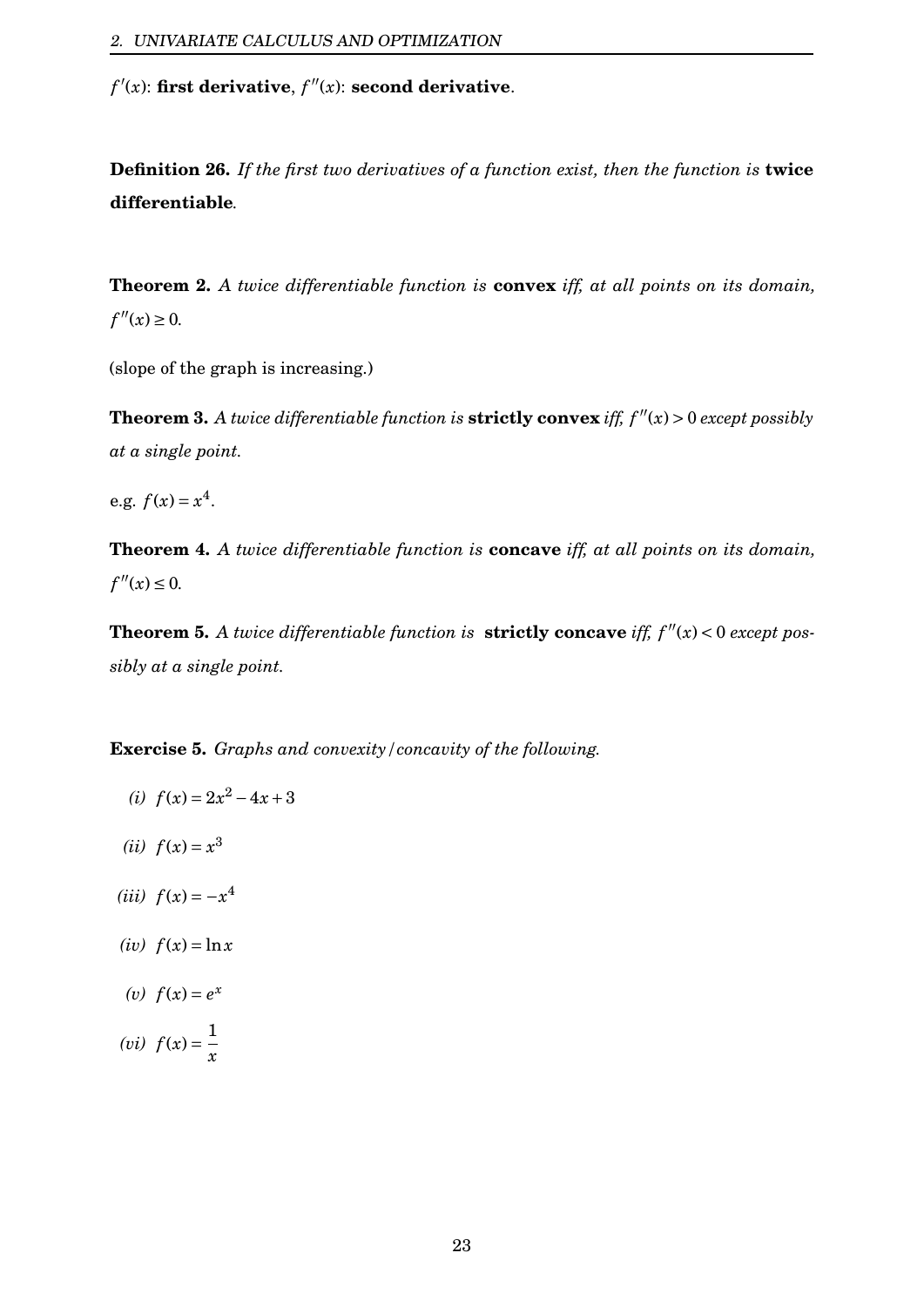$f'(x)$ : **first derivative**,  $f''(x)$ : **second derivative**.

**Definition 26.** *If the first two derivatives of a function exist, then the function is* **twice differentiable***.*

**Theorem 2.** *A twice differentiable function is* **convex** *iff, at all points on its domain,*  $f''(x) \ge 0$ .

(slope of the graph is increasing.)

**Theorem 3.** A twice differentiable function is **strictly convex** iff,  $f''(x) > 0$  except possibly *at a single point.*

e.g.  $f(x) = x^4$ .

**Theorem 4.** *A twice differentiable function is* **concave** *iff, at all points on its domain,*  $f''(x) \le 0$ .

**Theorem 5.** A twice differentiable function is **strictly concave** iff,  $f''(x) < 0$  except pos*sibly at a single point.*

**Exercise 5.** *Graphs and convexity/concavity of the following.*

(i) 
$$
f(x) = 2x^2 - 4x + 3
$$

- (*ii*)  $f(x) = x^3$
- $(iii) f(x) = -x^4$
- $(iv)$   $f(x) = \ln x$
- (*v*)  $f(x) = e^x$
- (*vi*)  $f(x) = \frac{1}{x}$ *x*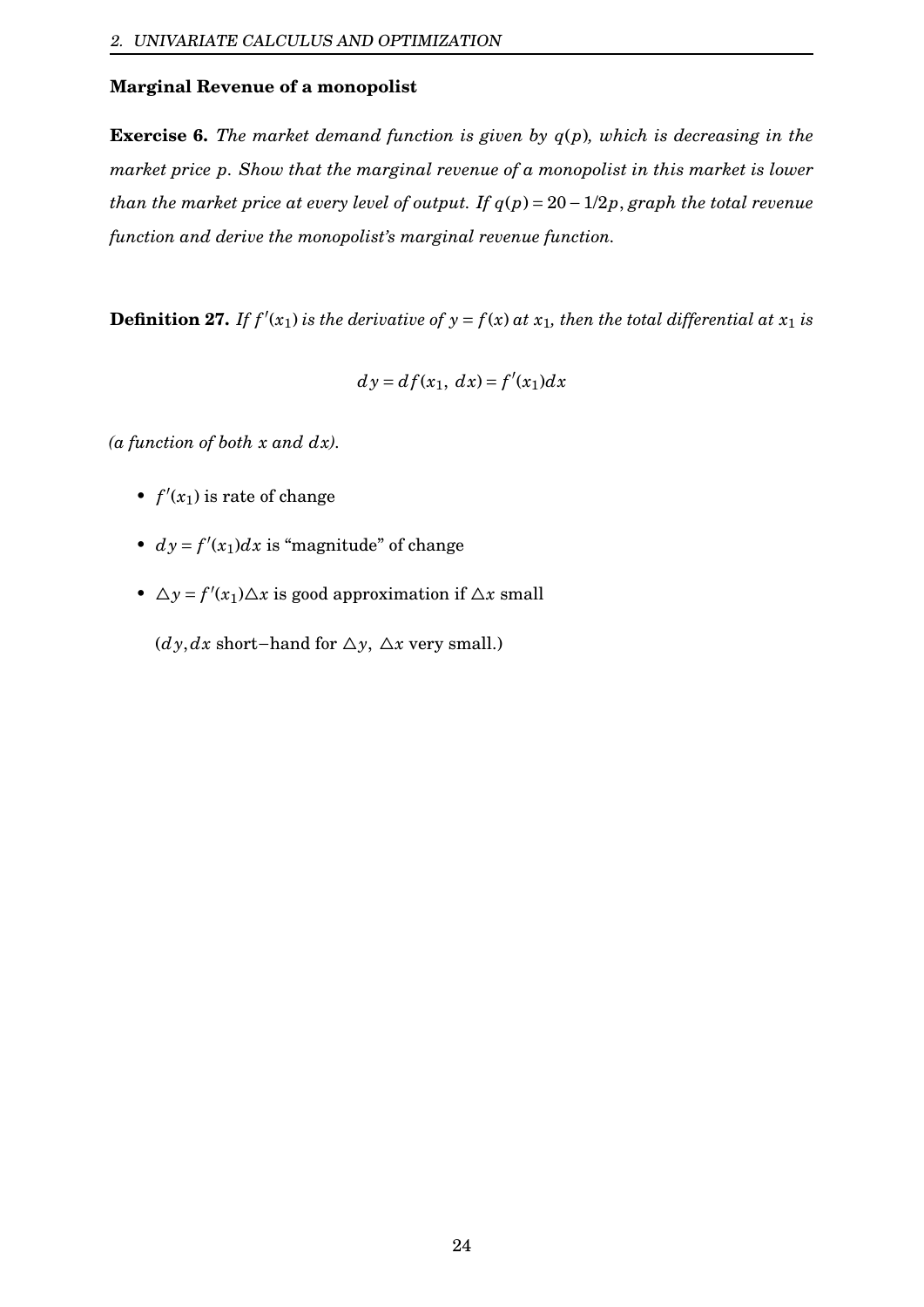#### **Marginal Revenue of a monopolist**

**Exercise 6.** *The market demand function is given by q*(*p*)*, which is decreasing in the market price p. Show that the marginal revenue of a monopolist in this market is lower than the market price at every level of output. If q*(*p*) = 20−1/2*p*, *graph the total revenue function and derive the monopolist's marginal revenue function.*

**Definition 27.** If  $f'(x_1)$  is the derivative of  $y = f(x)$  at  $x_1$ , then the total differential at  $x_1$  is

$$
dy = df(x_1, dx) = f'(x_1)dx
$$

*(a function of both x and dx).*

- $f'(x_1)$  is rate of change
- $dy = f'(x_1)dx$  is "magnitude" of change
- $\Delta y = f'(x_1) \Delta x$  is good approximation if  $\Delta x$  small

(*dy*,*dx* short−hand for  $\Delta y$ ,  $\Delta x$  very small.)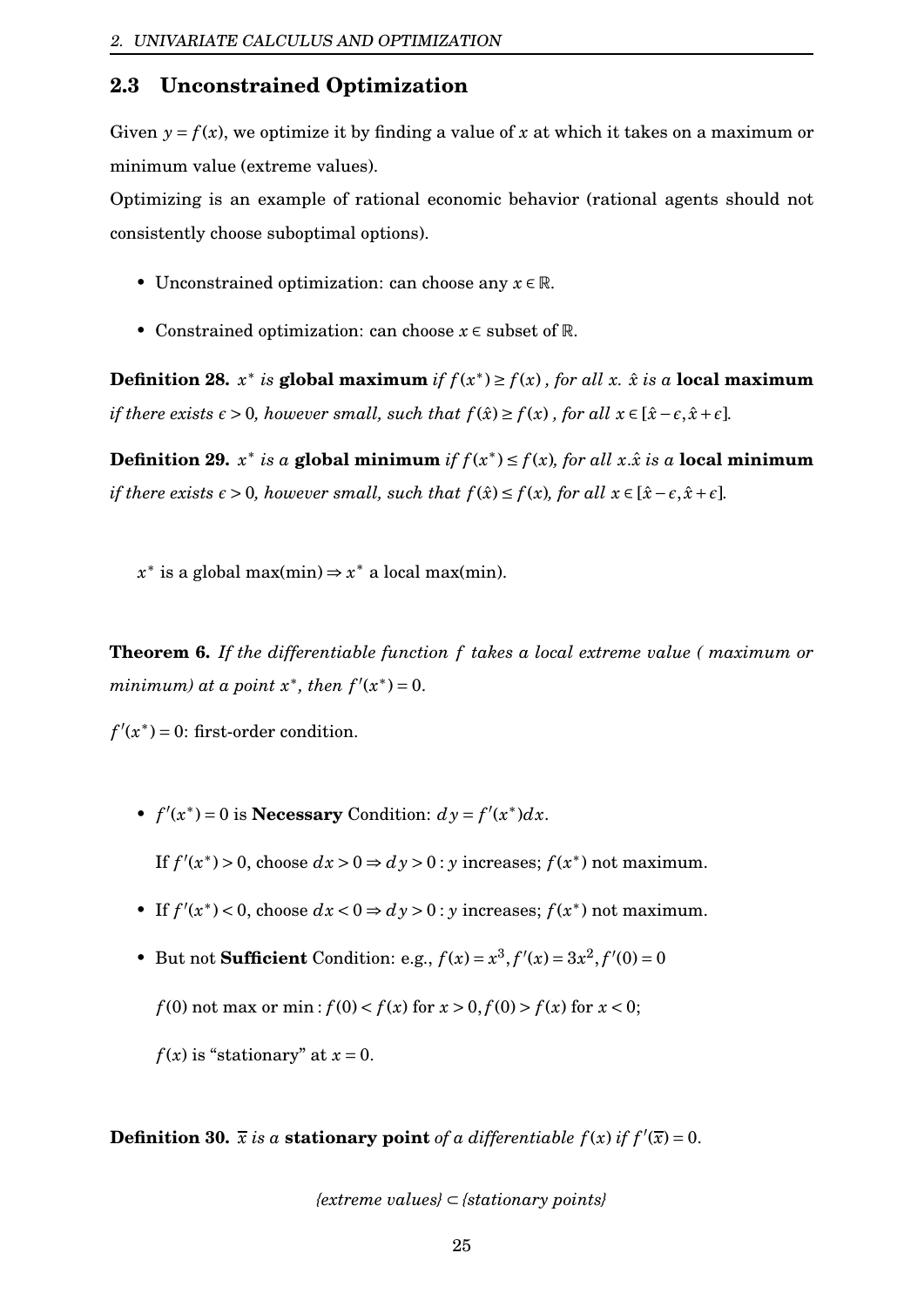## <span id="page-25-0"></span>**2.3 Unconstrained Optimization**

Given  $y = f(x)$ , we optimize it by finding a value of x at which it takes on a maximum or minimum value (extreme values).

Optimizing is an example of rational economic behavior (rational agents should not consistently choose suboptimal options).

- Unconstrained optimization: can choose any *x* ∈ R.
- Constrained optimization: can choose *x* ∈ subset of R.

**Definition 28.**  $x^*$  *is* global maximum *if*  $f(x^*) \ge f(x)$ , for all  $x$ *.*  $\hat{x}$  *is* a local maximum *if there exists*  $\epsilon > 0$ *, however small, such that*  $f(\hat{x}) \ge f(x)$ *, for all*  $x \in [\hat{x} - \epsilon, \hat{x} + \epsilon]$ *.* 

**Definition 29.**  $x^*$  *is*  $a$  **global minimum** *if*  $f(x^*) \leq f(x)$ *, for all*  $x.\hat{x}$  *is*  $a$  **local minimum** *if there exists*  $\epsilon > 0$ *, however small, such that*  $f(\hat{x}) \le f(x)$ *, for all*  $x \in [\hat{x} - \epsilon, \hat{x} + \epsilon]$ *.* 

 $x^*$  is a global max(min)  $\Rightarrow$   $x^*$  a local max(min).

**Theorem 6.** *If the differentiable function f takes a local extreme value ( maximum or minimum)* at a point  $x^*$ , then  $f'(x^*) = 0$ .

 $f'(x^*) = 0$ : first-order condition.

•  $f'(x^*) = 0$  is **Necessary** Condition:  $dy = f'(x^*)dx$ .

If  $f'(x^*) > 0$ , choose  $dx > 0 \Rightarrow dy > 0$ : *y* increases;  $f(x^*)$  not maximum.

- If  $f'(x^*)$  < 0, choose  $dx < 0 \Rightarrow dy > 0$ : *y* increases;  $f(x^*)$  not maximum.
- But not **Sufficient** Condition: e.g.,  $f(x) = x^3, f'(x) = 3x^2, f'(0) = 0$ 
	- *f* (0) not max or min:  $f(0) < f(x)$  for  $x > 0$ ,  $f(0) > f(x)$  for  $x < 0$ ;

 $f(x)$  is "stationary" at  $x = 0$ .

**Definition 30.**  $\bar{x}$  *is a* **stationary point** of a differentiable  $f(x)$  if  $f'(\bar{x}) = 0$ .

*{extreme values}* ⊂ *{stationary points}*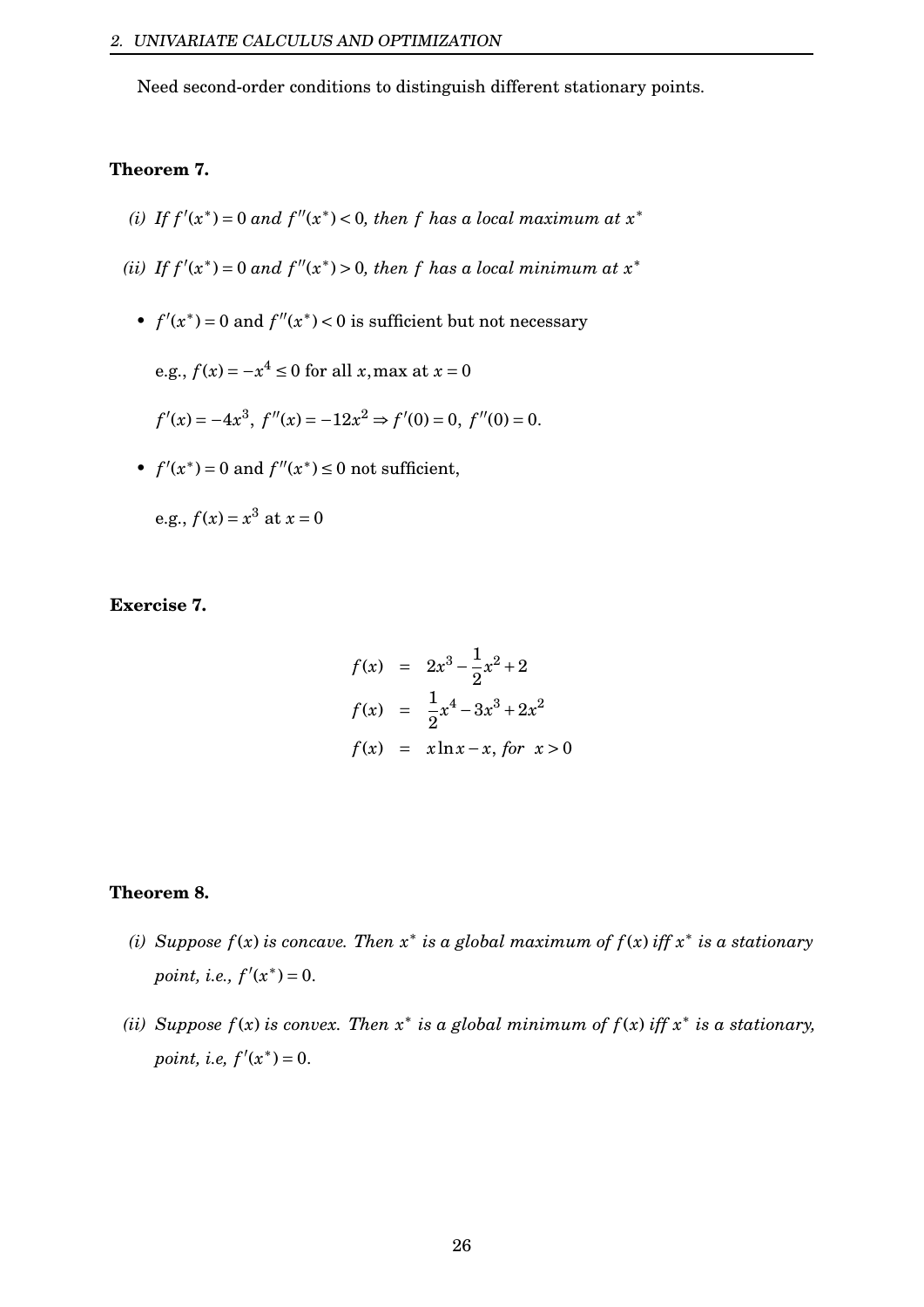Need second-order conditions to distinguish different stationary points.

#### **Theorem 7.**

- (*i*) If  $f'(x^*) = 0$  and  $f''(x^*) < 0$ , then f has a local maximum at  $x^*$
- (*ii*) If  $f'(x^*) = 0$  and  $f''(x^*) > 0$ , then f has a local minimum at  $x^*$ 
	- $f'(x^*) = 0$  and  $f''(x^*) < 0$  is sufficient but not necessary

e.g.,  $f(x) = -x^4 \le 0$  for all *x*, max at  $x = 0$ 

 $f'(x) = -4x^3$ ,  $f''(x) = -12x^2 \Rightarrow f'(0) = 0$ ,  $f''(0) = 0$ .

•  $f'(x^*) = 0$  and  $f''(x^*) \le 0$  not sufficient,

e.g.,  $f(x) = x^3$  at  $x = 0$ 

### **Exercise 7.**

$$
f(x) = 2x^3 - \frac{1}{2}x^2 + 2
$$
  
\n
$$
f(x) = \frac{1}{2}x^4 - 3x^3 + 2x^2
$$
  
\n
$$
f(x) = x \ln x - x, \text{ for } x > 0
$$

#### **Theorem 8.**

- *(i)* Suppose  $f(x)$  is concave. Then  $x^*$  is a global maximum of  $f(x)$  iff  $x^*$  is a stationary *point, i.e.,*  $f'(x^*) = 0$ .
- *(ii)* Suppose  $f(x)$  is convex. Then  $x^*$  is a global minimum of  $f(x)$  iff  $x^*$  is a stationary, *point, i.e,*  $f'(x^*) = 0$ .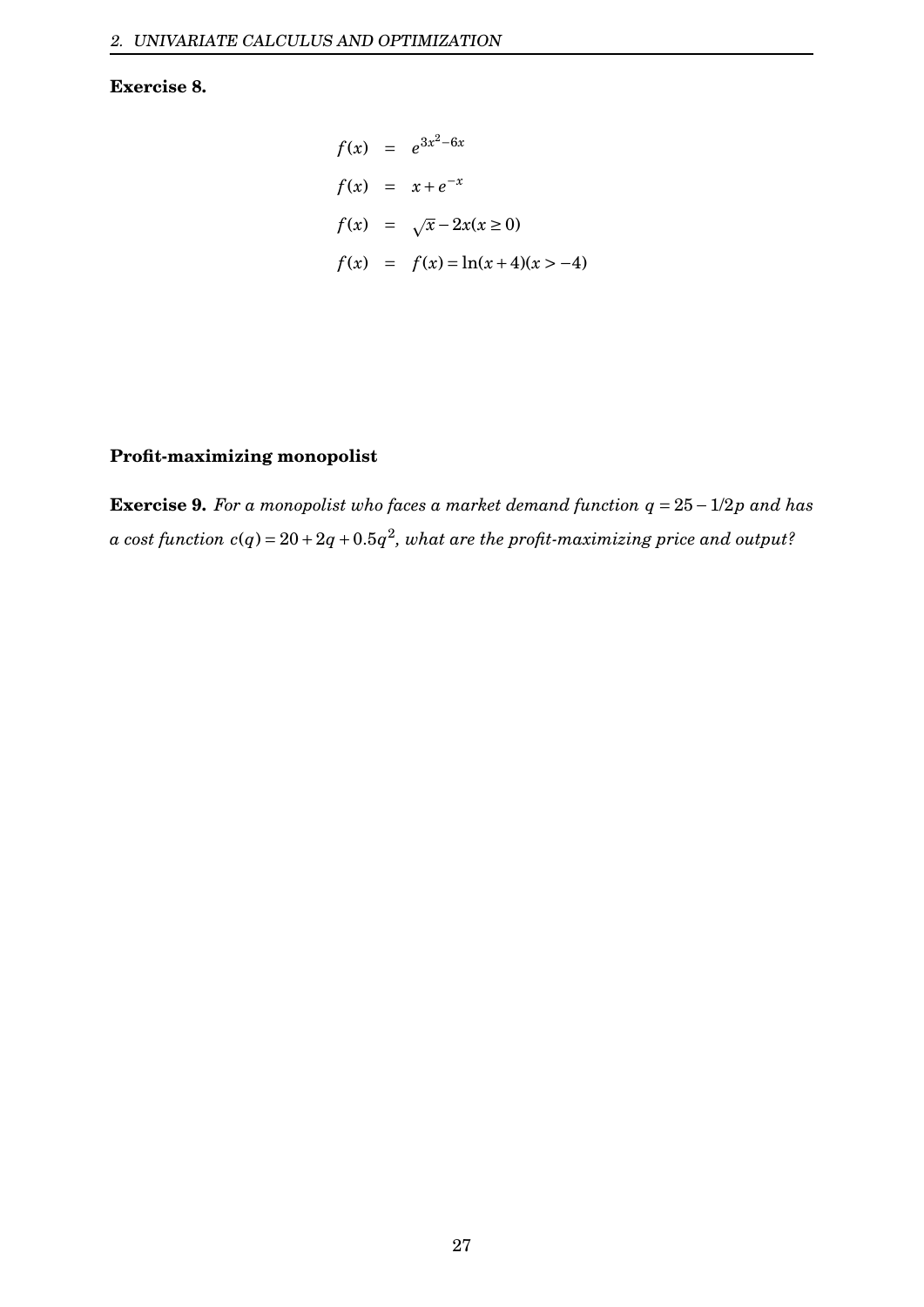## **Exercise 8.**

$$
f(x) = e^{3x^2 - 6x}
$$
  
\n
$$
f(x) = x + e^{-x}
$$
  
\n
$$
f(x) = \sqrt{x} - 2x(x \ge 0)
$$
  
\n
$$
f(x) = f(x) = \ln(x + 4)(x > -4)
$$

## **Profit-maximizing monopolist**

**Exercise 9.** *For a monopolist who faces a market demand function q* = 25−1/2*p and has*  $a$  cost function  $c(q)$  =  $20+2q+0.5q^2$ , what are the profit-maximizing price and output?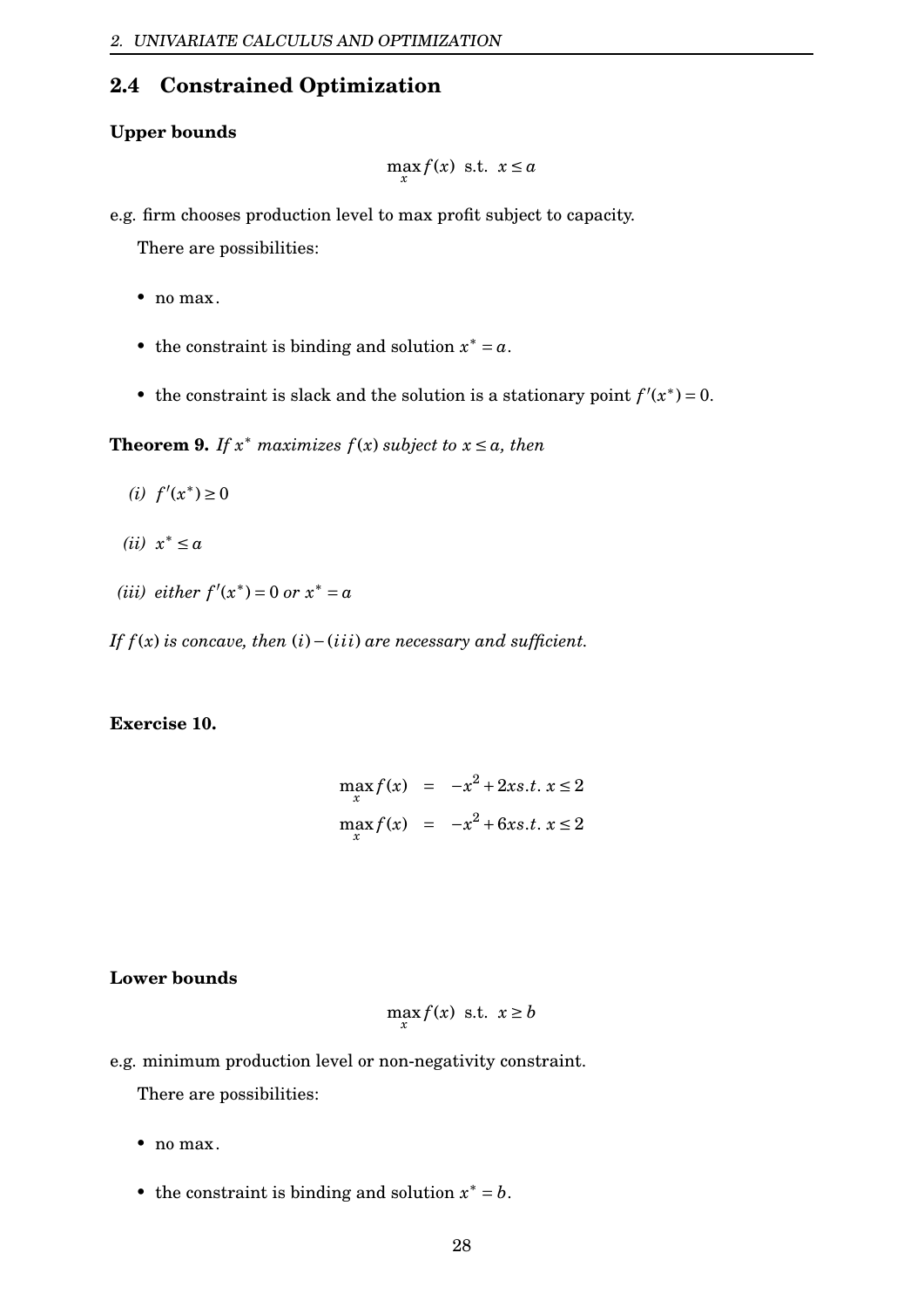# <span id="page-28-0"></span>**2.4 Constrained Optimization**

### **Upper bounds**

$$
\max_{x} f(x) \text{ s.t. } x \le a
$$

e.g. firm chooses production level to max profit subject to capacity.

There are possibilities:

- no max.
- the constraint is binding and solution  $x^* = a$ .
- the constraint is slack and the solution is a stationary point  $f'(x^*) = 0$ .

**Theorem 9.** If  $x^*$  maximizes  $f(x)$  subject to  $x \le a$ , then

- (*i*)  $f'(x^*)$  ≥ 0
- *(ii) x* <sup>∗</sup> ≤ *a*
- (*iii*) *either*  $f'(x^*) = 0$  *or*  $x^* = a$

*If*  $f(x)$  *is concave, then*  $(i) −(iii)$  *are necessary and sufficient.* 

### **Exercise 10.**

$$
\max_{x} f(x) = -x^2 + 2xs.t. x \le 2
$$
  

$$
\max_{x} f(x) = -x^2 + 6xs.t. x \le 2
$$

## **Lower bounds**

$$
\max_{x} f(x) \text{ s.t. } x \ge b
$$

e.g. minimum production level or non-negativity constraint.

There are possibilities:

- no max.
- the constraint is binding and solution  $x^* = b$ .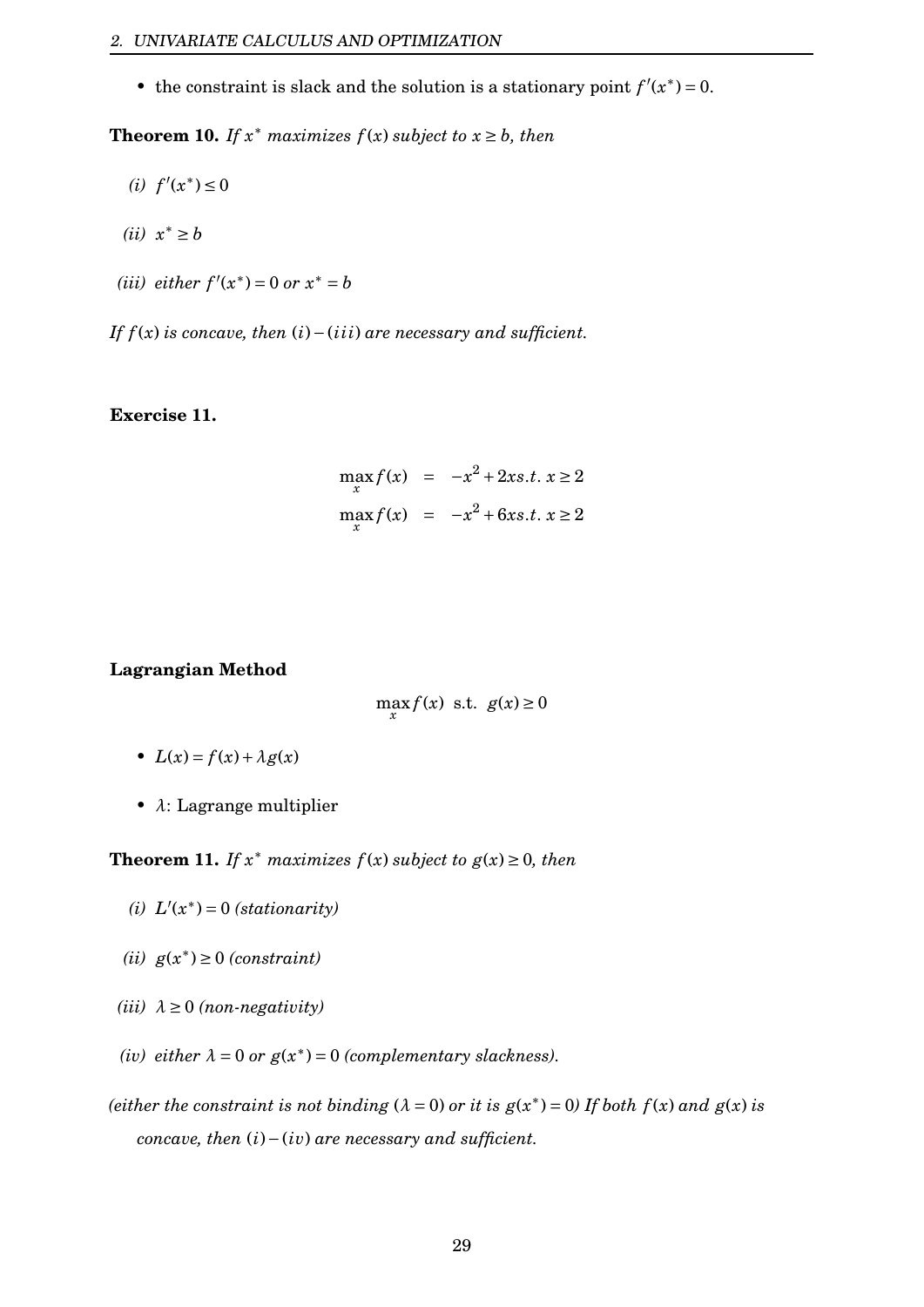• the constraint is slack and the solution is a stationary point  $f'(x^*) = 0$ .

**Theorem 10.** *If*  $x^*$  *maximizes*  $f(x)$  *subject* to  $x \ge b$ *, then* 

- (*i*)  $f'(x^*)$  ≤ 0
- $(ii)$  *x*<sup>\*</sup> ≥ *b*
- (*iii*) *either*  $f'(x^*) = 0$  *or*  $x^* = b$

*If*  $f(x)$  *is concave, then*  $(i) −(iii)$  *are necessary and sufficient.* 

#### **Exercise 11.**

$$
\max_{x} f(x) = -x^2 + 2xs.t. x \ge 2
$$
  

$$
\max_{x} f(x) = -x^2 + 6xs.t. x \ge 2
$$

#### **Lagrangian Method**

$$
\max_{x} f(x) \text{ s.t. } g(x) \ge 0
$$

- $L(x) = f(x) + \lambda g(x)$
- *λ*: Lagrange multiplier

**Theorem 11.** *If*  $x^*$  *maximizes*  $f(x)$  *subject to*  $g(x) \geq 0$ *, then* 

- (*i*)  $L'(x^*) = 0$  (*stationarity*)
- *(ii) g*(*x* ∗ ) ≥ 0 *(constraint)*
- $(iii)$   $\lambda \geq 0$  *(non-negativity)*
- *(iv) either*  $\lambda = 0$  *or*  $g(x^*) = 0$  *(complementary slackness).*
- *(either the constraint is not binding*  $(\lambda = 0)$  *or it is*  $g(x^*) = 0$  *If both*  $f(x)$  *and*  $g(x)$  *is concave, then* (*i*)−(*iv*) *are necessary and sufficient.*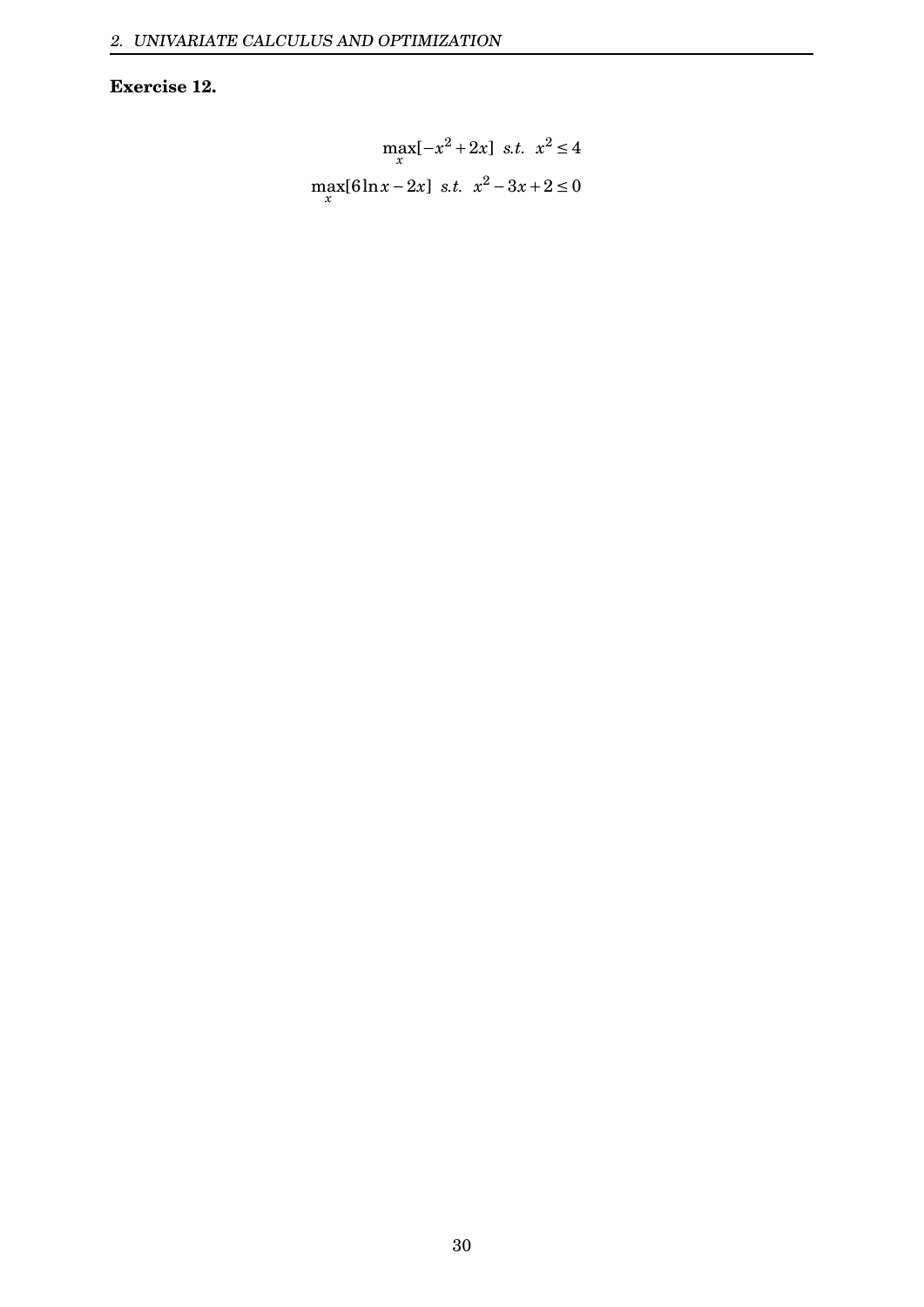## **Exercise 12.**

$$
\max_{x} [-x^2 + 2x] \text{ s.t. } x^2 \le 4
$$
  

$$
\max_{x} [6\ln x - 2x] \text{ s.t. } x^2 - 3x + 2 \le 0
$$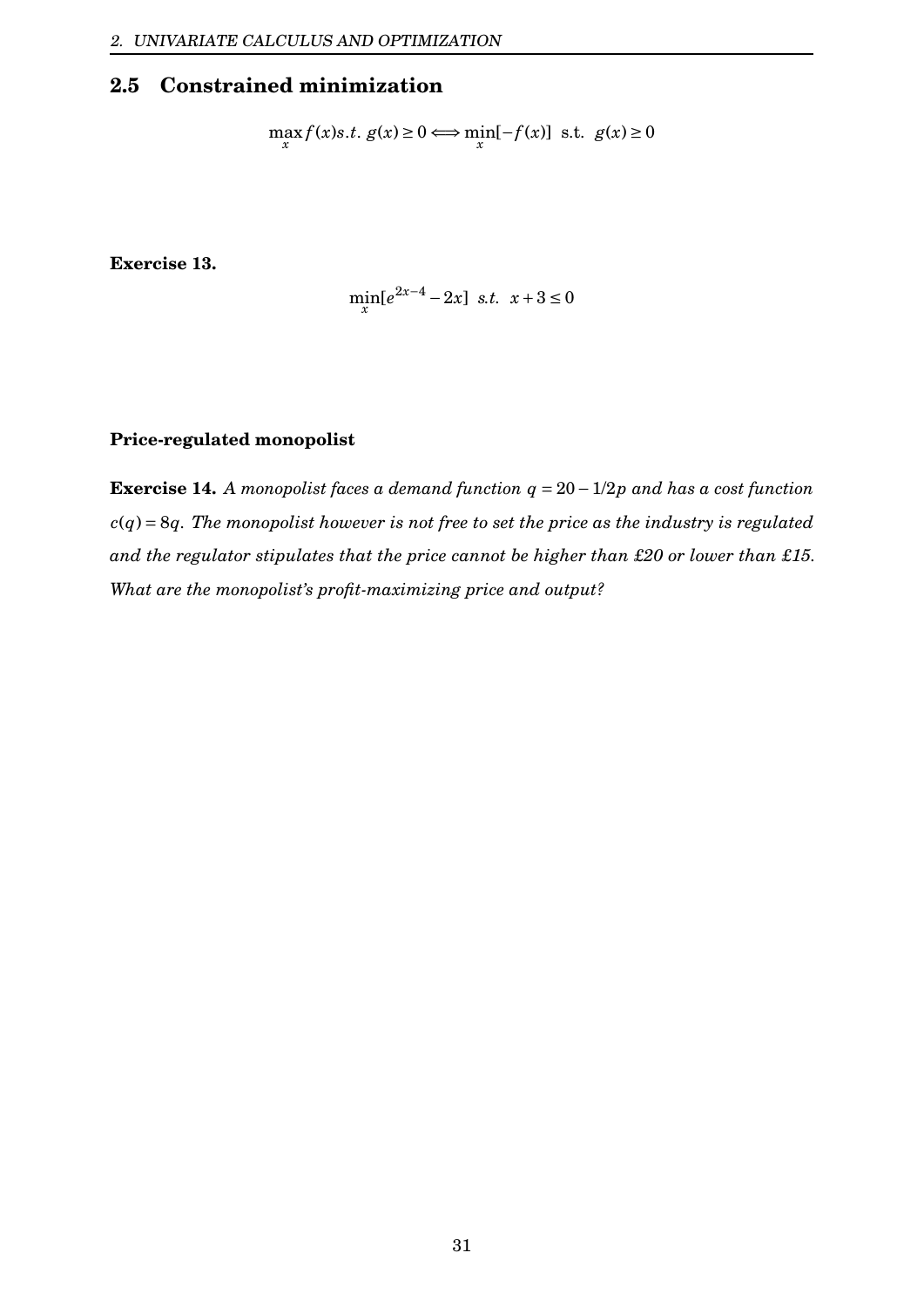# <span id="page-31-0"></span>**2.5 Constrained minimization**

$$
\max_{x} f(x)s.t. g(x) \ge 0 \Longleftrightarrow \min_{x} [-f(x)] \text{ s.t. } g(x) \ge 0
$$

**Exercise 13.**

$$
\min_{x} \left[e^{2x-4} - 2x\right] \text{ s.t. } x+3 \le 0
$$

### **Price-regulated monopolist**

**Exercise 14.** *A monopolist faces a demand function q* = 20−1/2*p and has a cost function c*(*q*) = 8*q. The monopolist however is not free to set the price as the industry is regulated and the regulator stipulates that the price cannot be higher than £20 or lower than £15. What are the monopolist's profit-maximizing price and output?*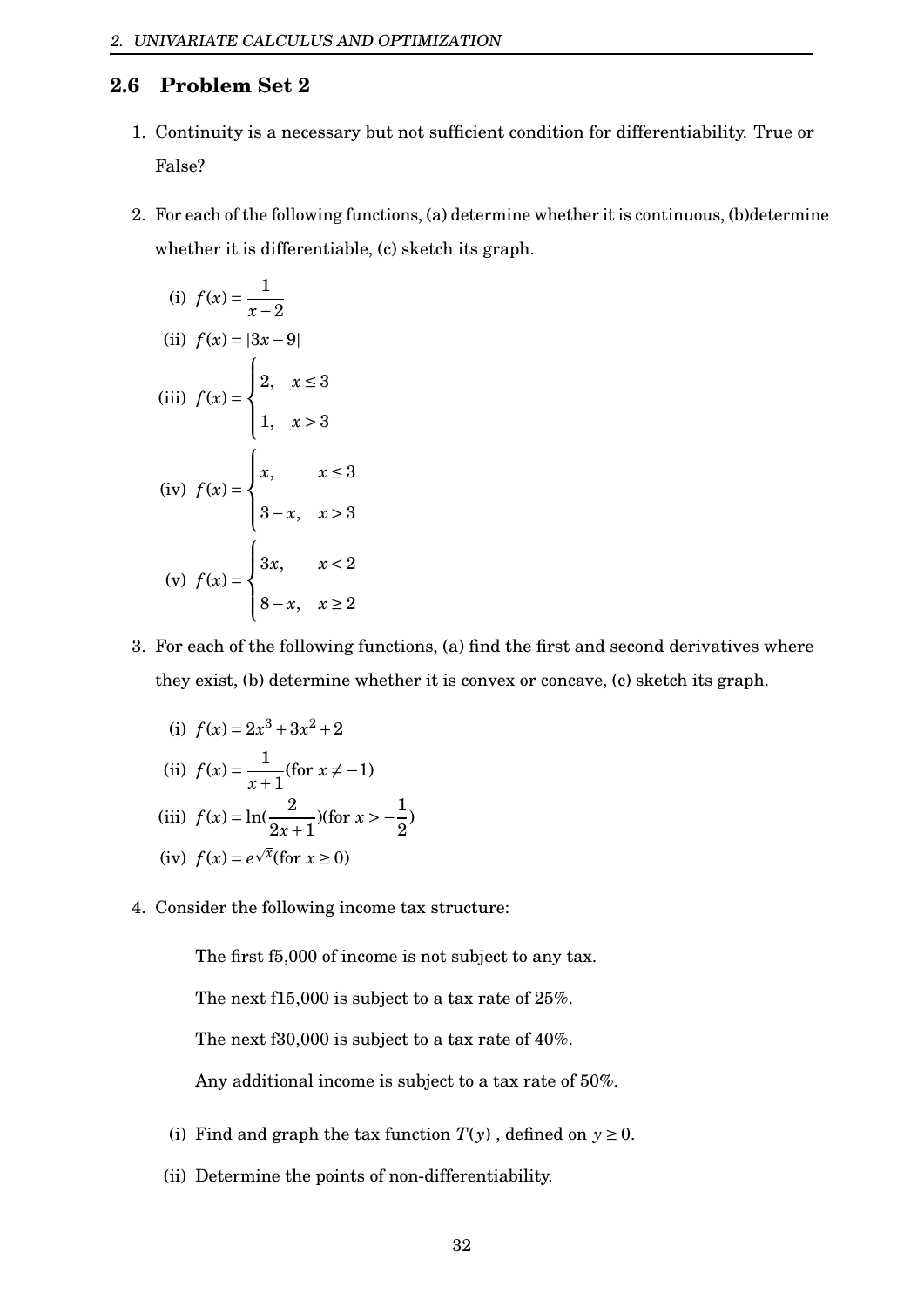## <span id="page-32-0"></span>**2.6 Problem Set 2**

- 1. Continuity is a necessary but not sufficient condition for differentiability. True or False?
- 2. For each of the following functions, (a) determine whether it is continuous, (b)determine whether it is differentiable, (c) sketch its graph.

(i) 
$$
f(x) = \frac{1}{x-2}
$$
  
\n(ii)  $f(x) = |3x-9|$   
\n(iii)  $f(x) = \begin{cases} 2, & x \le 3 \\ 1, & x > 3 \end{cases}$   
\n(iv)  $f(x) = \begin{cases} x, & x \le 3 \\ 3-x, & x > 3 \\ 8-x, & x \ge 2 \end{cases}$ 

- 3. For each of the following functions, (a) find the first and second derivatives where they exist, (b) determine whether it is convex or concave, (c) sketch its graph.
	- (i)  $f(x) = 2x^3 + 3x^2 + 2$ (ii)  $f(x) = \frac{1}{x}$ *x*+1 (for  $x \neq -1$ ) (iii)  $f(x) = \ln(\frac{2}{2})$  $\frac{2x+1}{2}$ )(for *x* > − $\frac{1}{2}$ 2 (iv)  $f(x) = e^{\sqrt{x}}$  (for  $x \ge 0$ )
- 4. Consider the following income tax structure:

The first f5,000 of income is not subject to any tax.

)

The next f15,000 is subject to a tax rate of 25%.

The next f30,000 is subject to a tax rate of 40%.

Any additional income is subject to a tax rate of 50%.

- (i) Find and graph the tax function  $T(y)$ , defined on  $y \ge 0$ .
- (ii) Determine the points of non-differentiability.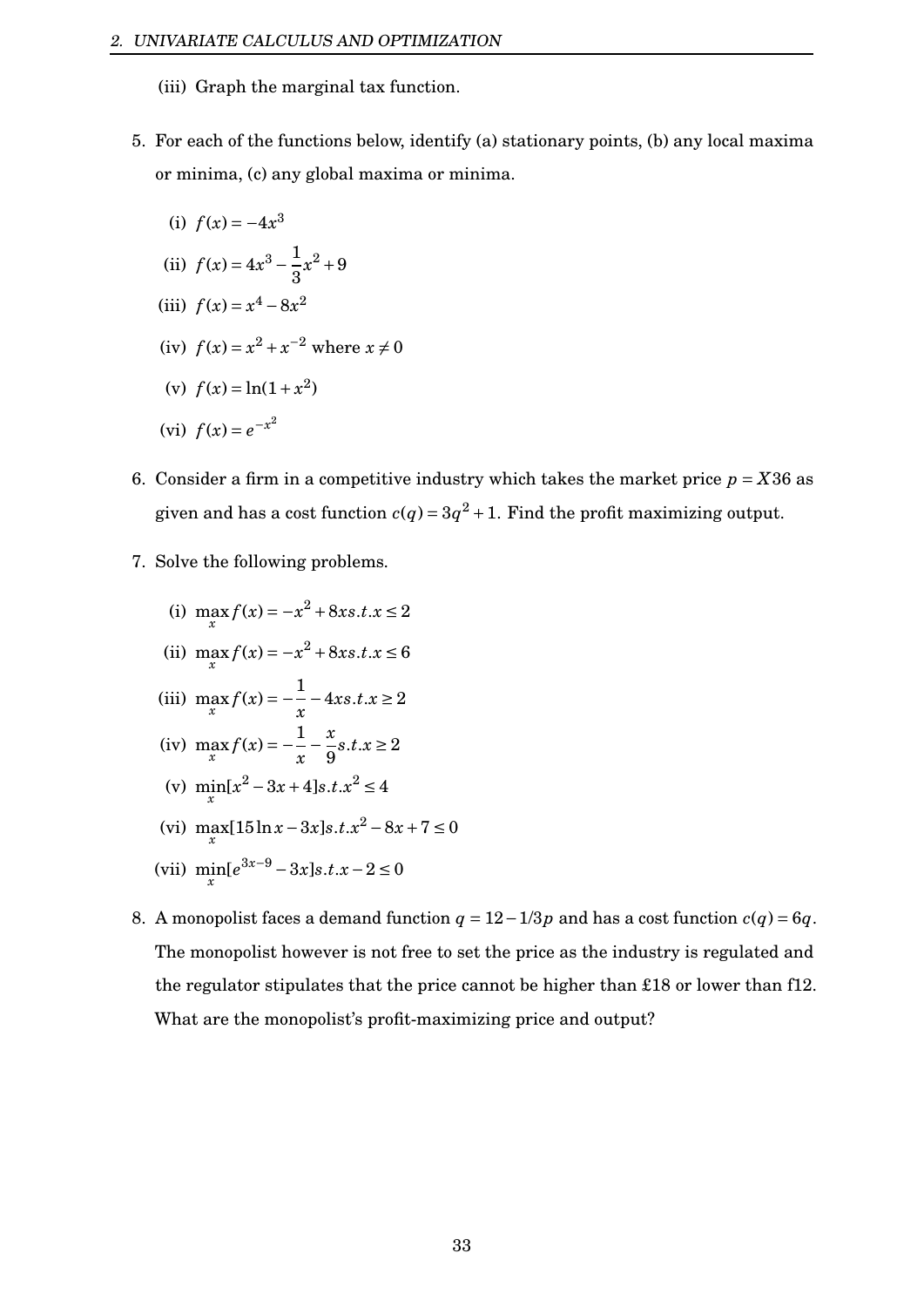- (iii) Graph the marginal tax function.
- 5. For each of the functions below, identify (a) stationary points, (b) any local maxima or minima, (c) any global maxima or minima.
	- (i)  $f(x) = -4x^3$ (ii)  $f(x) = 4x^3 - \frac{1}{2}$ 3  $x^2 + 9$ (iii)  $f(x) = x^4 - 8x^2$ (iv)  $f(x) = x^2 + x^{-2}$  where  $x \neq 0$ (v)  $f(x) = \ln(1 + x^2)$ (vi)  $f(x) = e^{-x^2}$
- 6. Consider a firm in a competitive industry which takes the market price  $p = X36$  as given and has a cost function  $c(q) = 3q^2 + 1$ . Find the profit maximizing output.
- 7. Solve the following problems.

(i) 
$$
\max_{x} f(x) = -x^2 + 8xs.t.x \le 2
$$

- (ii)  $\max_{x} f(x) = -x^2 + 8xs.t.x \le 6$
- (iii)  $\max_{x} f(x) = -\frac{1}{x}$ *x* −4*xs*.*t*.*x* ≥ 2
- (iv)  $\max_{x} f(x) = -\frac{1}{x}$ *x* − *x* 9  $s.t. x \geq 2$
- (v)  $\min_{x} [x^2 3x + 4]s.t. x^2 \le 4$
- (vi)  $\max_{x}$  [15 ln*x*−3*x*]*s*.*t*.*x*<sup>2</sup> − 8*x* + 7 ≤ 0
- (vii)  $\min_{x} [e^{3x-9} 3x]s.t.x 2 \le 0$
- 8. A monopolist faces a demand function  $q = 12 1/3p$  and has a cost function  $c(q) = 6q$ . The monopolist however is not free to set the price as the industry is regulated and the regulator stipulates that the price cannot be higher than £18 or lower than f12. What are the monopolist's profit-maximizing price and output?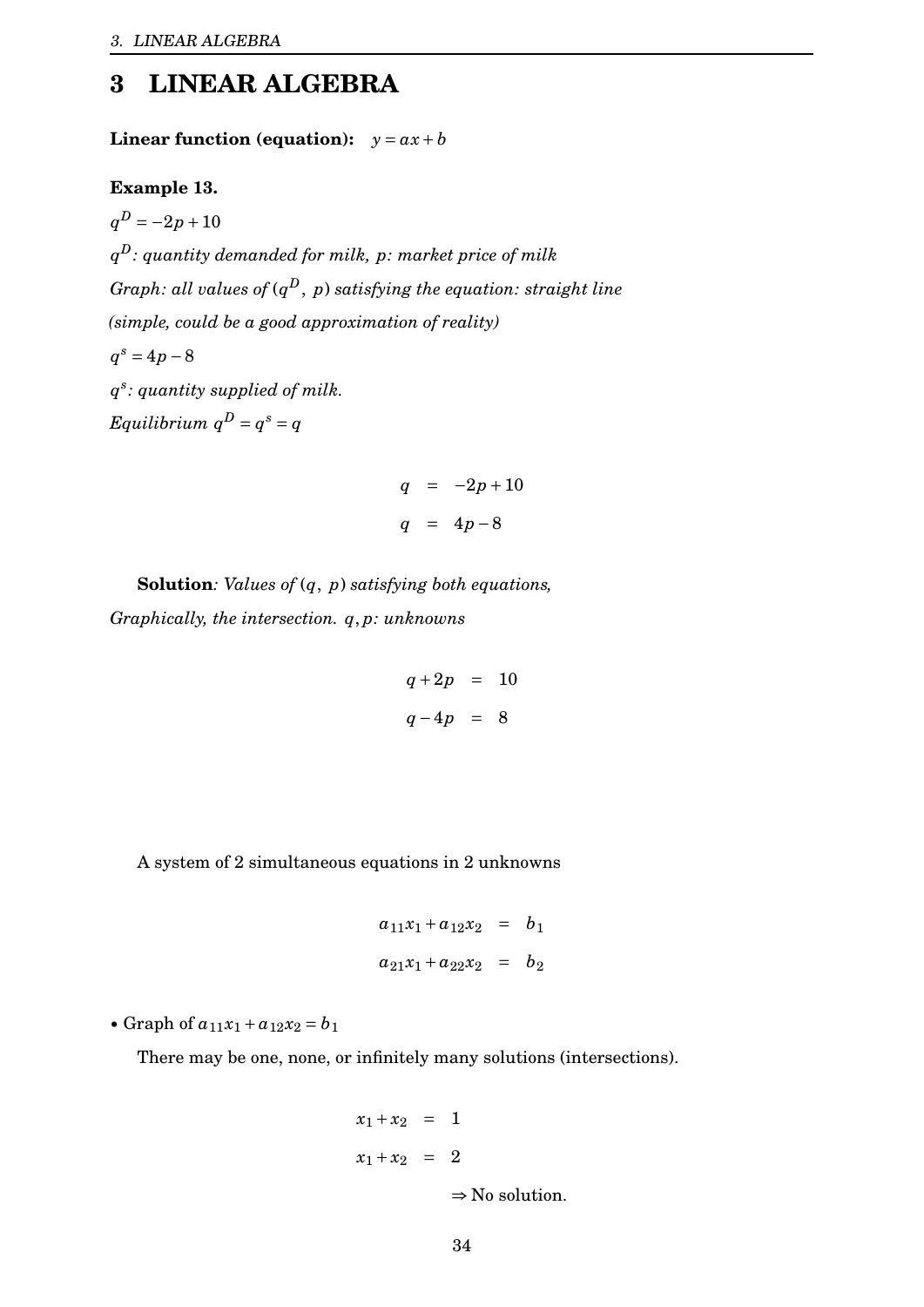# <span id="page-34-0"></span>**3 LINEAR ALGEBRA**

**Linear function (equation):**  $y = ax + b$ 

**Example 13.**

 $q^D = -2p + 10$ *q <sup>D</sup>: quantity demanded for milk, p: market price of milk Graph: all values of* (*q <sup>D</sup>*, *p*) *satisfying the equation: straight line (simple, could be a good approximation of reality)*  $q^s = 4p - 8$ *q s : quantity supplied of milk.*  $Equilibrium$   $q^D = q^s = q$ 

$$
q = -2p + 10
$$
  

$$
q = 4p - 8
$$

**Solution***: Values of* (*q*, *p*) *satisfying both equations, Graphically, the intersection. q*, *p: unknowns*

$$
q + 2p = 10
$$
  

$$
q - 4p = 8
$$

A system of 2 simultaneous equations in 2 unknowns

$$
a_{11}x_1 + a_{12}x_2 = b_1
$$
  

$$
a_{21}x_1 + a_{22}x_2 = b_2
$$

• Graph of  $a_{11}x_1 + a_{12}x_2 = b_1$ 

There may be one, none, or infinitely many solutions (intersections).

$$
x_1 + x_2 = 1
$$
  

$$
x_1 + x_2 = 2
$$
  

$$
\Rightarrow \text{No solution.}
$$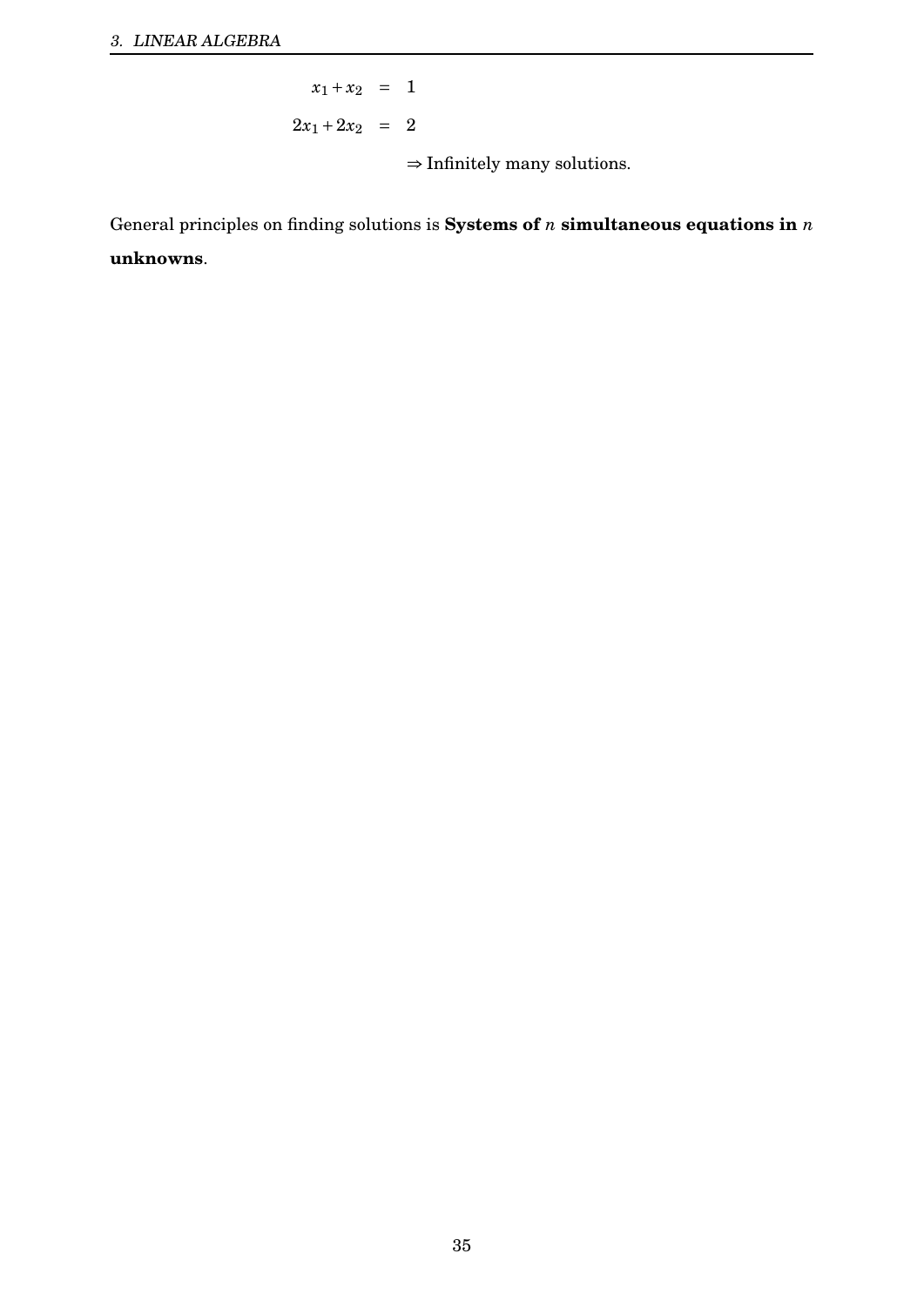$x_1 + x_2 = 1$  $2x_1 + 2x_2 = 2$  $\Rightarrow$  Infinitely many solutions.

General principles on finding solutions is **Systems of**  $n$  **simultaneous equations in**  $n$ **unknowns**.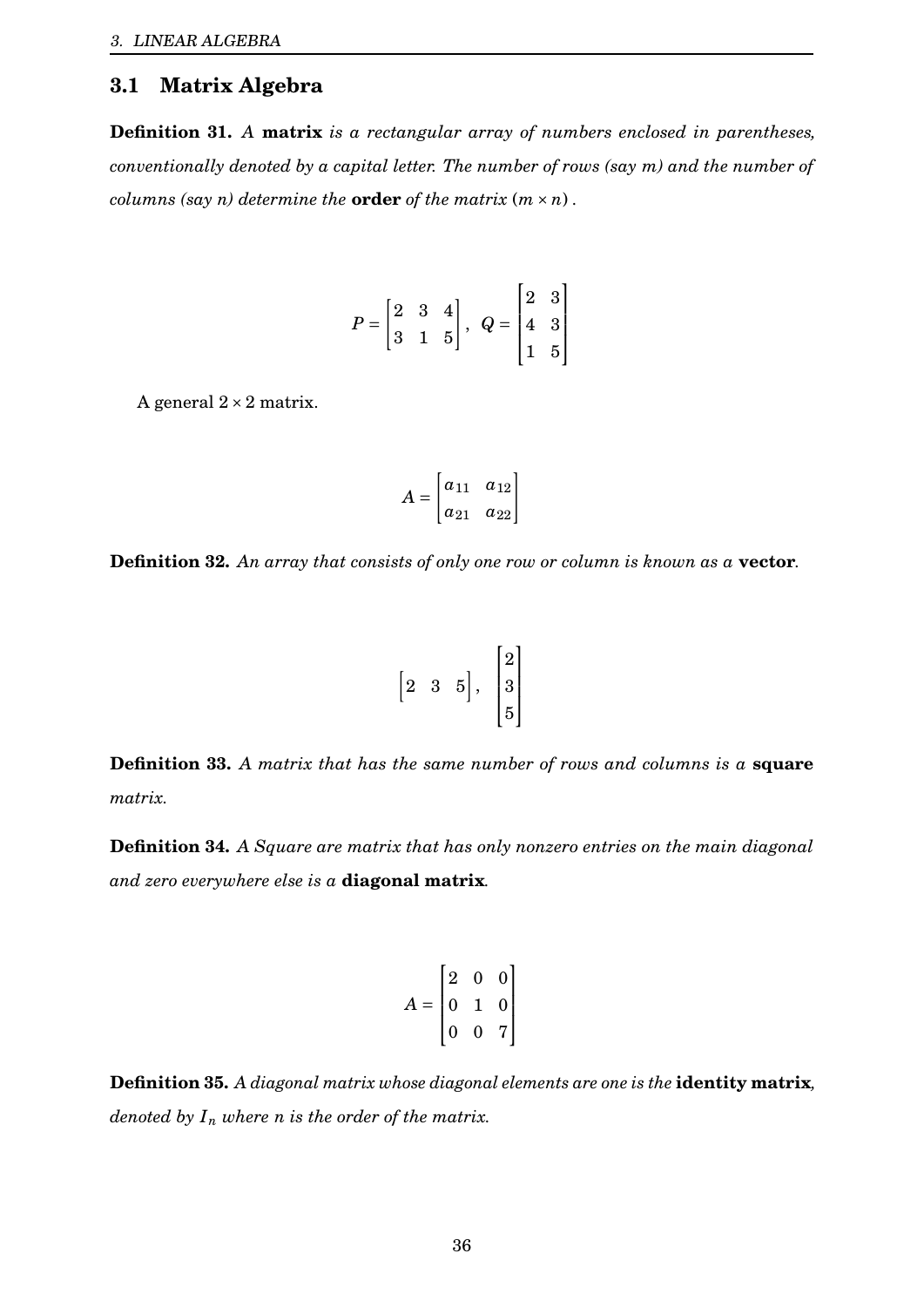# <span id="page-36-0"></span>**3.1 Matrix Algebra**

**Definition 31.** *A* **matrix** *is a rectangular array of numbers enclosed in parentheses, conventionally denoted by a capital letter. The number of rows (say m) and the number of columns (say n) determine the order of the matrix*  $(m \times n)$ *.* 

$$
P = \begin{bmatrix} 2 & 3 & 4 \\ 3 & 1 & 5 \end{bmatrix}, \ \ Q = \begin{bmatrix} 2 & 3 \\ 4 & 3 \\ 1 & 5 \end{bmatrix}
$$

A general  $2 \times 2$  matrix.

$$
A = \begin{bmatrix} a_{11} & a_{12} \\ a_{21} & a_{22} \end{bmatrix}
$$

**Definition 32.** *An array that consists of only one row or column is known as a* **vector***.*

$$
\begin{bmatrix} 2 & 3 & 5 \end{bmatrix}, \begin{bmatrix} 2 \\ 3 \\ 5 \end{bmatrix}
$$

**Definition 33.** *A matrix that has the same number of rows and columns is a* **square** *matrix.*

**Definition 34.** *A Square are matrix that has only nonzero entries on the main diagonal and zero everywhere else is a* **diagonal matrix***.*

$$
A = \begin{bmatrix} 2 & 0 & 0 \\ 0 & 1 & 0 \\ 0 & 0 & 7 \end{bmatrix}
$$

**Definition 35.** *A diagonal matrix whose diagonal elements are one is the* **identity matrix***, denoted by*  $I_n$  *where n is the order of the matrix.*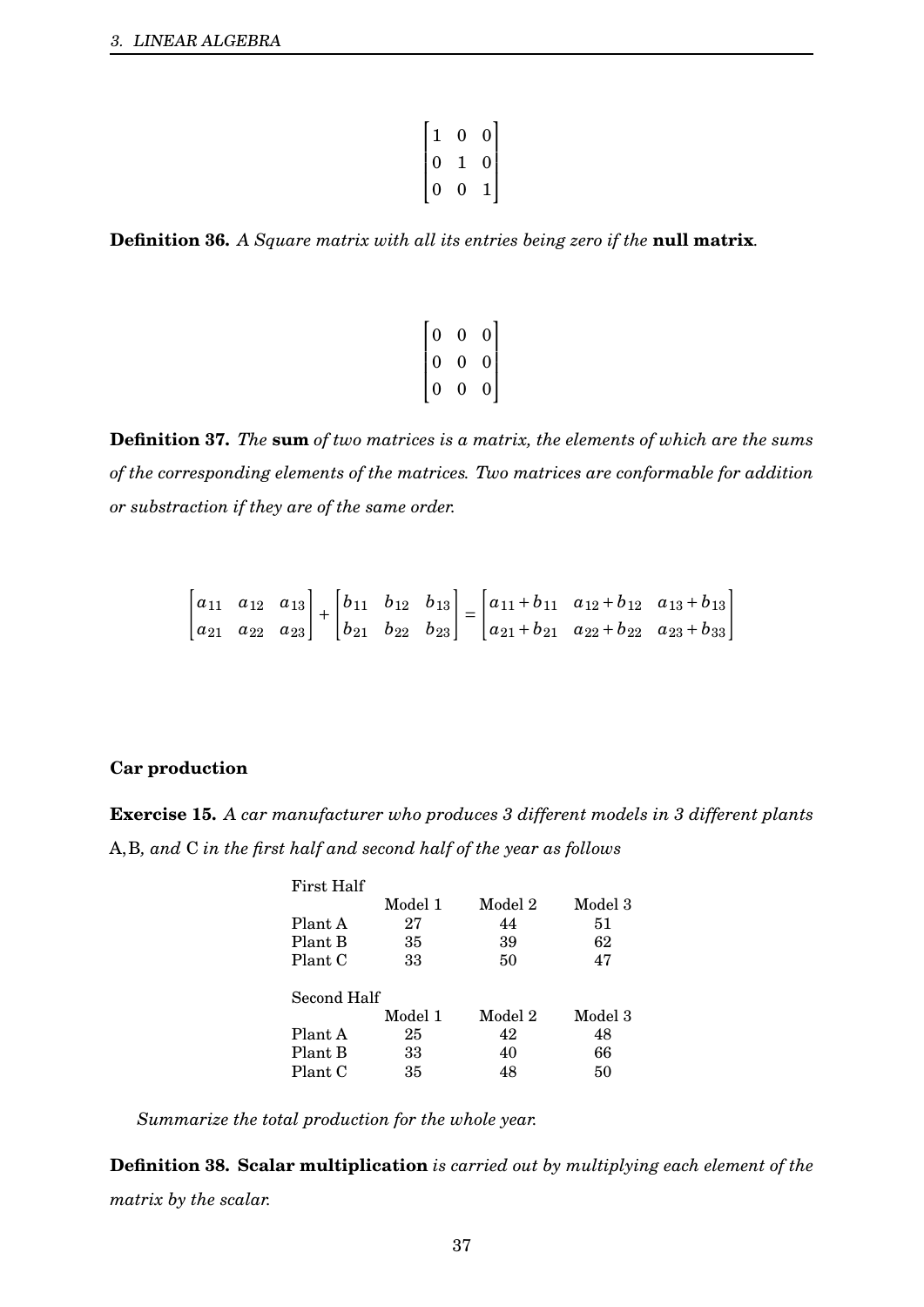| $\mathbf{1}$                     | $\overline{0}$ |                                           |
|----------------------------------|----------------|-------------------------------------------|
| $\blacksquare$<br>$\overline{0}$ | ı              | $\begin{bmatrix} 0 \ 0 \ 1 \end{bmatrix}$ |
| $\overline{0}$                   | 0              | $\overline{1}$                            |

**Definition 36.** *A Square matrix with all its entries being zero if the* **null matrix***.*

|                                           | 0 |                                             |  |
|-------------------------------------------|---|---------------------------------------------|--|
| $\begin{bmatrix} 0 \ 0 \ 0 \end{bmatrix}$ | 0 | $\begin{bmatrix} 0 \\ 0 \\ 0 \end{bmatrix}$ |  |
|                                           | 0 |                                             |  |

**Definition 37.** *The* **sum** *of two matrices is a matrix, the elements of which are the sums of the corresponding elements of the matrices. Two matrices are conformable for addition or substraction if they are of the same order.*

$$
\begin{bmatrix} a_{11} & a_{12} & a_{13} \ a_{21} & a_{22} & a_{23} \end{bmatrix} + \begin{bmatrix} b_{11} & b_{12} & b_{13} \ b_{21} & b_{22} & b_{23} \end{bmatrix} = \begin{bmatrix} a_{11} + b_{11} & a_{12} + b_{12} & a_{13} + b_{13} \ a_{21} + b_{21} & a_{22} + b_{22} & a_{23} + b_{33} \end{bmatrix}
$$

#### **Car production**

**Exercise 15.** *A car manufacturer who produces 3 different models in 3 different plants* A,B*, and* C *in the first half and second half of the year as follows*

| First Half  |         |         |         |  |  |
|-------------|---------|---------|---------|--|--|
|             | Model 1 | Model 2 | Model 3 |  |  |
| Plant A     | 27      | 44      | 51      |  |  |
| Plant B     | 35      | 39      | 62      |  |  |
| Plant C     | 33      | 50      | 47      |  |  |
| Second Half |         |         |         |  |  |
|             | Model 1 | Model 2 | Model 3 |  |  |
| Plant A     | 25      | 42      | 48      |  |  |
| Plant B     | 33      | 40      | 66      |  |  |
| Plant C     | 35      | 48      | 50      |  |  |

*Summarize the total production for the whole year.*

**Definition 38. Scalar multiplication** *is carried out by multiplying each element of the matrix by the scalar.*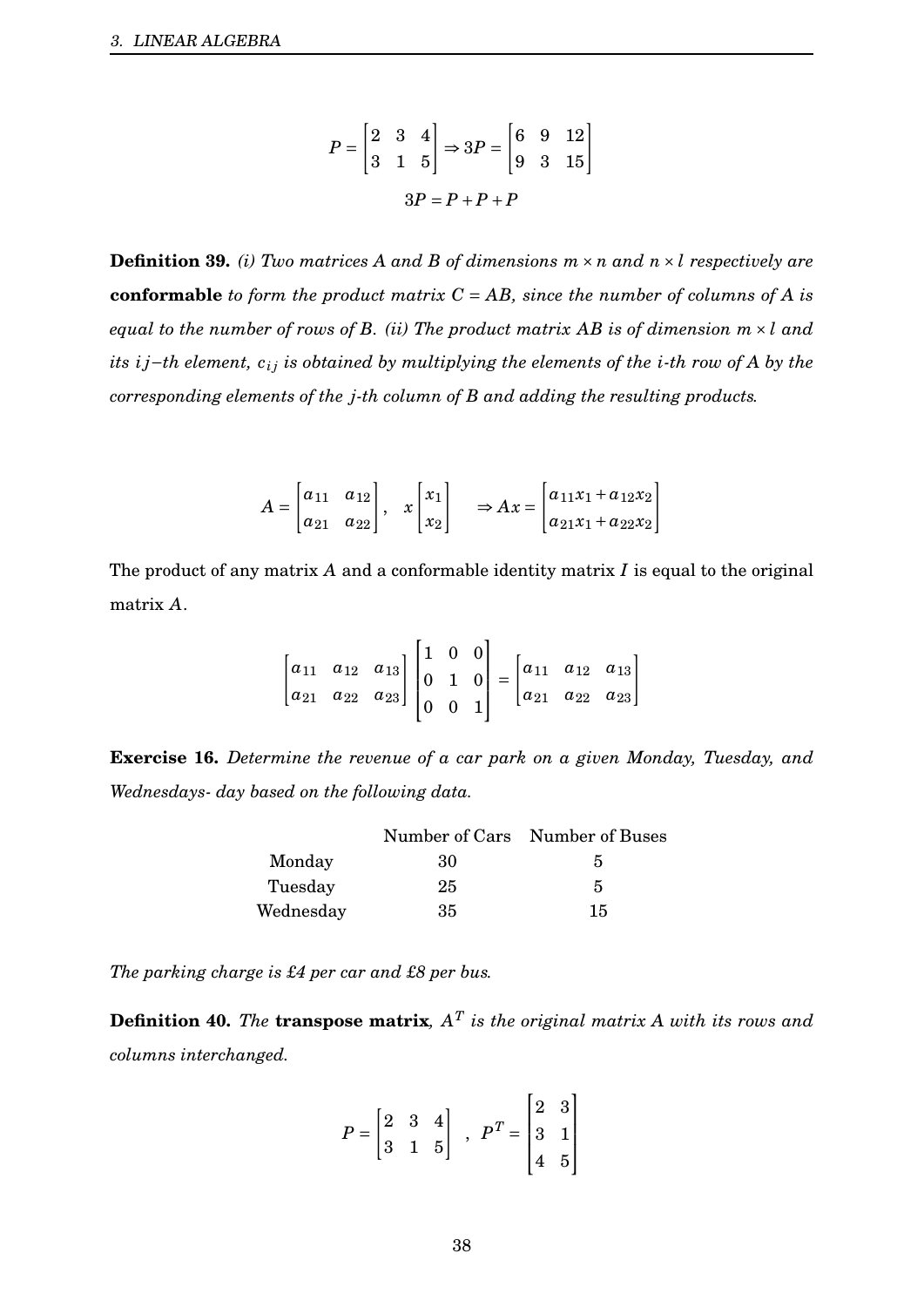$$
P = \begin{bmatrix} 2 & 3 & 4 \\ 3 & 1 & 5 \end{bmatrix} \Rightarrow 3P = \begin{bmatrix} 6 & 9 & 12 \\ 9 & 3 & 15 \end{bmatrix}
$$

$$
3P = P + P + P
$$

**Definition 39.** *(i) Two matrices A and B of dimensions*  $m \times n$  *and*  $n \times l$  *respectively are* **conformable** *to form the product matrix C* = *AB, since the number of columns of A is equal to the number of rows of B. (ii) The product matrix AB is of dimension m* × *l and its ij*−*th* element,  $c_i$  *j is obtained by multiplying the elements of the <i>i*-*th row of A by the corresponding elements of the j-th column of B and adding the resulting products.*

$$
A = \begin{bmatrix} a_{11} & a_{12} \\ a_{21} & a_{22} \end{bmatrix}, \quad x \begin{bmatrix} x_1 \\ x_2 \end{bmatrix} \quad \Rightarrow Ax = \begin{bmatrix} a_{11}x_1 + a_{12}x_2 \\ a_{21}x_1 + a_{22}x_2 \end{bmatrix}
$$

The product of any matrix *A* and a conformable identity matrix *I* is equal to the original matrix *A*.

$$
\begin{bmatrix} a_{11} & a_{12} & a_{13} \ a_{21} & a_{22} & a_{23} \end{bmatrix} \begin{bmatrix} 1 & 0 & 0 \ 0 & 1 & 0 \ 0 & 0 & 1 \end{bmatrix} = \begin{bmatrix} a_{11} & a_{12} & a_{13} \ a_{21} & a_{22} & a_{23} \end{bmatrix}
$$

**Exercise 16.** *Determine the revenue of a car park on a given Monday, Tuesday, and Wednesdays- day based on the following data.*

|           |    | Number of Cars Number of Buses |
|-----------|----|--------------------------------|
| Monday    | 30 | 5                              |
| Tuesday   | 25 | 5                              |
| Wednesday | 35 | 15                             |

*The parking charge is £4 per car and £8 per bus.*

**Definition 40.** *The* **transpose matrix***, A T is the original matrix A with its rows and columns interchanged.*

$$
P = \begin{bmatrix} 2 & 3 & 4 \\ 3 & 1 & 5 \end{bmatrix} , P^{T} = \begin{bmatrix} 2 & 3 \\ 3 & 1 \\ 4 & 5 \end{bmatrix}
$$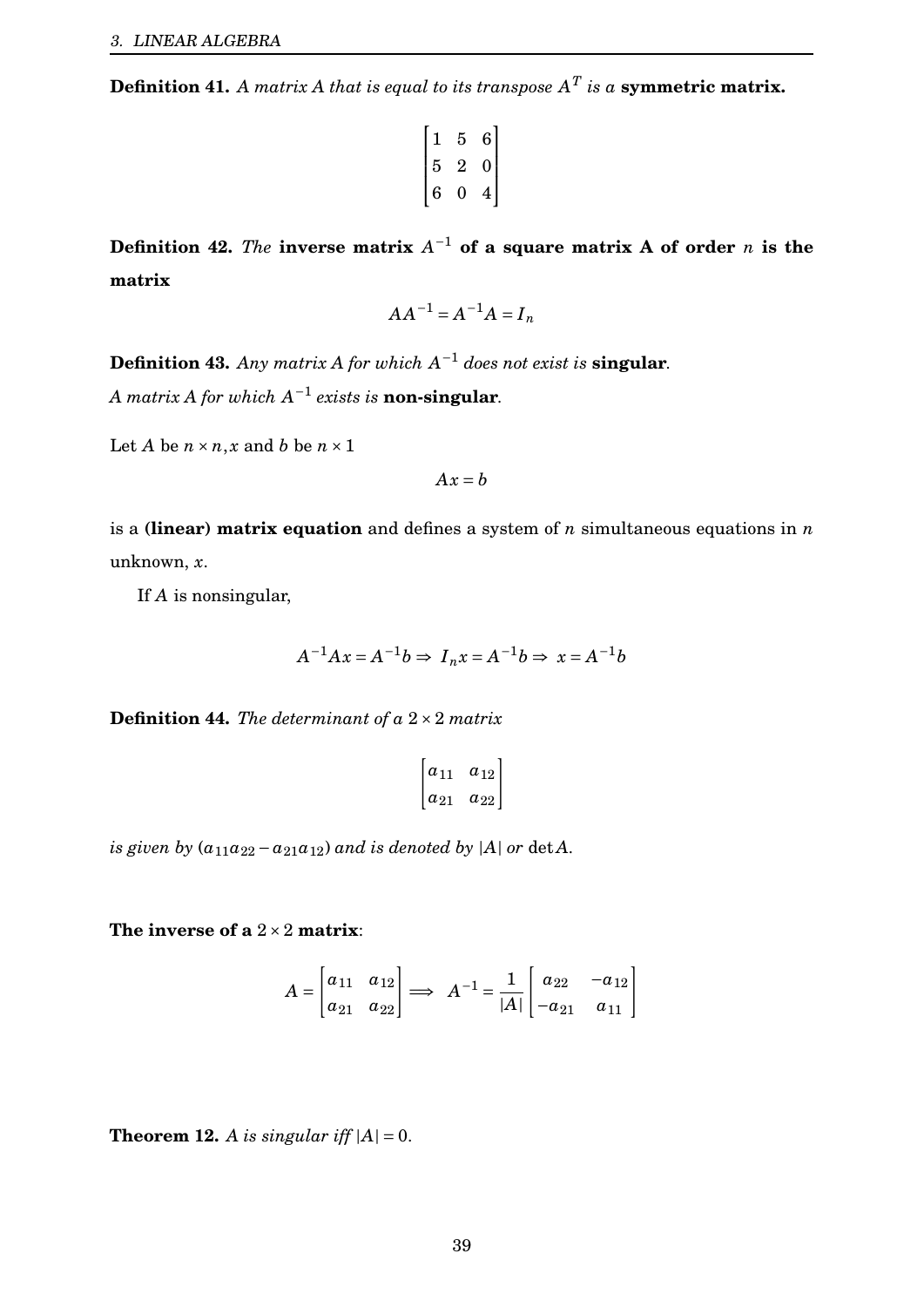**Definition 41.** A matrix A that is equal to its transpose  $A^T$  is a **symmetric matrix.** 

$$
\begin{bmatrix} 1 & 5 & 6 \ 5 & 2 & 0 \ 6 & 0 & 4 \end{bmatrix}
$$

**Definition 42.** *The* **inverse matrix**  $A^{-1}$  of a square matrix A of order *n* is the **matrix**

$$
AA^{-1} = A^{-1}A = I_n
$$

**Definition 43.** Any matrix A for which  $A^{-1}$  does not exist is **singular**.

 $A$  matrix  $A$  for which  $A^{-1}$  exists is **non-singular**.

Let *A* be  $n \times n$ , *x* and *b* be  $n \times 1$ 

$$
Ax = b
$$

is a **(linear) matrix equation** and defines a system of *n* simultaneous equations in *n* unknown, *x*.

If *A* is nonsingular,

$$
A^{-1}Ax = A^{-1}b \Rightarrow I_nx = A^{-1}b \Rightarrow x = A^{-1}b
$$

**Definition 44.** *The determinant of a* 2×2 *matrix*

$$
\begin{bmatrix} a_{11} & a_{12} \\ a_{21} & a_{22} \end{bmatrix}
$$

*is given by*  $(a_{11}a_{22} - a_{21}a_{12})$  *and is denoted by*  $|A|$  *or* det *A.* 

**The inverse of a** 2×2 **matrix**:

$$
A = \begin{bmatrix} a_{11} & a_{12} \\ a_{21} & a_{22} \end{bmatrix} \Longrightarrow A^{-1} = \frac{1}{|A|} \begin{bmatrix} a_{22} & -a_{12} \\ -a_{21} & a_{11} \end{bmatrix}
$$

**Theorem 12.** *A is singular iff*  $|A| = 0$ .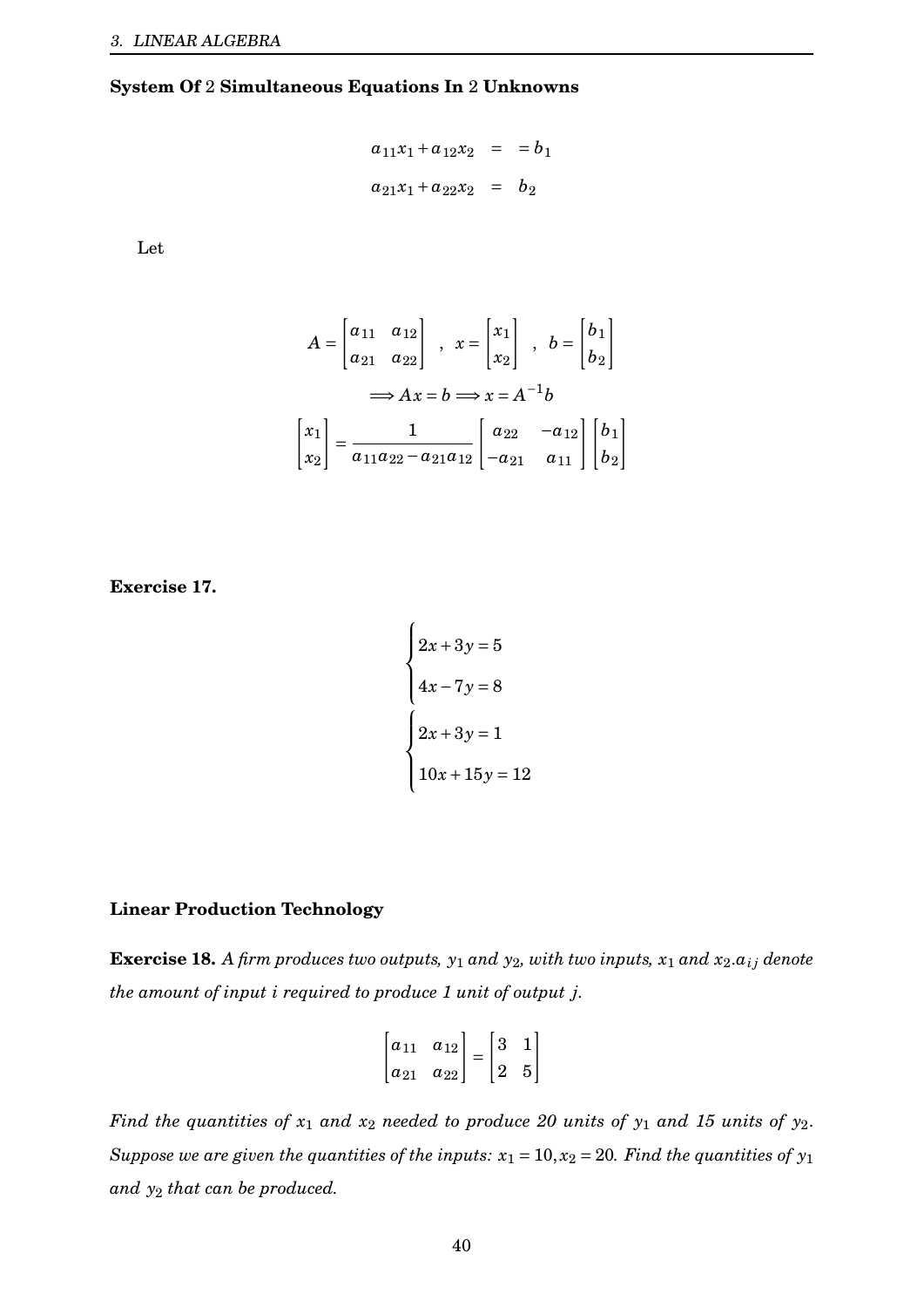#### **System Of** 2 **Simultaneous Equations In** 2 **Unknowns**

$$
a_{11}x_1 + a_{12}x_2 = b_1
$$
  

$$
a_{21}x_1 + a_{22}x_2 = b_2
$$

Let

$$
A = \begin{bmatrix} a_{11} & a_{12} \\ a_{21} & a_{22} \end{bmatrix} , x = \begin{bmatrix} x_1 \\ x_2 \end{bmatrix} , b = \begin{bmatrix} b_1 \\ b_2 \end{bmatrix}
$$

$$
\implies Ax = b \implies x = A^{-1}b
$$

$$
\begin{bmatrix} x_1 \\ x_2 \end{bmatrix} = \frac{1}{a_{11}a_{22} - a_{21}a_{12}} \begin{bmatrix} a_{22} & -a_{12} \\ -a_{21} & a_{11} \end{bmatrix} \begin{bmatrix} b_1 \\ b_2 \end{bmatrix}
$$

**Exercise 17.**

$$
\begin{cases}\n2x + 3y = 5 \\
4x - 7y = 8\n\end{cases}
$$
\n
$$
\begin{cases}\n2x + 3y = 1 \\
10x + 15y = 12\n\end{cases}
$$

#### **Linear Production Technology**

**Exercise 18.** *A firm produces two outputs,*  $y_1$  *and*  $y_2$ *, with two inputs,*  $x_1$  *and*  $x_2.a_{ij}$  *denote the amount of input i required to produce 1 unit of output j.*

$$
\begin{bmatrix} a_{11} & a_{12} \\ a_{21} & a_{22} \end{bmatrix} = \begin{bmatrix} 3 & 1 \\ 2 & 5 \end{bmatrix}
$$

*Find the quantities of*  $x_1$  *and*  $x_2$  *needed to produce 20 units of*  $y_1$  *and 15 units of*  $y_2$ . *Suppose we are given the quantities of the inputs:*  $x_1 = 10$ ,  $x_2 = 20$ *. Find the quantities of*  $y_1$ *and y*<sup>2</sup> *that can be produced.*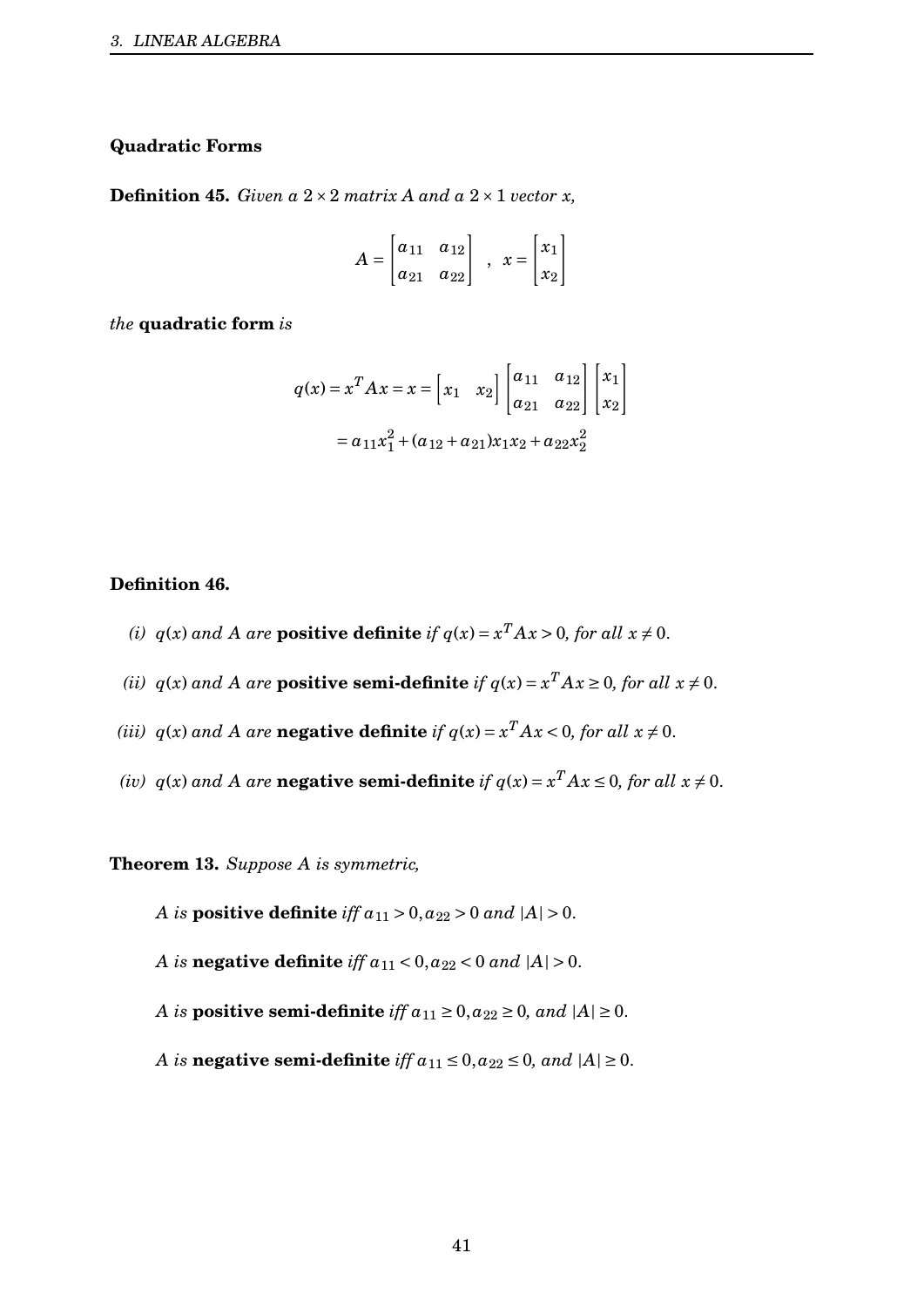### **Quadratic Forms**

**Definition 45.** *Given a*  $2 \times 2$  *matrix A and a*  $2 \times 1$  *vector x,* 

$$
A = \begin{bmatrix} a_{11} & a_{12} \\ a_{21} & a_{22} \end{bmatrix} \quad , \quad x = \begin{bmatrix} x_1 \\ x_2 \end{bmatrix}
$$

*the* **quadratic form** *is*

$$
q(x) = x^{T} A x = x = \begin{bmatrix} x_{1} & x_{2} \end{bmatrix} \begin{bmatrix} a_{11} & a_{12} \\ a_{21} & a_{22} \end{bmatrix} \begin{bmatrix} x_{1} \\ x_{2} \end{bmatrix}
$$

$$
= a_{11}x_{1}^{2} + (a_{12} + a_{21})x_{1}x_{2} + a_{22}x_{2}^{2}
$$

#### **Definition 46.**

- *(i)*  $q(x)$  and A are **positive definite** if  $q(x) = x^T A x > 0$ , for all  $x \neq 0$ .
- *(ii)*  $q(x)$  *and A are* **positive semi-definite** *if*  $q(x) = x^T A x \ge 0$ *, for all*  $x \ne 0$ *.*
- *(iii)*  $q(x)$  *and A are* **negative definite** *if*  $q(x) = x^T A x < 0$ *, for all*  $x \neq 0$ *.*
- *(iv)*  $q(x)$  *and A are* **negative semi-definite** *if*  $q(x) = x^T A x \le 0$ *, for all*  $x \ne 0$ *.*

**Theorem 13.** *Suppose A is symmetric,*

*A is* **positive definite** *iff*  $a_{11} > 0$ ,  $a_{22} > 0$  *and*  $|A| > 0$ .

*A is* **negative definite** *iff*  $a_{11} < 0$ ,  $a_{22} < 0$  *and*  $|A| > 0$ .

*A is* **positive semi-definite** *iff*  $a_{11} \ge 0$ ,  $a_{22} \ge 0$ , and  $|A| \ge 0$ .

*A is* **negative semi-definite** *iff*  $a_{11} \le 0$ ,  $a_{22} \le 0$ , and  $|A| \ge 0$ .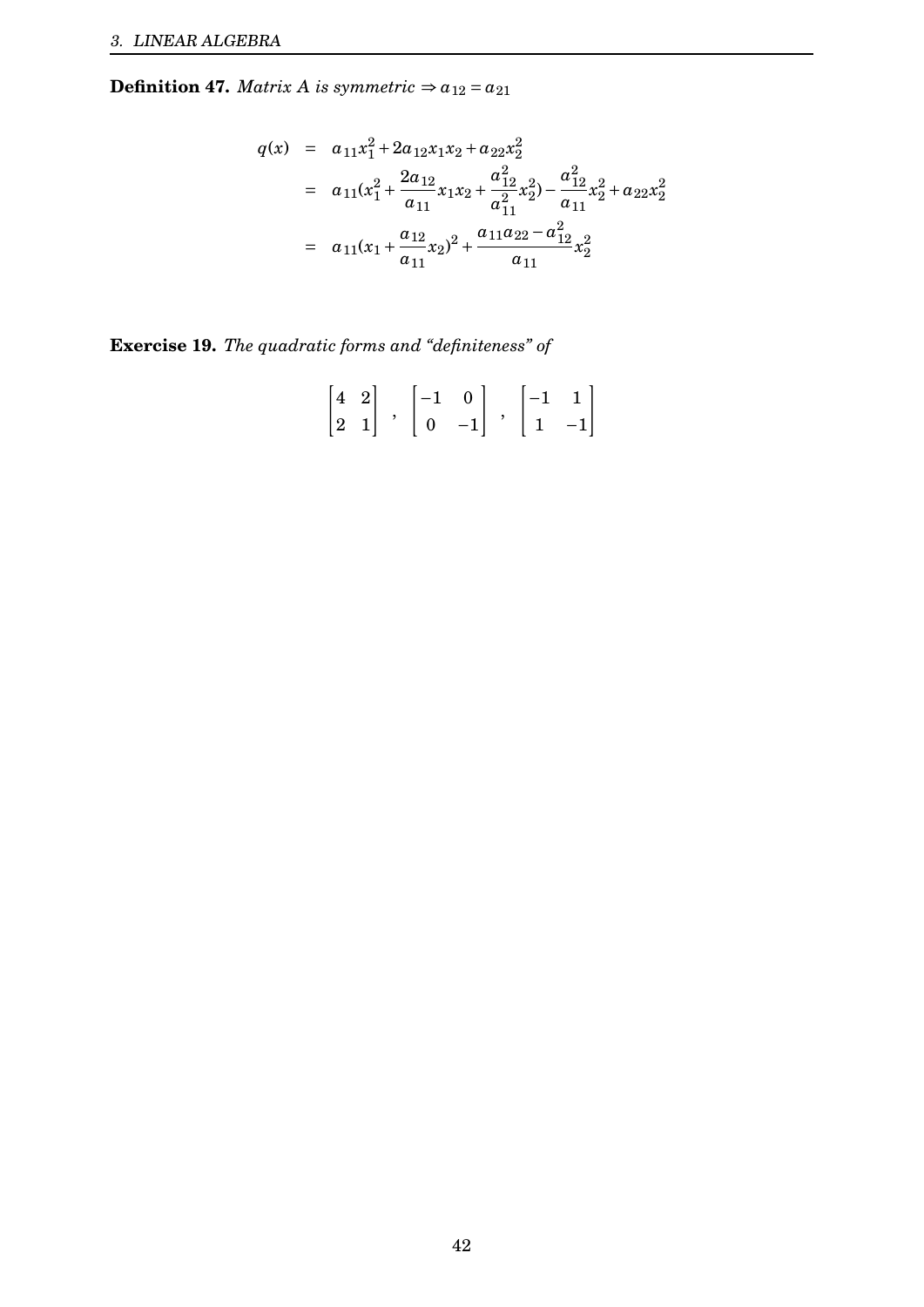**Definition 47.** *Matrix A is symmetric*  $\Rightarrow a_{12} = a_{21}$ 

$$
q(x) = a_{11}x_1^2 + 2a_{12}x_1x_2 + a_{22}x_2^2
$$
  
=  $a_{11}(x_1^2 + \frac{2a_{12}}{a_{11}}x_1x_2 + \frac{a_{12}^2}{a_{11}^2}x_2^2) - \frac{a_{12}^2}{a_{11}}x_2^2 + a_{22}x_2^2$   
=  $a_{11}(x_1 + \frac{a_{12}}{a_{11}}x_2)^2 + \frac{a_{11}a_{22} - a_{12}^2}{a_{11}}x_2^2$ 

**Exercise 19.** *The quadratic forms and "definiteness" of*

$$
\begin{bmatrix} 4 & 2 \\ 2 & 1 \end{bmatrix} \begin{bmatrix} -1 & 0 \\ 0 & -1 \end{bmatrix} \begin{bmatrix} -1 & 1 \\ 1 & -1 \end{bmatrix}
$$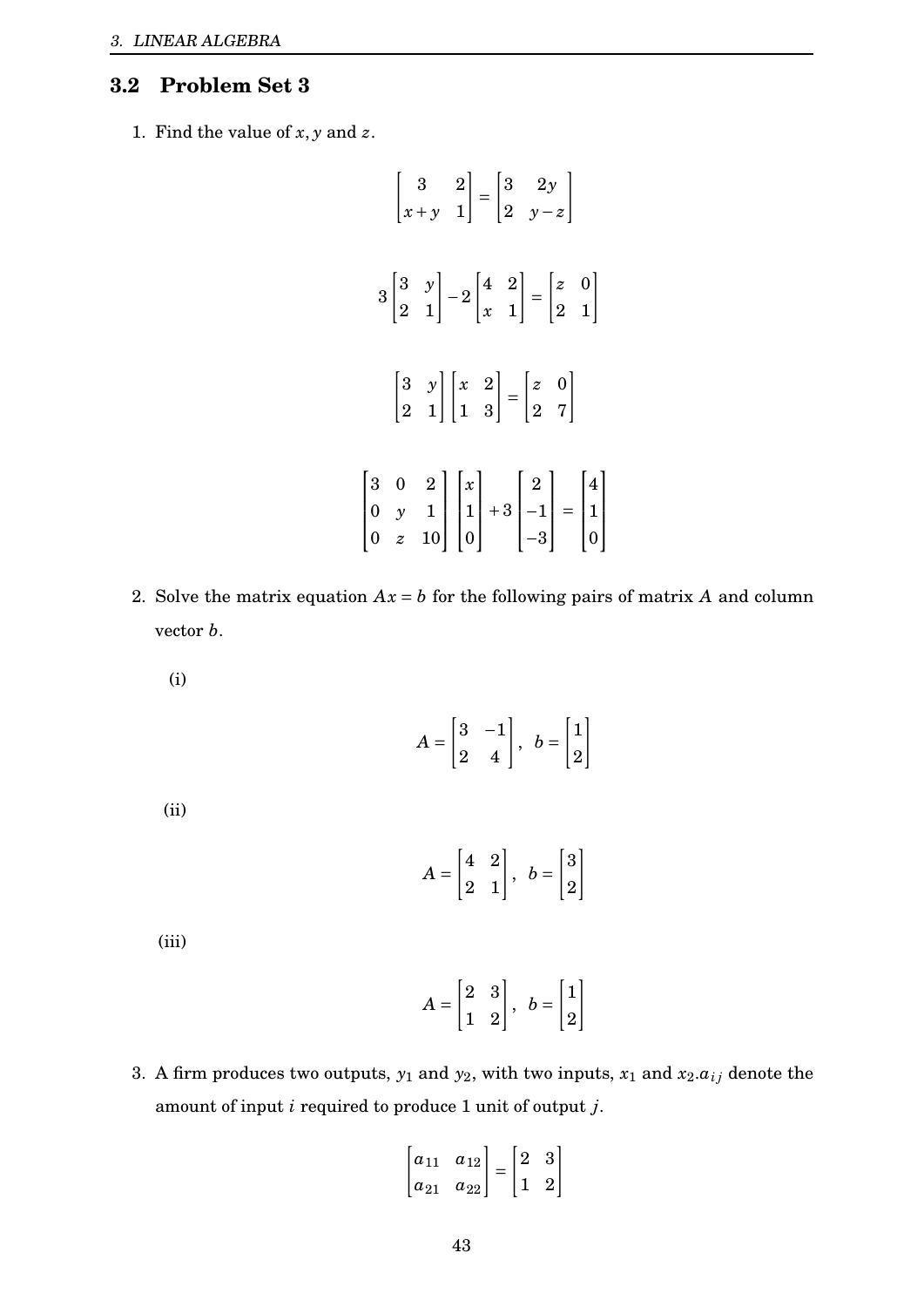# <span id="page-43-0"></span>**3.2 Problem Set 3**

1. Find the value of  $x, y$  and  $z$ .

$$
\begin{bmatrix} 3 & 2 \ x+y & 1 \end{bmatrix} = \begin{bmatrix} 3 & 2y \ 2 & y-z \end{bmatrix}
$$
  

$$
3 \begin{bmatrix} 3 & y \ 2 & 1 \end{bmatrix} - 2 \begin{bmatrix} 4 & 2 \ x & 1 \end{bmatrix} = \begin{bmatrix} z & 0 \ 2 & 1 \end{bmatrix}
$$
  

$$
\begin{bmatrix} 3 & y \ 2 & 1 \end{bmatrix} \begin{bmatrix} x & 2 \ 1 & 3 \end{bmatrix} = \begin{bmatrix} z & 0 \ 2 & 7 \end{bmatrix}
$$
  

$$
\begin{bmatrix} 3 & 0 & 2 \ 0 & y & 1 \ 0 & z & 10 \end{bmatrix} \begin{bmatrix} x \ 1 \ 0 \end{bmatrix} + 3 \begin{bmatrix} 2 \ -1 \ -3 \end{bmatrix} = \begin{bmatrix} 4 \ 1 \ 0 \end{bmatrix}
$$

- 2. Solve the matrix equation  $Ax = b$  for the following pairs of matrix A and column vector *b*.
	- (i)

$$
A = \begin{bmatrix} 3 & -1 \\ 2 & 4 \end{bmatrix}, \ b = \begin{bmatrix} 1 \\ 2 \end{bmatrix}
$$

(ii)

$$
A = \begin{bmatrix} 4 & 2 \\ 2 & 1 \end{bmatrix}, b = \begin{bmatrix} 3 \\ 2 \end{bmatrix}
$$

(iii)

$$
A = \begin{bmatrix} 2 & 3 \\ 1 & 2 \end{bmatrix}, \ b = \begin{bmatrix} 1 \\ 2 \end{bmatrix}
$$

3. A firm produces two outputs,  $y_1$  and  $y_2$ , with two inputs,  $x_1$  and  $x_2.a_{ij}$  denote the amount of input *i* required to produce 1 unit of output *j*.

$$
\begin{bmatrix} a_{11} & a_{12} \\ a_{21} & a_{22} \end{bmatrix} = \begin{bmatrix} 2 & 3 \\ 1 & 2 \end{bmatrix}
$$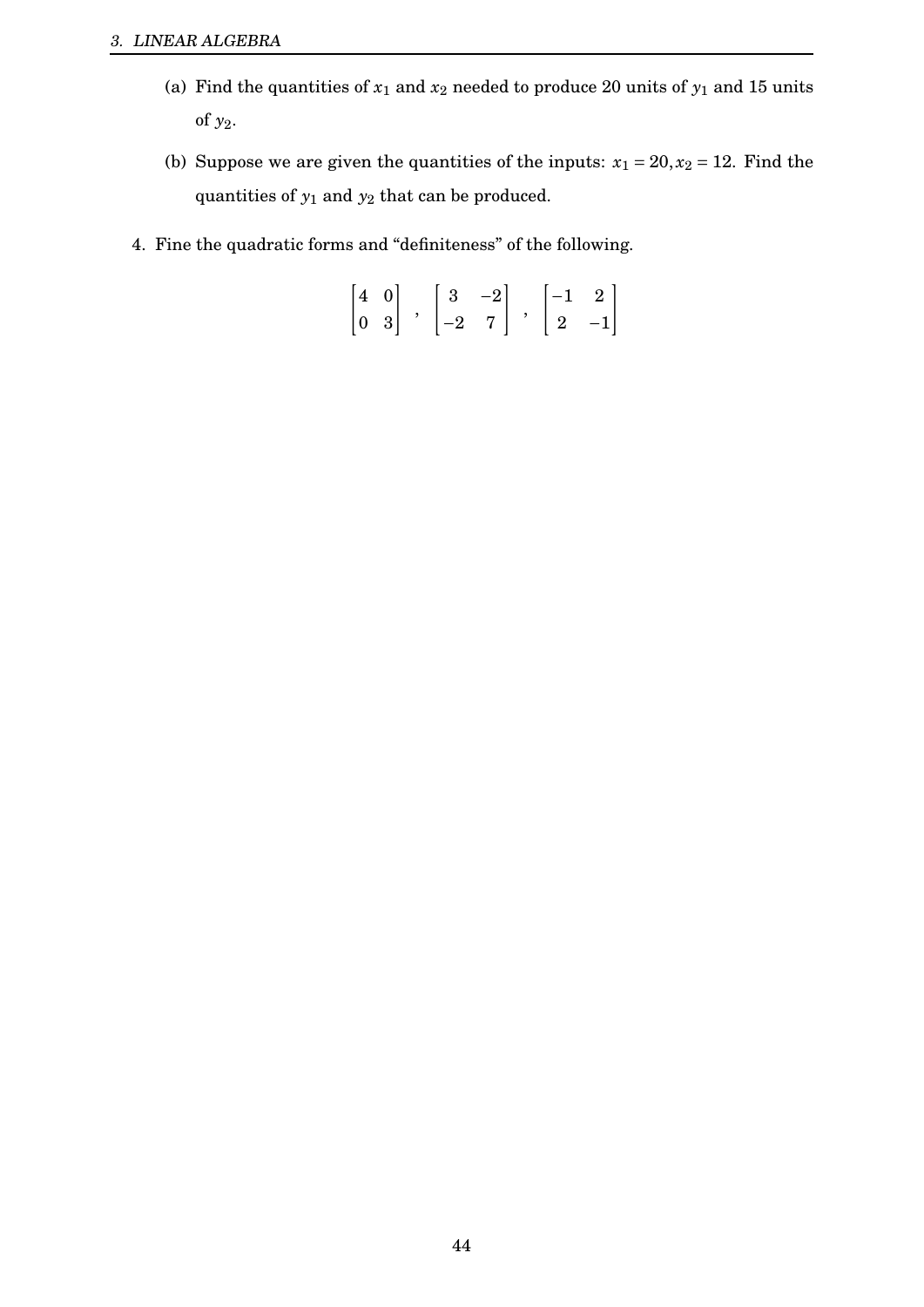- (a) Find the quantities of  $x_1$  and  $x_2$  needed to produce 20 units of  $y_1$  and 15 units of *y*2.
- (b) Suppose we are given the quantities of the inputs:  $x_1 = 20, x_2 = 12$ . Find the quantities of  $y_1$  and  $y_2$  that can be produced.
- 4. Fine the quadratic forms and "definiteness" of the following.

$$
\begin{bmatrix} 4 & 0 \\ 0 & 3 \end{bmatrix} \quad , \quad \begin{bmatrix} 3 & -2 \\ -2 & 7 \end{bmatrix} \quad , \quad \begin{bmatrix} -1 & 2 \\ 2 & -1 \end{bmatrix}
$$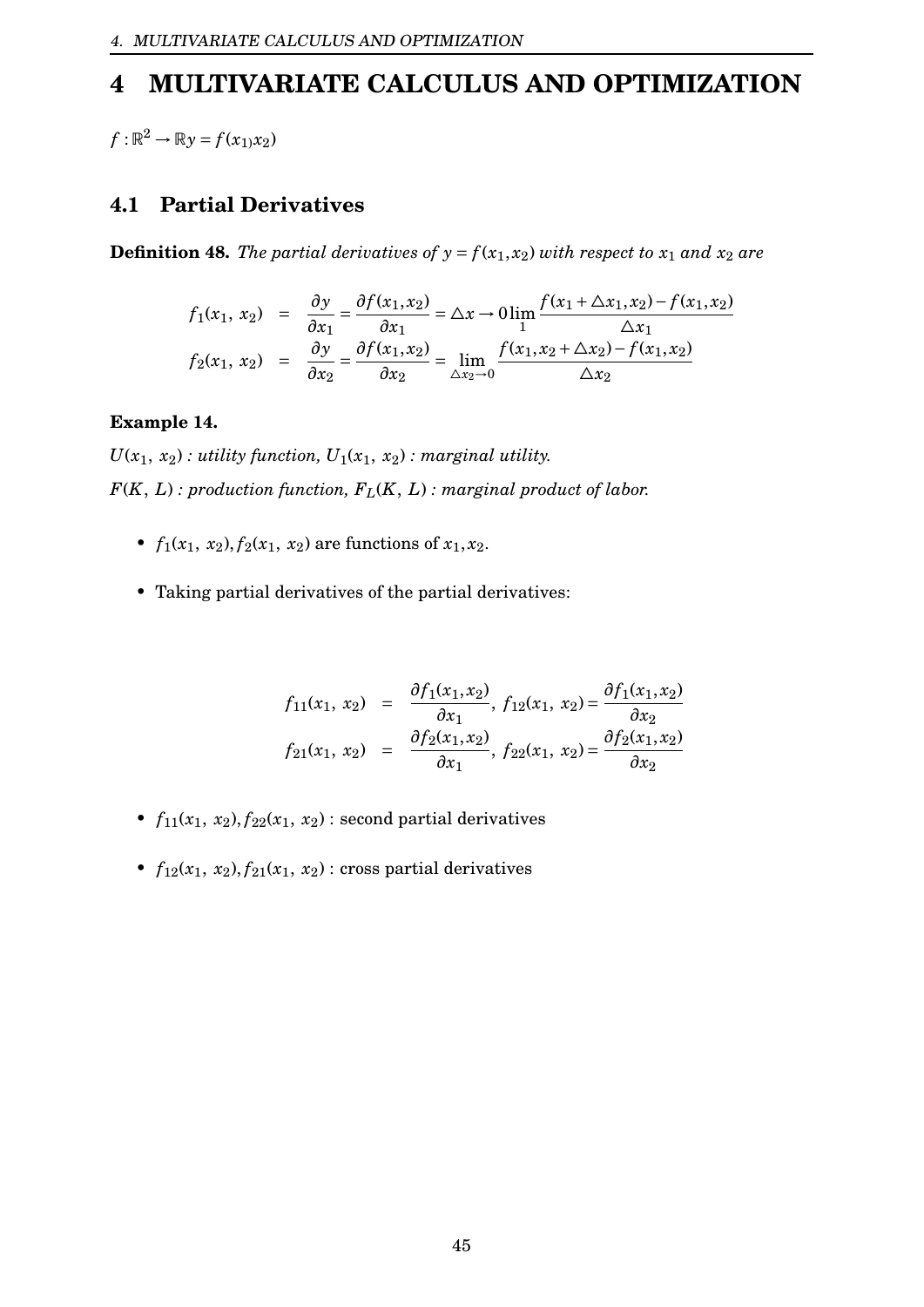# <span id="page-45-0"></span>**4 MULTIVARIATE CALCULUS AND OPTIMIZATION**

 $f: \mathbb{R}^2 \to \mathbb{R}y = f(x_1,x_2)$ 

## <span id="page-45-1"></span>**4.1 Partial Derivatives**

**Definition 48.** The partial derivatives of  $y = f(x_1, x_2)$  with respect to  $x_1$  and  $x_2$  are

$$
f_1(x_1, x_2) = \frac{\partial y}{\partial x_1} = \frac{\partial f(x_1, x_2)}{\partial x_1} = \Delta x \to 0 \lim_{1} \frac{f(x_1 + \Delta x_1, x_2) - f(x_1, x_2)}{\Delta x_1}
$$
  

$$
f_2(x_1, x_2) = \frac{\partial y}{\partial x_2} = \frac{\partial f(x_1, x_2)}{\partial x_2} = \lim_{\Delta x_2 \to 0} \frac{f(x_1, x_2 + \Delta x_2) - f(x_1, x_2)}{\Delta x_2}
$$

#### **Example 14.**

 $U(x_1, x_2)$ : *utility function,*  $U_1(x_1, x_2)$ : *marginal utility. F*(*K*, *L*) *: production function, FL*(*K*, *L*) *: marginal product of labor.*

- $f_1(x_1, x_2), f_2(x_1, x_2)$  are functions of  $x_1, x_2$ .
- Taking partial derivatives of the partial derivatives:

$$
f_{11}(x_1, x_2) = \frac{\partial f_1(x_1, x_2)}{\partial x_1}, f_{12}(x_1, x_2) = \frac{\partial f_1(x_1, x_2)}{\partial x_2}
$$
  

$$
f_{21}(x_1, x_2) = \frac{\partial f_2(x_1, x_2)}{\partial x_1}, f_{22}(x_1, x_2) = \frac{\partial f_2(x_1, x_2)}{\partial x_2}
$$

- $f_{11}(x_1, x_2), f_{22}(x_1, x_2)$ : second partial derivatives
- $f_{12}(x_1, x_2), f_{21}(x_1, x_2)$ : cross partial derivatives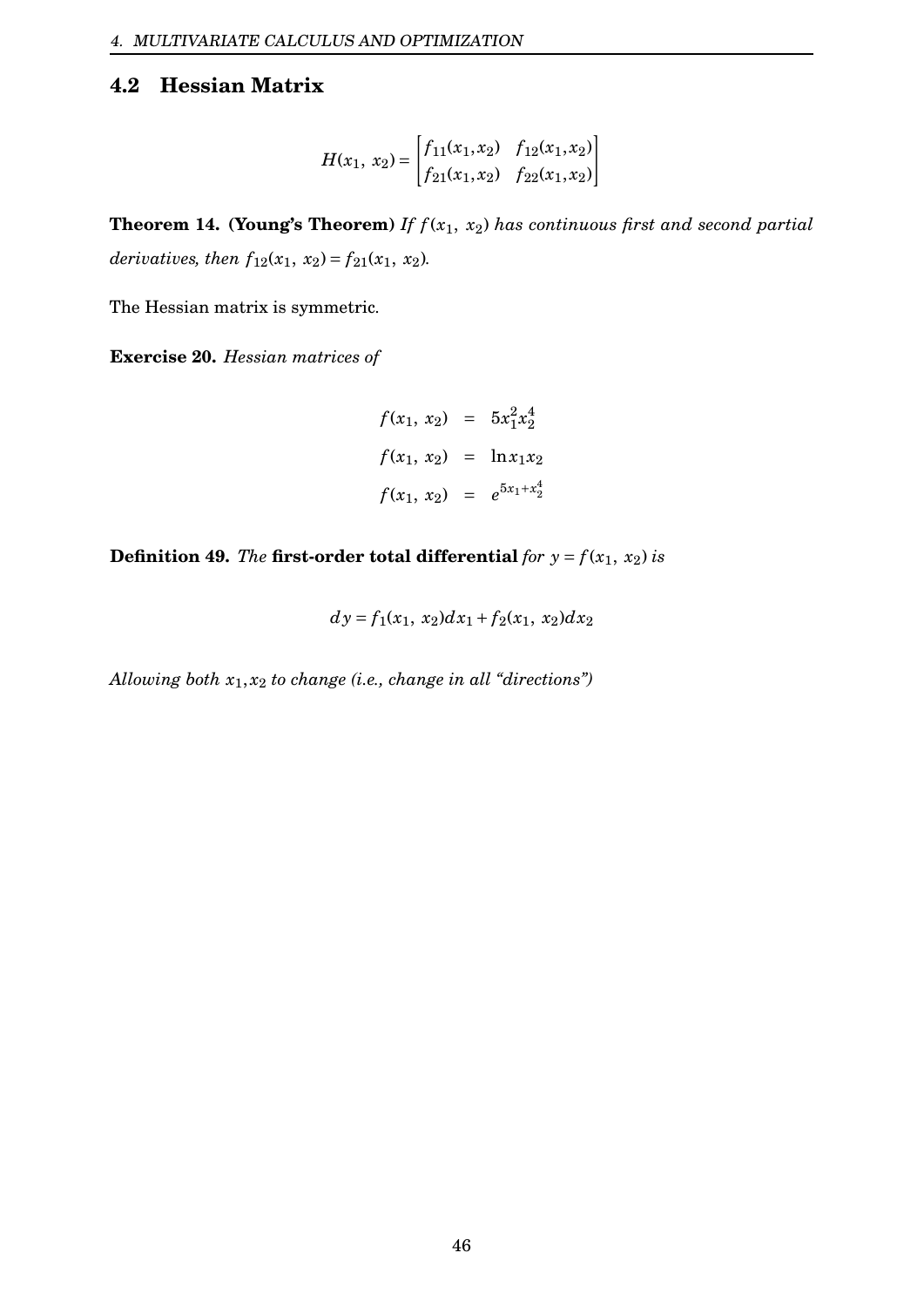# <span id="page-46-0"></span>**4.2 Hessian Matrix**

$$
H(x_1, x_2) = \begin{bmatrix} f_{11}(x_1, x_2) & f_{12}(x_1, x_2) \\ f_{21}(x_1, x_2) & f_{22}(x_1, x_2) \end{bmatrix}
$$

**Theorem 14. (Young's Theorem)** *If f* (*x*1, *x*2) *has continuous first and second partial derivatives, then*  $f_{12}(x_1, x_2) = f_{21}(x_1, x_2)$ *.* 

The Hessian matrix is symmetric.

**Exercise 20.** *Hessian matrices of*

$$
f(x_1, x_2) = 5x_1^2x_2^4
$$
  

$$
f(x_1, x_2) = \ln x_1x_2
$$
  

$$
f(x_1, x_2) = e^{5x_1+x_2^4}
$$

**Definition 49.** *The* **first-order total differential** *for*  $y = f(x_1, x_2)$  *is* 

$$
dy = f_1(x_1, x_2)dx_1 + f_2(x_1, x_2)dx_2
$$

*Allowing both x*1, *x*<sup>2</sup> *to change (i.e., change in all "directions")*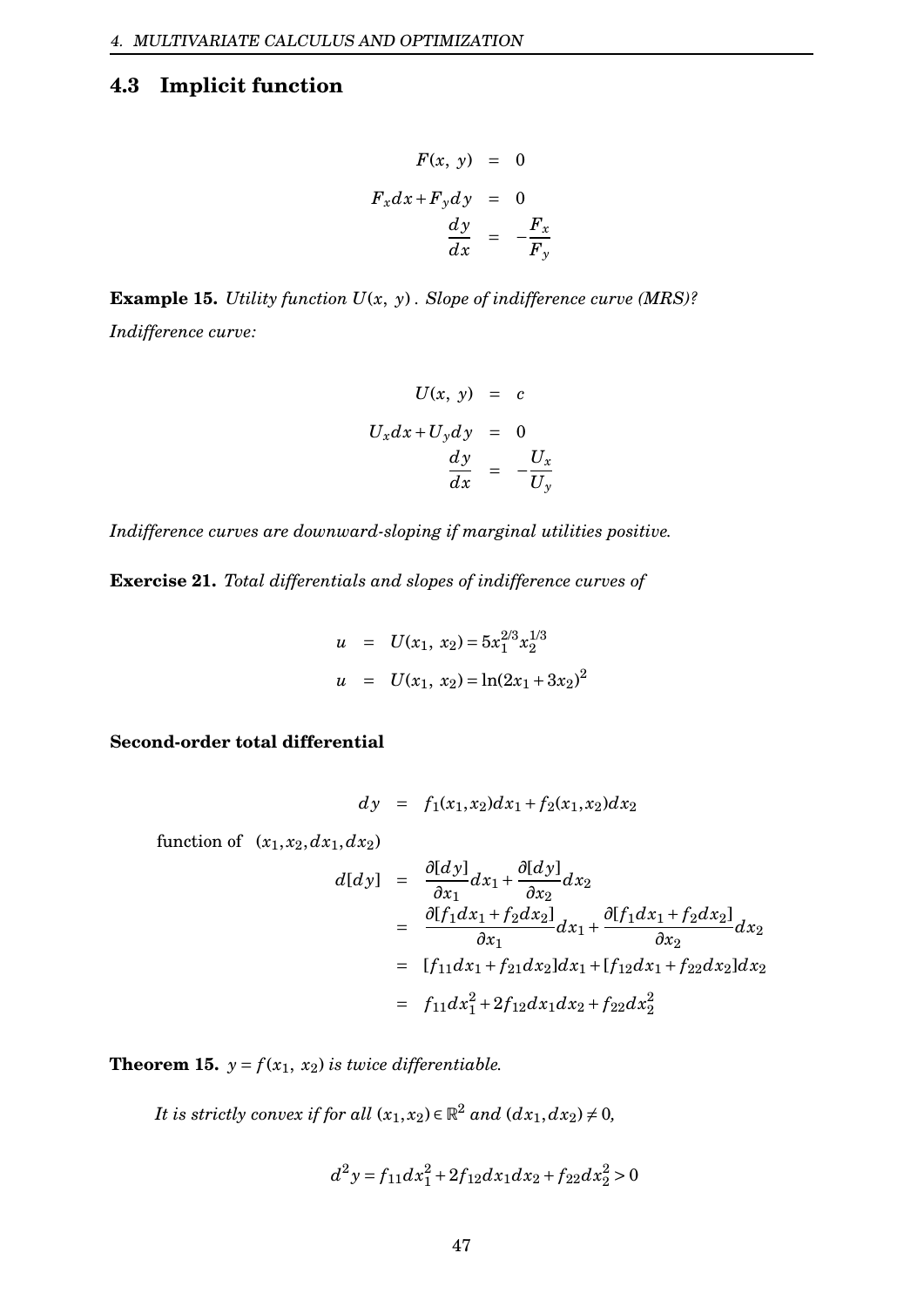# <span id="page-47-0"></span>**4.3 Implicit function**

$$
F(x, y) = 0
$$
  

$$
F_x dx + F_y dy = 0
$$
  

$$
\frac{dy}{dx} = -\frac{F_x}{F_y}
$$

**Example 15.** *Utility function U*(*x*, *y*) *. Slope of indifference curve (MRS)? Indifference curve:*

$$
U(x, y) = c
$$
  

$$
U_x dx + U_y dy = 0
$$
  

$$
\frac{dy}{dx} = -\frac{U_x}{U_y}
$$

*Indifference curves are downward-sloping if marginal utilities positive.*

**Exercise 21.** *Total differentials and slopes of indifference curves of*

$$
u = U(x_1, x_2) = 5x_1^{2/3}x_2^{1/3}
$$
  

$$
u = U(x_1, x_2) = \ln(2x_1 + 3x_2)^2
$$

**Second-order total differential**

$$
dy = f_1(x_1, x_2)dx_1 + f_2(x_1, x_2)dx_2
$$

function of  $(x_1, x_2, dx_1, dx_2)$ 

$$
d[dy] = \frac{\partial [dy]}{\partial x_1} dx_1 + \frac{\partial [dy]}{\partial x_2} dx_2
$$
  
\n
$$
= \frac{\partial [f_1 dx_1 + f_2 dx_2]}{\partial x_1} dx_1 + \frac{\partial [f_1 dx_1 + f_2 dx_2]}{\partial x_2} dx_2
$$
  
\n
$$
= [f_{11} dx_1 + f_{21} dx_2] dx_1 + [f_{12} dx_1 + f_{22} dx_2] dx_2
$$
  
\n
$$
= f_{11} dx_1^2 + 2f_{12} dx_1 dx_2 + f_{22} dx_2^2
$$

*∂*[*d y*]

**Theorem 15.**  $y = f(x_1, x_2)$  *is twice differentiable.* 

*It is strictly convex if for all*  $(x_1, x_2) \in \mathbb{R}^2$  *and*  $(dx_1, dx_2) \neq 0$ *,* 

$$
d^2y = f_{11}dx_1^2 + 2f_{12}dx_1dx_2 + f_{22}dx_2^2 > 0
$$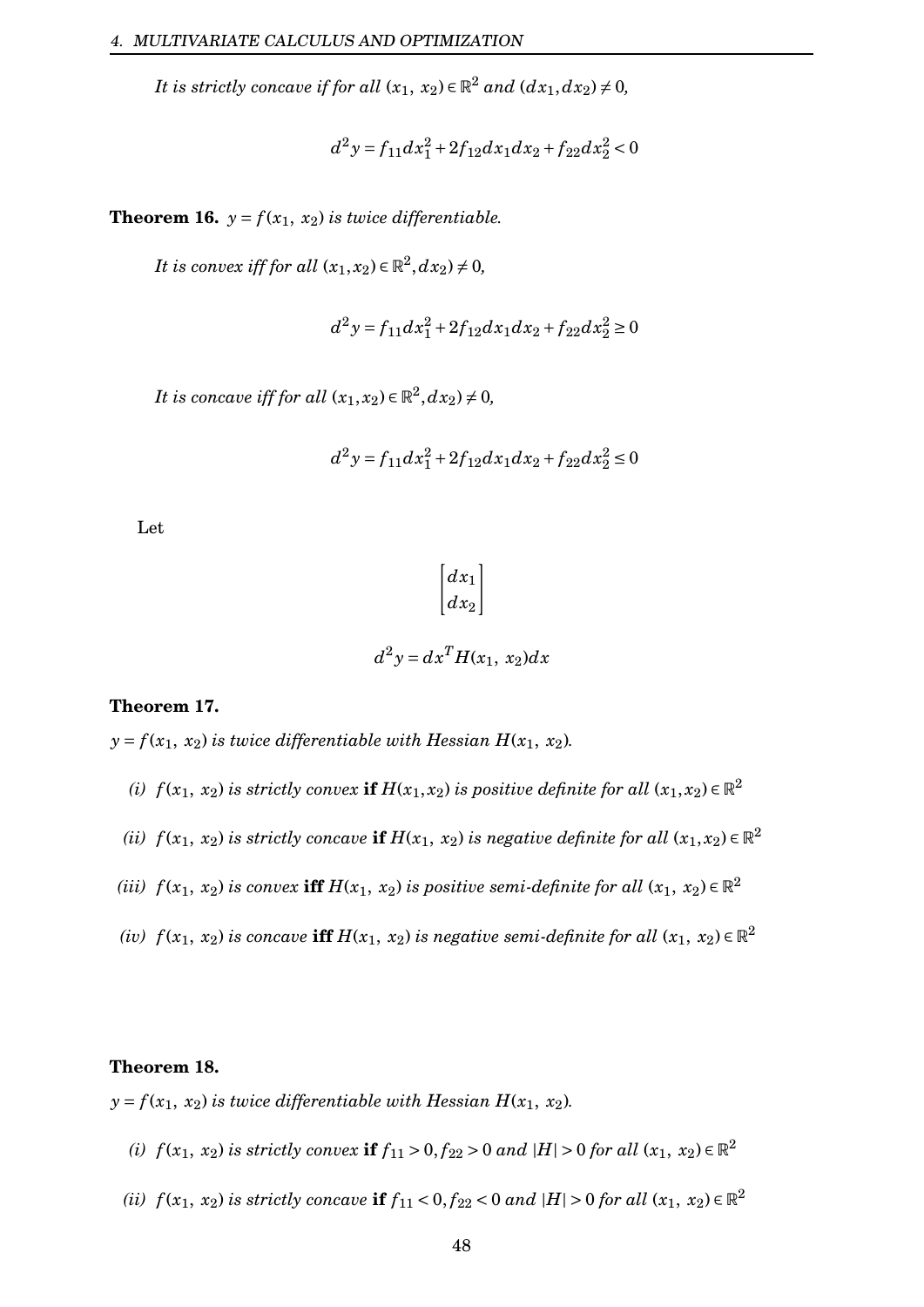*It is strictly concave if for all*  $(x_1, x_2) \in \mathbb{R}^2$  *and*  $(dx_1, dx_2) \neq 0$ *,* 

$$
d^2y = f_{11}dx_1^2 + 2f_{12}dx_1dx_2 + f_{22}dx_2^2 < 0
$$

**Theorem 16.**  $y = f(x_1, x_2)$  *is twice differentiable.* 

*It is convex iff for all*  $(x_1, x_2) \in \mathbb{R}^2, dx_2) \neq 0$ ,

$$
d^2y = f_{11}dx_1^2 + 2f_{12}dx_1dx_2 + f_{22}dx_2^2 \ge 0
$$

*It is concave iff for all*  $(x_1, x_2) \in \mathbb{R}^2, dx_2) \neq 0$ ,

$$
d^2y = f_{11}dx_1^2 + 2f_{12}dx_1dx_2 + f_{22}dx_2^2 \le 0
$$

Let

$$
\begin{bmatrix} dx_1 \\ dx_2 \end{bmatrix}
$$

$$
d^2y = dx^T H(x_1, x_2) dx
$$

#### **Theorem 17.**

 $y = f(x_1, x_2)$  *is twice differentiable with Hessian H*( $x_1, x_2$ )*.* 

- *(i)*  $f(x_1, x_2)$  *is strictly convex* **if**  $H(x_1, x_2)$  *is positive definite for all*  $(x_1, x_2) \in \mathbb{R}^2$
- *(ii)*  $f(x_1, x_2)$  *is strictly concave* **if**  $H(x_1, x_2)$  *is negative definite for all*  $(x_1, x_2) \in \mathbb{R}^2$
- *(iii)*  $f(x_1, x_2)$  *is convex* **iff**  $H(x_1, x_2)$  *is positive semi-definite for all*  $(x_1, x_2) \in \mathbb{R}^2$
- $f(x_1,\ x_2)$  *is concave*  $\mathbf{iff}\ H(x_1,\ x_2)$  *is negative semi-definite for all*  $(x_1,\ x_2)\in\mathbb{R}^2$

#### **Theorem 18.**

 $y = f(x_1, x_2)$  *is twice differentiable with Hessian H*( $x_1, x_2$ )*.* 

- *(i)*  $f(x_1, x_2)$  *is strictly convex* **if**  $f_{11} > 0, f_{22} > 0$  *and*  $|H| > 0$  *for all*  $(x_1, x_2) ∈ ℝ^2$
- *(ii)*  $f(x_1, x_2)$  *is strictly concave* **if**  $f_{11} < 0, f_{22} < 0$  *and*  $|H| > 0$  *for all*  $(x_1, x_2) \in \mathbb{R}^2$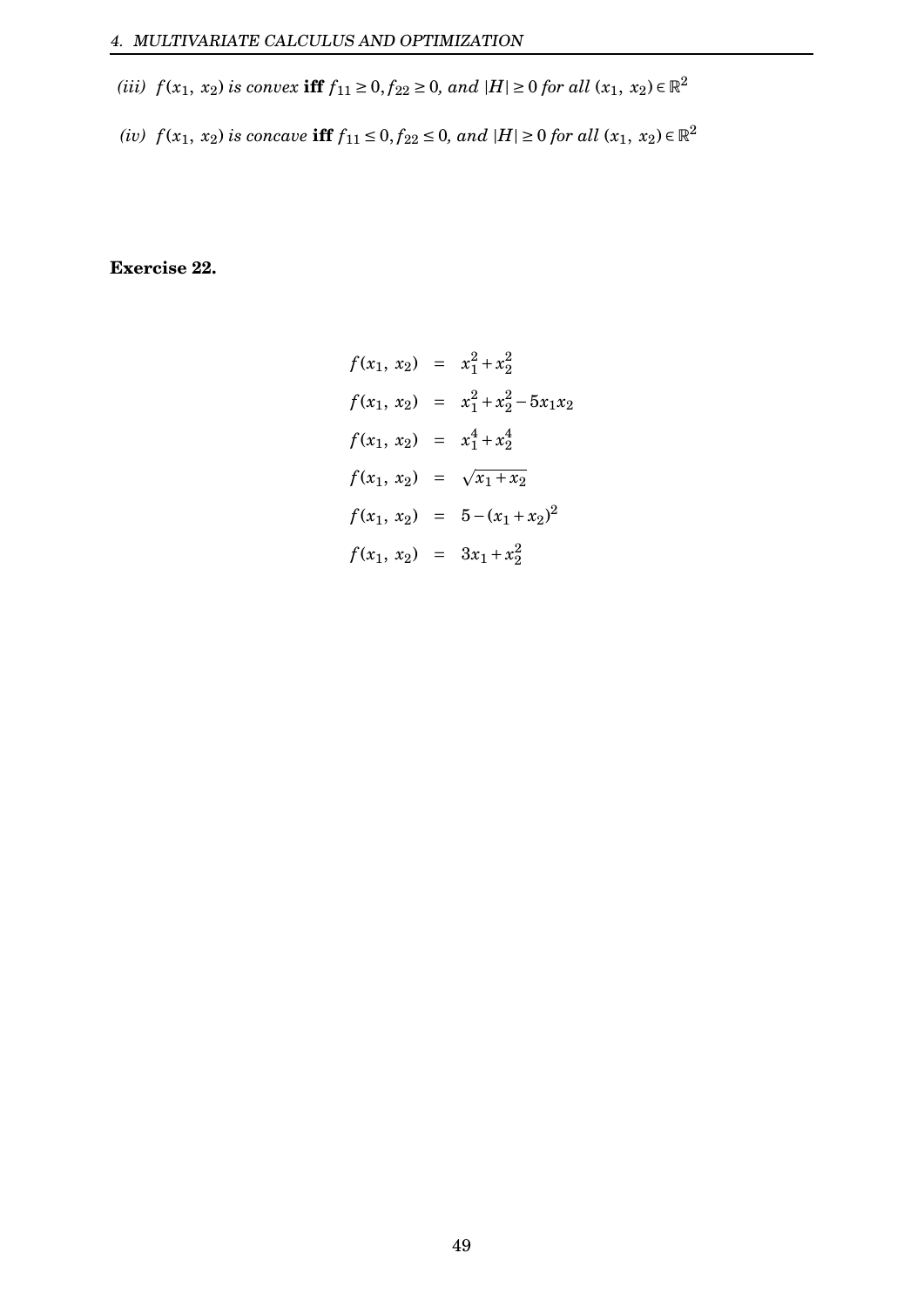- *(iii)*  $f(x_1, x_2)$  *is convex* **iff**  $f_{11} \ge 0, f_{22} \ge 0$ *, and*  $|H| \ge 0$  *for all*  $(x_1, x_2) \in \mathbb{R}^2$
- *(iv)*  $f(x_1, x_2)$  *is concave* **iff**  $f_{11} ≤ 0, f_{22} ≤ 0, and$   $|H| ≥ 0$  *for all*  $(x_1, x_2) ∈ ℝ^2$

**Exercise 22.**

$$
f(x_1, x_2) = x_1^2 + x_2^2
$$
  
\n
$$
f(x_1, x_2) = x_1^2 + x_2^2 - 5x_1x_2
$$
  
\n
$$
f(x_1, x_2) = x_1^4 + x_2^4
$$
  
\n
$$
f(x_1, x_2) = \sqrt{x_1 + x_2}
$$
  
\n
$$
f(x_1, x_2) = 5 - (x_1 + x_2)^2
$$
  
\n
$$
f(x_1, x_2) = 3x_1 + x_2^2
$$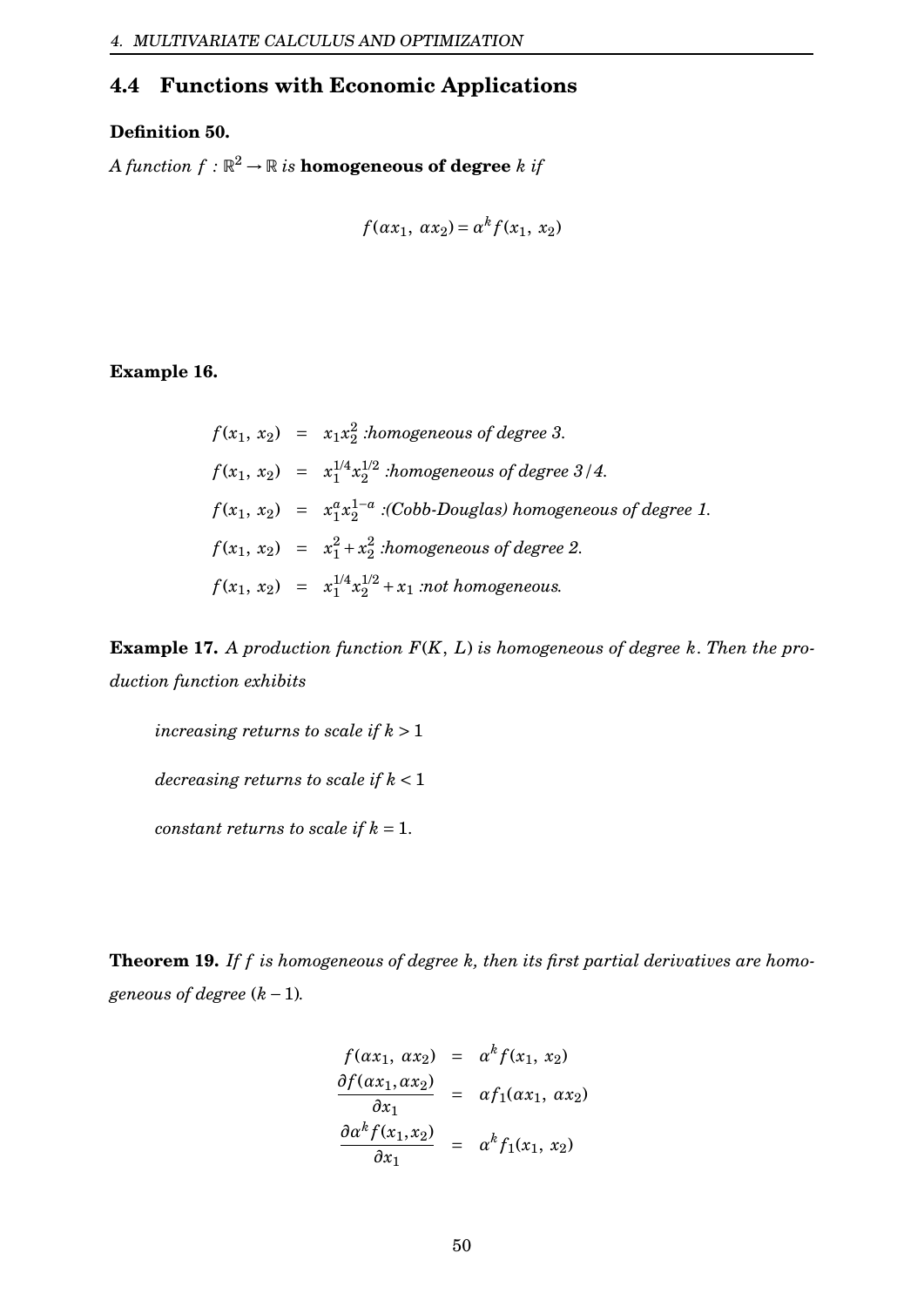# <span id="page-50-0"></span>**4.4 Functions with Economic Applications**

 $\Omega$ 

#### **Definition 50.**

A function  $f: \mathbb{R}^2 \to \mathbb{R}$  is  $\bf{homogeneous\ of\ degree\ }k$  if

$$
f(\alpha x_1, \alpha x_2) = \alpha^k f(x_1, x_2)
$$

**Example 16.**

$$
f(x_1, x_2) = x_1x_2^2
$$
:homogeneous of degree 3.  
\n
$$
f(x_1, x_2) = x_1^{1/4}x_2^{1/2}
$$
:homogeneous of degree 3/4.  
\n
$$
f(x_1, x_2) = x_1^a x_2^{1-a}
$$
: (Cobb-Douglas) homogeneous of degree 1.  
\n
$$
f(x_1, x_2) = x_1^2 + x_2^2
$$
:homogeneous of degree 2.  
\n
$$
f(x_1, x_2) = x_1^{1/4}x_2^{1/2} + x_1
$$
: not homogeneous.

**Example 17.** *A production function F*(*K*, *L*) *is homogeneous of degree k*. *Then the production function exhibits*

*increasing returns to scale if*  $k > 1$ *decreasing returns to scale if k* < 1 *constant returns to scale if*  $k = 1$ .

**Theorem 19.** *If f is homogeneous of degree k, then its first partial derivatives are homogeneous of degree*  $(k - 1)$ *.* 

$$
\frac{f(\alpha x_1, \alpha x_2)}{\partial x_1} = \frac{\alpha^k f(x_1, x_2)}{\alpha x_1}
$$
\n
$$
\frac{\partial f(\alpha x_1, \alpha x_2)}{\partial x_1} = \alpha f_1(\alpha x_1, \alpha x_2)
$$
\n
$$
\frac{\partial \alpha^k f(x_1, x_2)}{\partial x_1} = \alpha^k f_1(x_1, x_2)
$$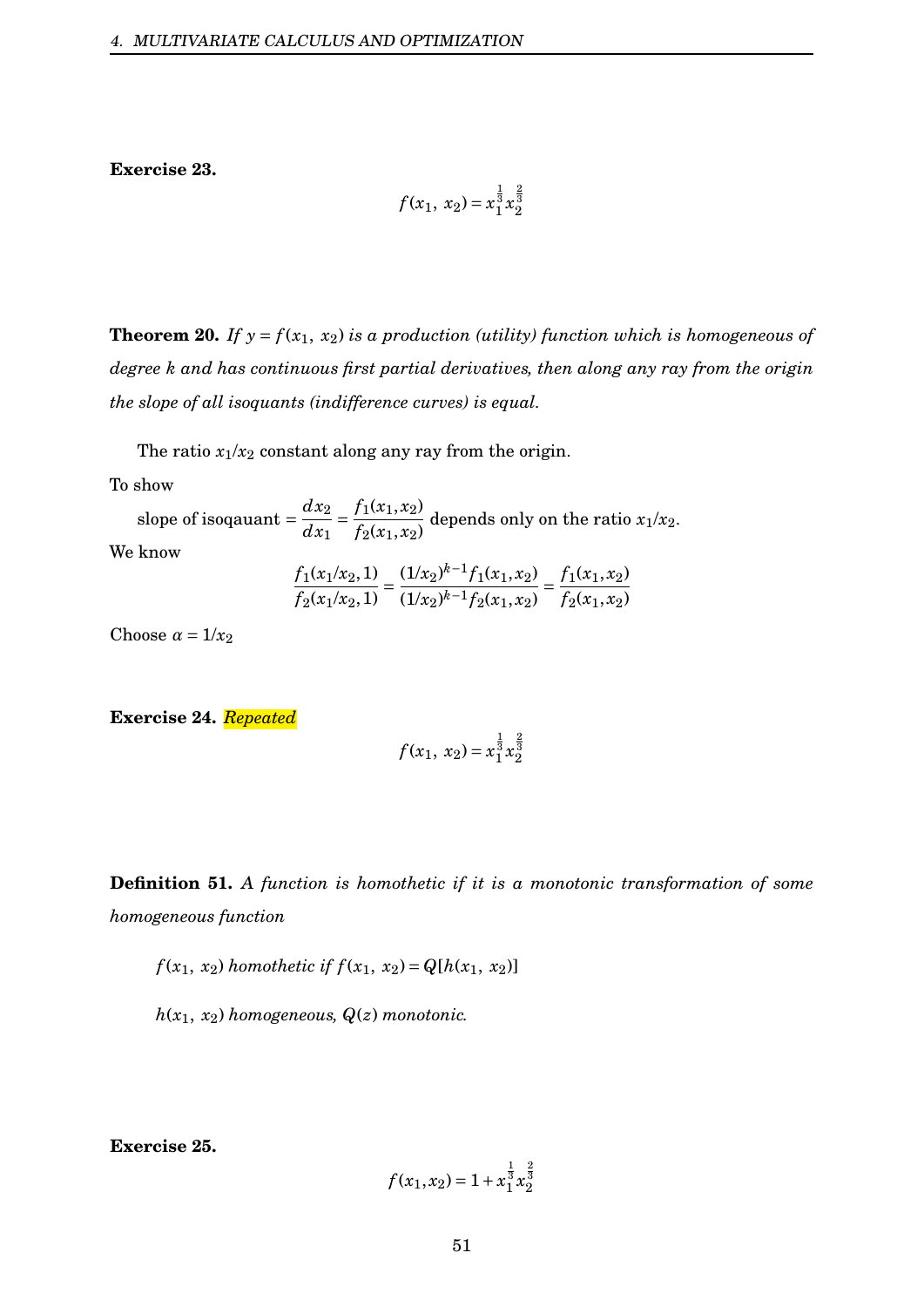**Exercise 23.**

$$
f(x_1, x_2) = x_1^{\frac{1}{3}} x_2^{\frac{2}{3}}
$$

**Theorem 20.** If  $y = f(x_1, x_2)$  *is a production (utility) function which is homogeneous of degree k and has continuous first partial derivatives, then along any ray from the origin the slope of all isoquants (indifference curves) is equal.*

The ratio  $x_1/x_2$  constant along any ray from the origin.

To show

slope of isoqauant =  $\frac{dx_2}{dx_1}$ *dx*<sup>1</sup>  $=\frac{f_1(x_1, x_2)}{x_1x_2}$  $f_2(x_1, x_2)$ depends only on the ratio  $x_1/x_2$ . We know  $\frac{f_1(x_1/x_2, 1)}{x_2} = \frac{(1/x_2)^{k-1} f_1(x_1, x_2)}{x_2} = \frac{f_1(x_1, x_2)}{x_2}$ 

$$
\frac{f_1(x_1+x_2)}{f_2(x_1/x_2,1)} = \frac{f_2(x_1+x_1+x_2)}{(1/x_2)^{k-1}f_2(x_1,x_2)} = \frac{f_1(x_1+x_2)}{f_2(x_1,x_2)}
$$

Choose  $\alpha = 1/x_2$ 

**Exercise 24.** *Repeated*

$$
f(x_1, x_2) = x_1^{\frac{1}{3}} x_2^{\frac{2}{3}}
$$

**Definition 51.** *A function is homothetic if it is a monotonic transformation of some homogeneous function*

*f* (*x*<sub>1</sub>, *x*<sub>2</sub>) *homothetic if*  $f(x_1, x_2) = Q[h(x_1, x_2)]$ 

 $h(x_1, x_2)$  *homogeneous,*  $Q(z)$  *monotonic.* 

**Exercise 25.**

$$
f(x_1, x_2) = 1 + x_1^{\frac{1}{3}} x_2^{\frac{2}{3}}
$$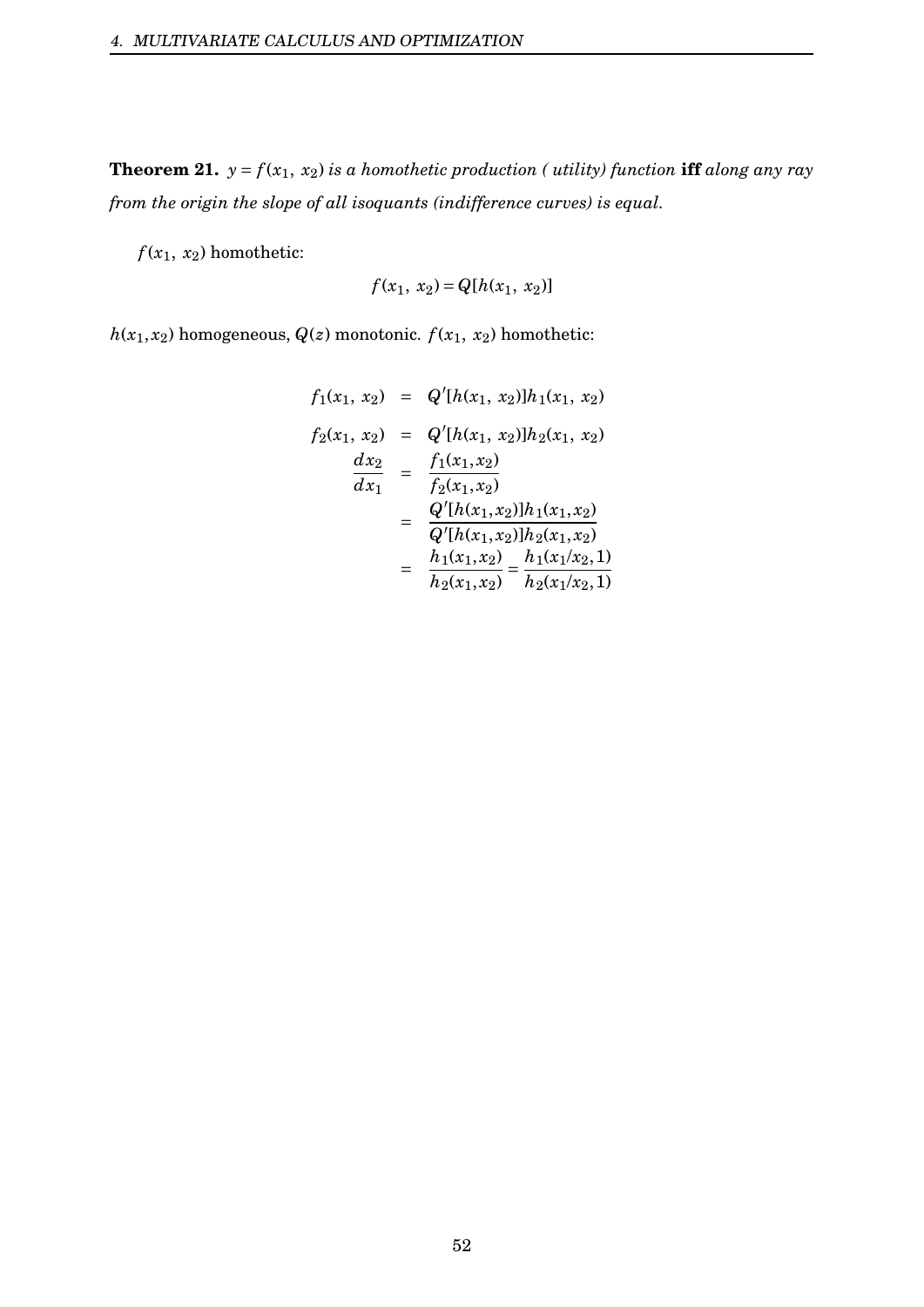**Theorem 21.**  $y = f(x_1, x_2)$  *is a homothetic production ( utility) function* **iff** *along any ray from the origin the slope of all isoquants (indifference curves) is equal.*

 $f(x_1, x_2)$  homothetic:

$$
f(x_1, x_2) = Q[h(x_1, x_2)]
$$

 $h(x_1, x_2)$  homogeneous,  $Q(z)$  monotonic.  $f(x_1, x_2)$  homothetic:

$$
f_1(x_1, x_2) = Q'[h(x_1, x_2)]h_1(x_1, x_2)
$$
  
\n
$$
f_2(x_1, x_2) = Q'[h(x_1, x_2)]h_2(x_1, x_2)
$$
  
\n
$$
\frac{dx_2}{dx_1} = \frac{f_1(x_1, x_2)}{f_2(x_1, x_2)}
$$
  
\n
$$
= \frac{Q'[h(x_1, x_2)]h_1(x_1, x_2)}{Q'[h(x_1, x_2)]h_2(x_1, x_2)}
$$
  
\n
$$
= \frac{h_1(x_1, x_2)}{h_2(x_1, x_2)} = \frac{h_1(x_1/x_2, 1)}{h_2(x_1/x_2, 1)}
$$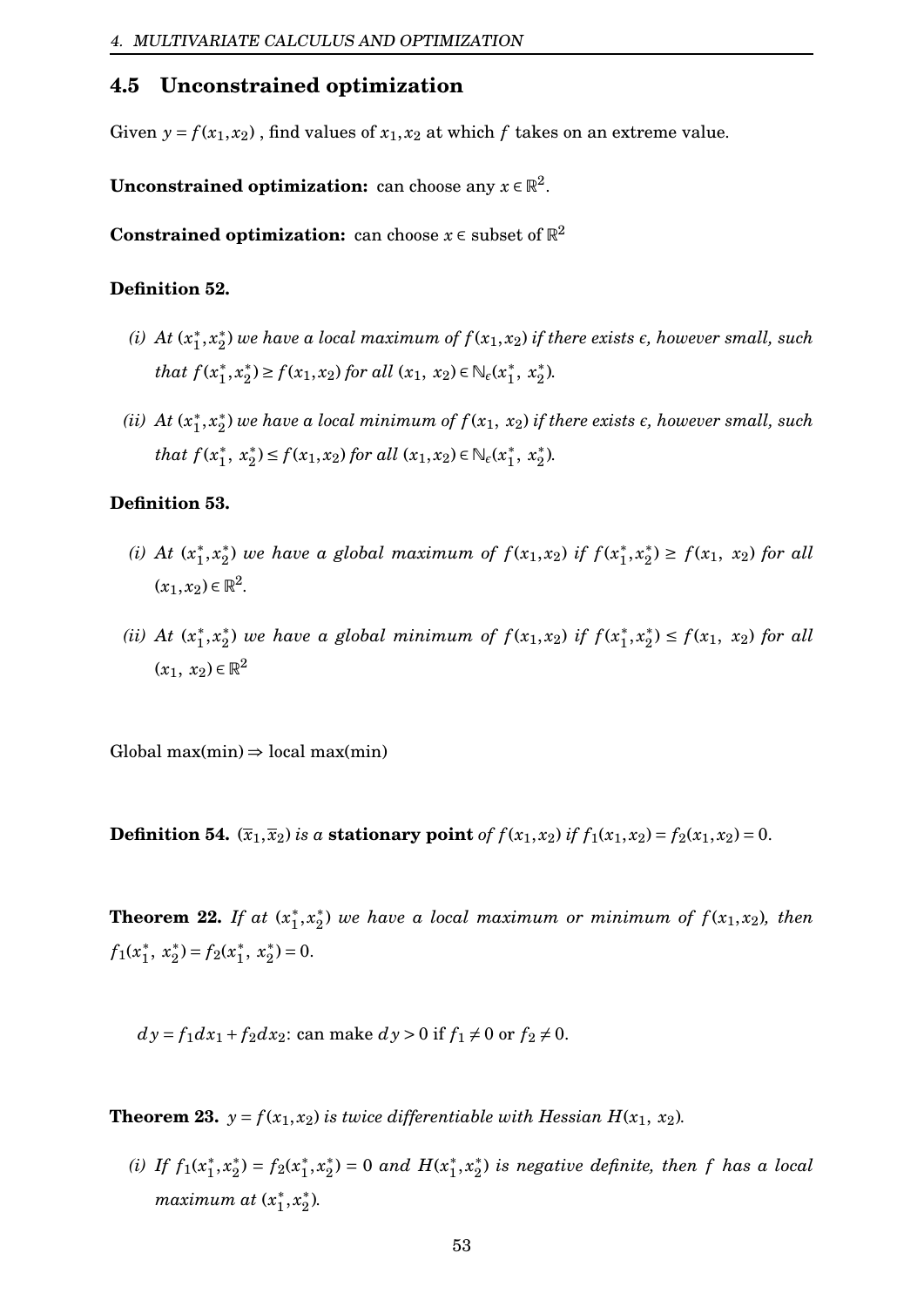#### <span id="page-53-0"></span>**4.5 Unconstrained optimization**

Given  $y = f(x_1, x_2)$ , find values of  $x_1, x_2$  at which f takes on an extreme value.

**Unconstrained optimization:** can choose any  $x \in \mathbb{R}^2$ .

**Constrained optimization:** can choose  $x \in \text{subset of } \mathbb{R}^2$ 

#### **Definition 52.**

- (*i*) *At*  $(x_1^*$  $_{1}^{*},x_{2}^{*}$  $_2^*$ ) we have a local maximum of  $f(x_1,x_2)$  if there exists  $\epsilon$ , however small, such *that*  $f(x_1^*)$  $x_1^*, x_2^*$  $\mathcal{L}_2^*$ ) ≥  $f(x_1, x_2)$  for all  $(x_1, x_2) \in \mathbb{N}_\epsilon(x_1^*)$  $x_1^*, x_2^*$ 2 )*.*
- *(ii)*  $At(x_1^*)$  $_1^*,x_2^*$  $_2^*$ ) we have a local minimum of  $f(x_1, \, x_2)$  if there exists  $\epsilon$ , however small, such *that*  $f(x_1^*)$  $x_1^*, x_2^*$  $\mathcal{L}_2^*$ ) ≤  $f(x_1, x_2)$  *for all*  $(x_1, x_2)$  ∈  $\mathbb{N}_\epsilon$  $(x_1^*$  $x_1^*, x_2^*$ 2 )*.*

#### **Definition 53.**

- (*i*) *At*  $(x_1^*)$  $_1^*,x_2^*$  $\binom{1}{2}$  we have a global maximum of  $f(x_1, x_2)$  if  $f(x_1^*)$  $x_1^*, x_2^*$  $f_2^*(x_1, x_2)$  *for all*  $(x_1, x_2) \in \mathbb{R}^2$ .
- *(ii)*  $At(x_1^*)$  $x_1^*, x_2^*$  $\binom{1}{2}$  we have a global minimum of  $f(x_1, x_2)$  if  $f(x_1^*)$  $x_1^*, x_2^*$  $f_2^*(x_1, x_2)$  *for all*  $(x_1, x_2) \in \mathbb{R}^2$

Global max $(min) \Rightarrow local max(min)$ 

**Definition 54.**  $(\overline{x}_1, \overline{x}_2)$  *is a* **stationary point** *of*  $f(x_1, x_2)$  *if*  $f_1(x_1, x_2) = f_2(x_1, x_2) = 0$ .

**Theorem 22.** *If at*  $(x_1^*)$  $x_1^*, x_2^*$  $\binom{1}{2}$  we have a local maximum or minimum of  $f(x_1, x_2)$ , then  $f_1(x_1^*)$  $\frac{1}{1}$ ,  $x_2^*$ <sup>\*</sup><sub>2</sub> $) = f_2(x_1^*)$ <sup>\*</sup>,  $x_2^*$  $_{2}^{*})=0.$ 

 $dy = f_1 dx_1 + f_2 dx_2$ : can make  $dy > 0$  if  $f_1 \neq 0$  or  $f_2 \neq 0$ .

**Theorem 23.**  $y = f(x_1, x_2)$  *is twice differentiable with Hessian H(x<sub>1</sub>, x<sub>2</sub>).* 

(*i*) *If*  $f_1(x_1^*)$  $x_1^*, x_2^*$ <sup>\*</sup><sub>2</sub> $) = f_2(x_1^*)$  $x_1^*, x_2^*$  $x_2^*$ ) = 0 *and*  $H(x_1^*)$  $x_1^*, x_2^*$  $_2^*$ ) is negative definite, then  $f$  has a local *maximum at* (*x* ∗  $_{1}^{*},x_{2}^{*}$ 2 )*.*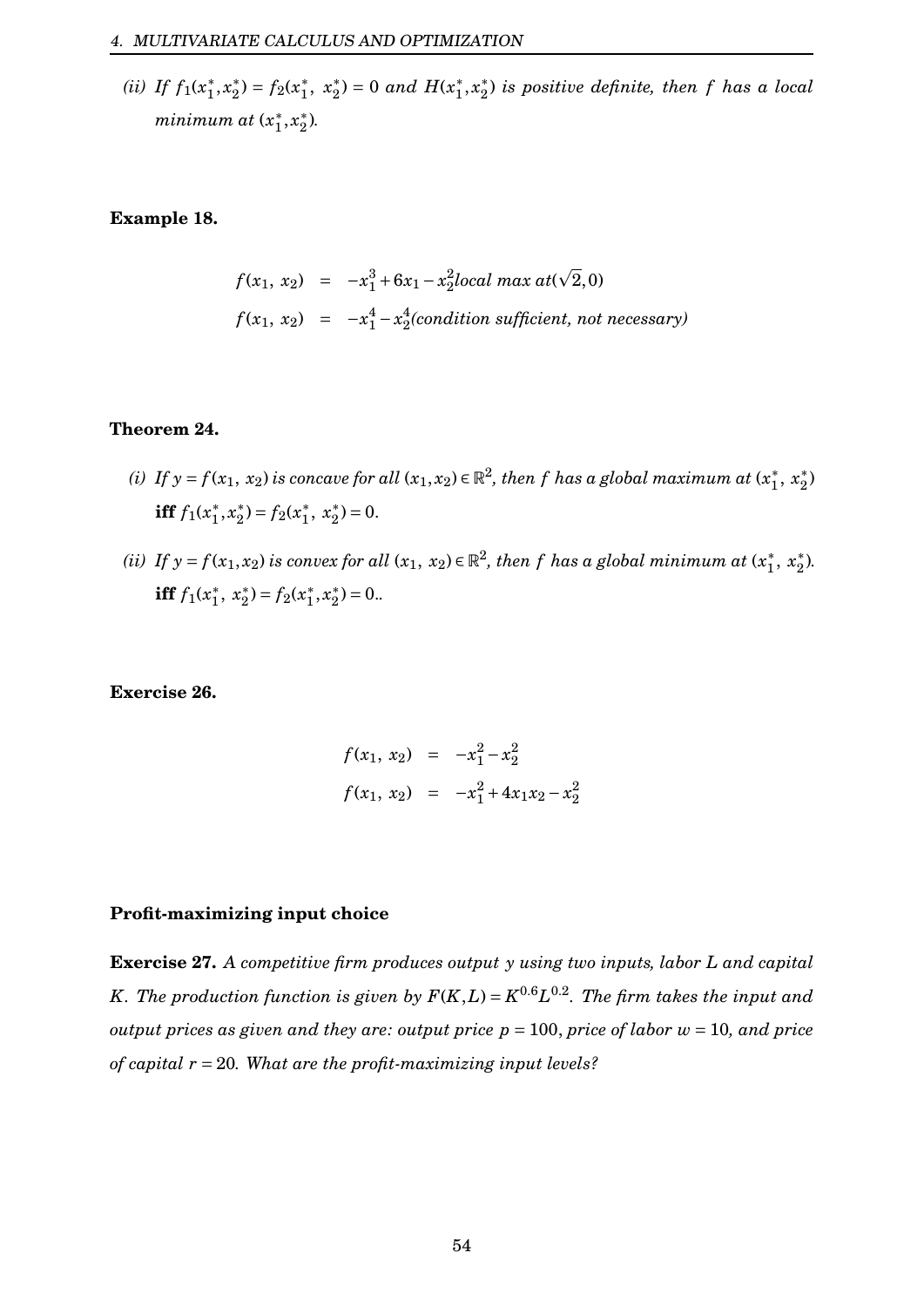(*ii*) *If*  $f_1(x_1^*)$  $_1^*,x_2^*$ <sup>\*</sup><sub>2</sub> $) = f_2(x_1^*)$ <sup>\*</sup>,  $x_2^*$  $x_2^*$ ) = 0 *and*  $H(x_1^*)$  $x_1^*, x_2^*$ 2 ) *is positive definite, then f has a local minimum at* (*x* ∗  $x_1^*, x_2^*$  $_{2}^{*}$ ).

#### **Example 18.**

$$
f(x_1, x_2) = -x_1^3 + 6x_1 - x_2^2 local \max at(\sqrt{2}, 0)
$$
  

$$
f(x_1, x_2) = -x_1^4 - x_2^4 (condition \ sufficient, not necessary)
$$

#### **Theorem 24.**

- *(i)* If  $y = f(x_1, x_2)$  is concave for all  $(x_1, x_2) \in \mathbb{R}^2$ , then  $f$  has a global maximum at  $(x_1^*)$  $x_1^*, x_2^*$  $\binom{*}{2}$ **iff**  $f_1(x_1^*)$  $_1^*,x_2^*$ <sup>\*</sup><sub>2</sub> $) = f_2(x_1^*)$  $\frac{1}{1}$ ,  $x_2^*$  $_{2}^{*}$ ) = 0.
- *(ii)* If  $y = f(x_1, x_2)$  is convex for all  $(x_1, x_2) \in \mathbb{R}^2$ , then f has a global minimum at  $(x_1^*)$  $x_1^*, x_2^*$ 2 )*.* **iff**  $f_1(x_1^*)$  $\frac{1}{1}$ ,  $x_2^*$ <sup>\*</sup><sub>2</sub> $) = f_2(x_1^*)$  $x_1^*, x_2^*$  $_{2}^{*}$ ) = 0..

**Exercise 26.**

$$
f(x_1, x_2) = -x_1^2 - x_2^2
$$
  

$$
f(x_1, x_2) = -x_1^2 + 4x_1x_2 - x_2^2
$$

#### **Profit-maximizing input choice**

**Exercise 27.** *A competitive firm produces output y using two inputs, labor L and capital K. The production function is given by*  $F(K, L) = K^{0.6}L^{0.2}$ *. The firm takes the input and output prices as given and they are: output price*  $p = 100$ *, price of labor*  $w = 10$ , and price *of capital r* = 20*. What are the profit-maximizing input levels?*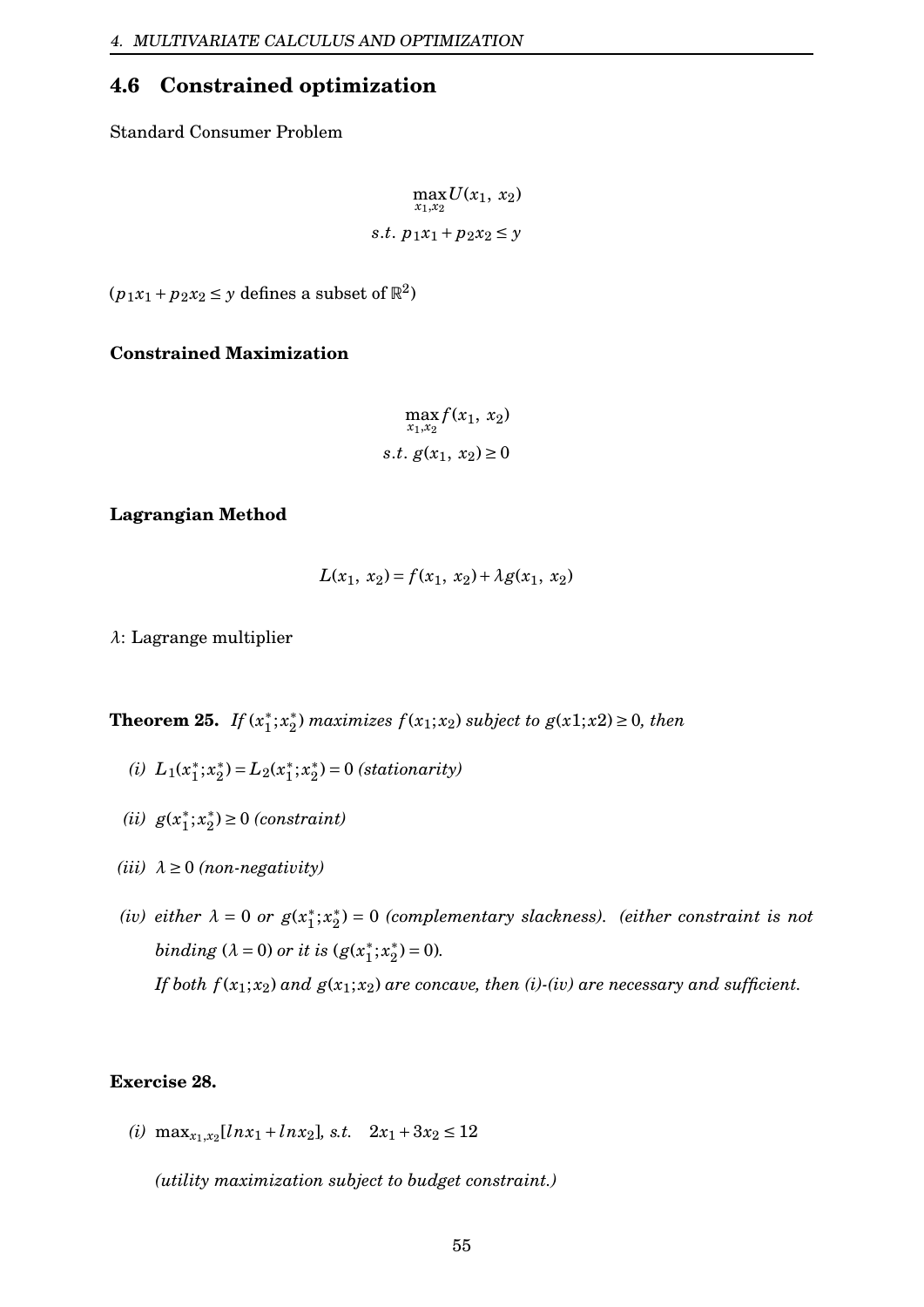## <span id="page-55-0"></span>**4.6 Constrained optimization**

Standard Consumer Problem

$$
\max_{x_1, x_2} U(x_1, x_2)
$$
  
s.t. 
$$
p_1x_1 + p_2x_2 \le y
$$

 $(p_1x_1 + p_2x_2 \le y \text{ defines a subset of } \mathbb{R}^2)$ 

**Constrained Maximization**

$$
\max_{x_1, x_2} f(x_1, x_2)
$$
  
s.t.  $g(x_1, x_2) \ge 0$ 

### **Lagrangian Method**

$$
L(x_1, x_2) = f(x_1, x_2) + \lambda g(x_1, x_2)
$$

*λ*: Lagrange multiplier

**Theorem 25.** *If*  $(x_1^*)$  $j^*$ ;  $x_2^*$  $\binom{2}{2}$  *maximizes*  $f(x_1; x_2)$  *subject to*  $g(x_1; x_2) \geq 0$ *, then* 

- (*i*)  $L_1(x_1^*)$  $j^*$ ;  $x_2^*$ <sup>\*</sup><sub>2</sub> $) = L_2(x_1^*)$  $j^*$ ;  $x_2^*$  $x_2^*$ ) = 0 *(stationarity)*
- $(ii)$  *g*( $x_1^*$  $j^*$ ;  $x_2^*$  $x_2^*$ )  $\geq$  0 *(constraint)*
- $(iii)$   $\lambda \geq 0$  (non-negativity)
- *(iv) either*  $\lambda = 0$  *or*  $g(x_1^*)$  $j^*$ ;  $x_2^*$ 2 ) = 0 *(complementary slackness). (either constraint is not binding*  $(\lambda = 0)$  *or it is*  $(g(x_1^*)$  $j^*$ ;  $x_2^*$  $_{2}^{*}$ ) = 0). *If both*  $f(x_1; x_2)$  *and*  $g(x_1; x_2)$  *are concave, then (i)-(iv) are necessary and sufficient.*

### **Exercise 28.**

(*i*)  $\max_{x_1, x_2} [ln x_1 + ln x_2]$ *, s.t.*  $2x_1 + 3x_2 \le 12$ 

*(utility maximization subject to budget constraint.)*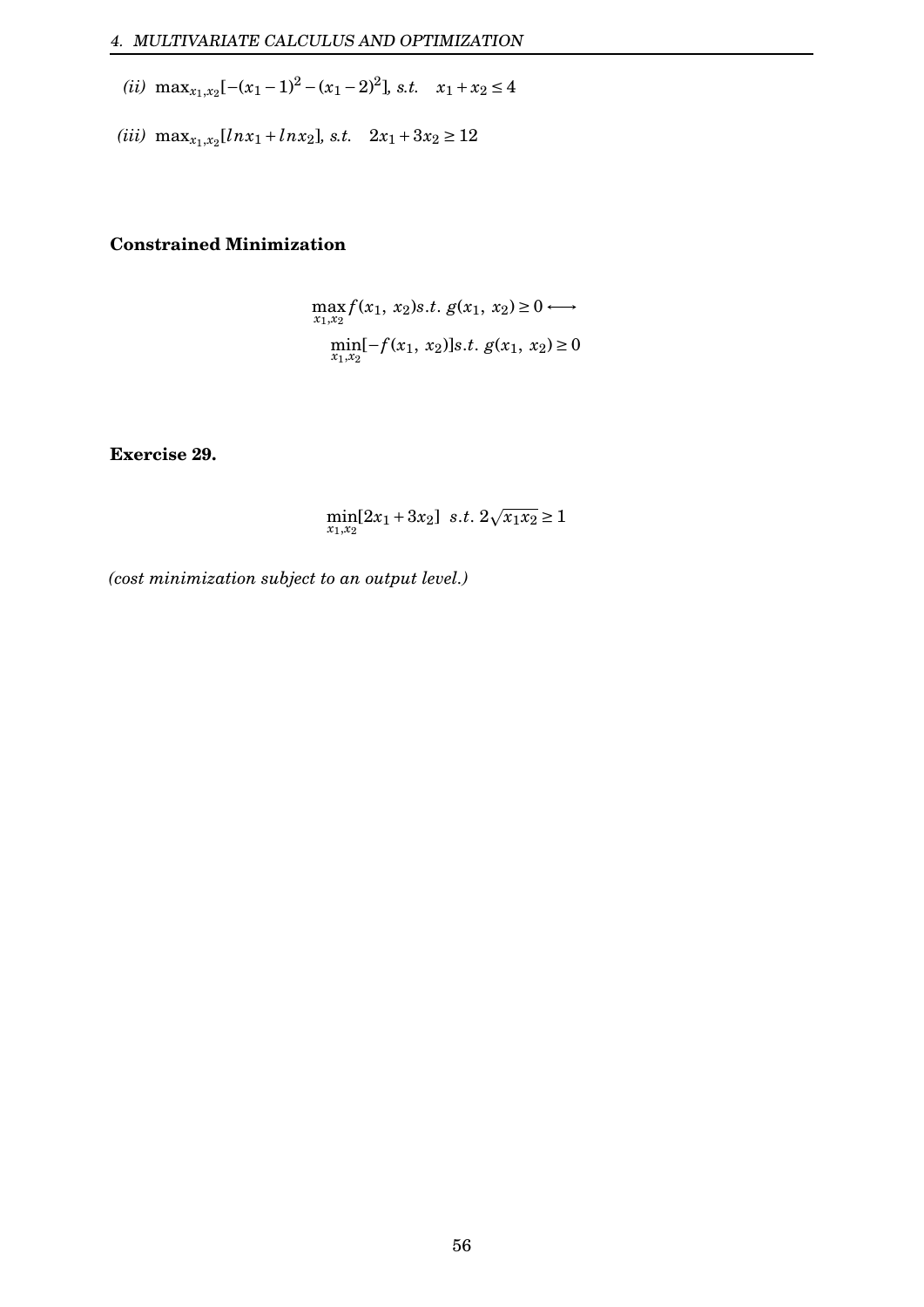- (*ii*) max<sub>*x*1</sub>,*x*<sub>2</sub>[−(*x*<sub>1</sub> − 1)<sup>2</sup> − (*x*<sub>1</sub> − 2)<sup>2</sup>], *s.t. x*<sub>1</sub> + *x*<sub>2</sub> ≤ 4
- (*iii*)  $\max_{x_1, x_2} [ln x_1 + ln x_2]$ *, s.t.*  $2x_1 + 3x_2 \ge 12$

## **Constrained Minimization**

$$
\max_{x_1, x_2} f(x_1, x_2)s.t. g(x_1, x_2) \ge 0 \longleftrightarrow
$$
  
\n
$$
\min_{x_1, x_2} [-f(x_1, x_2)]s.t. g(x_1, x_2) \ge 0
$$

**Exercise 29.**

$$
\min_{x_1, x_2} [2x_1 + 3x_2] \ \ s.t. \ 2\sqrt{x_1 x_2} \ge 1
$$

*(cost minimization subject to an output level.)*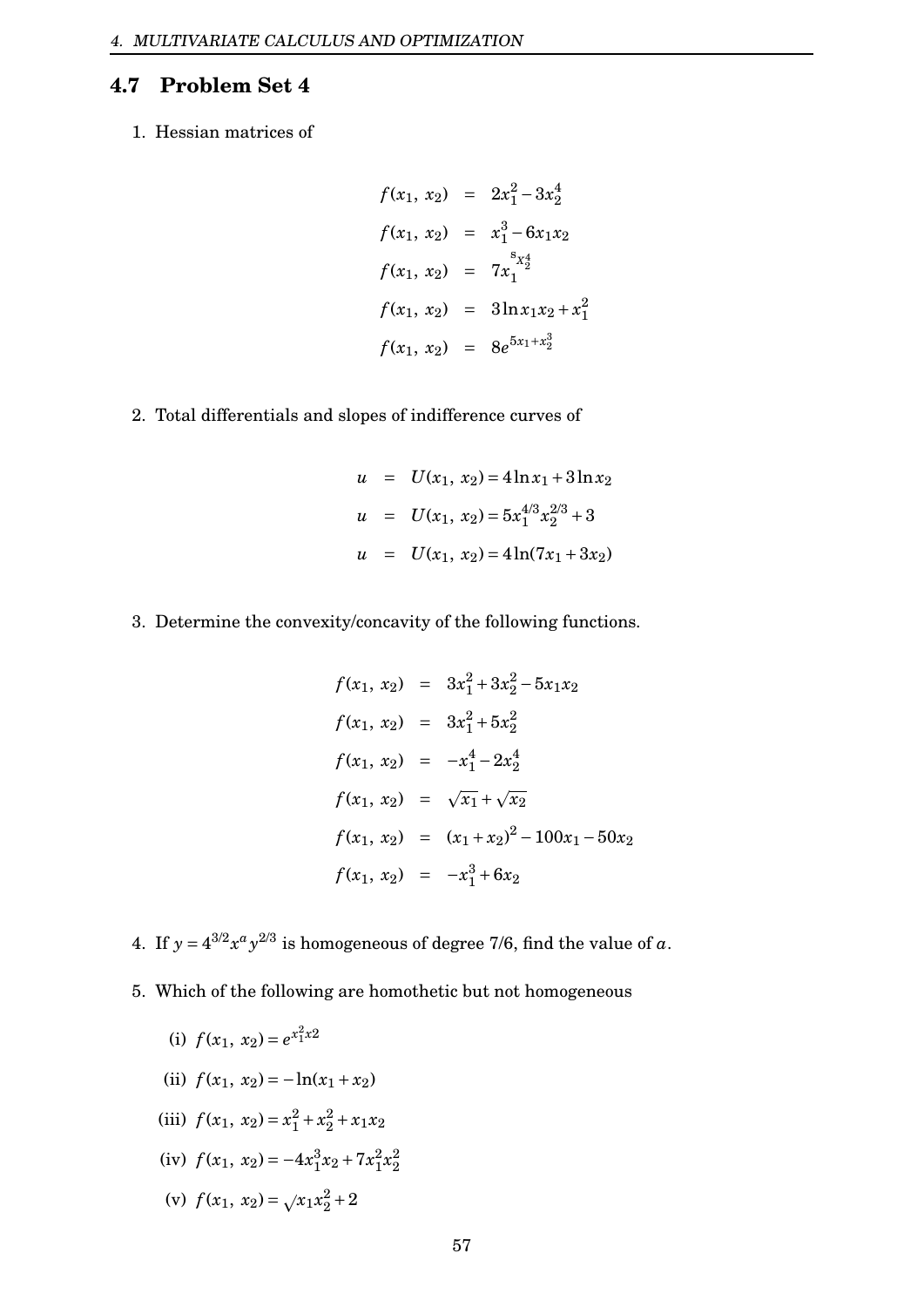## <span id="page-57-0"></span>**4.7 Problem Set 4**

1. Hessian matrices of

$$
f(x_1, x_2) = 2x_1^2 - 3x_2^4
$$
  
\n
$$
f(x_1, x_2) = x_1^3 - 6x_1x_2
$$
  
\n
$$
f(x_1, x_2) = 7x_1^{s_{x_2}^4}
$$
  
\n
$$
f(x_1, x_2) = 3\ln x_1x_2 + x_1^2
$$
  
\n
$$
f(x_1, x_2) = 8e^{5x_1 + x_2^3}
$$

 $\Omega$ 

2. Total differentials and slopes of indifference curves of

$$
u = U(x_1, x_2) = 4 \ln x_1 + 3 \ln x_2
$$
  

$$
u = U(x_1, x_2) = 5x_1^{4/3}x_2^{2/3} + 3
$$
  

$$
u = U(x_1, x_2) = 4 \ln(7x_1 + 3x_2)
$$

3. Determine the convexity/concavity of the following functions.

$$
f(x_1, x_2) = 3x_1^2 + 3x_2^2 - 5x_1x_2
$$
  
\n
$$
f(x_1, x_2) = 3x_1^2 + 5x_2^2
$$
  
\n
$$
f(x_1, x_2) = -x_1^4 - 2x_2^4
$$
  
\n
$$
f(x_1, x_2) = \sqrt{x_1} + \sqrt{x_2}
$$
  
\n
$$
f(x_1, x_2) = (x_1 + x_2)^2 - 100x_1 - 50x_2
$$
  
\n
$$
f(x_1, x_2) = -x_1^3 + 6x_2
$$

- 4. If  $y = 4^{3/2} x^a y^{2/3}$  is homogeneous of degree 7/6, find the value of a.
- 5. Which of the following are homothetic but not homogeneous
	- (i)  $f(x_1, x_2) = e^{x_1^2 x_2}$
	- (ii)  $f(x_1, x_2) = -\ln(x_1 + x_2)$
	- (iii)  $f(x_1, x_2) = x_1^2 + x_2^2 + x_1x_2$
	- (iv)  $f(x_1, x_2) = -4x_1^3$  $\frac{3}{1}x_2 + 7x_1^2$  $^{2}_{1}x_{2}^{2}$ 2
	- (v)  $f(x_1, x_2) = \sqrt{x_1 x_2^2 + 2}$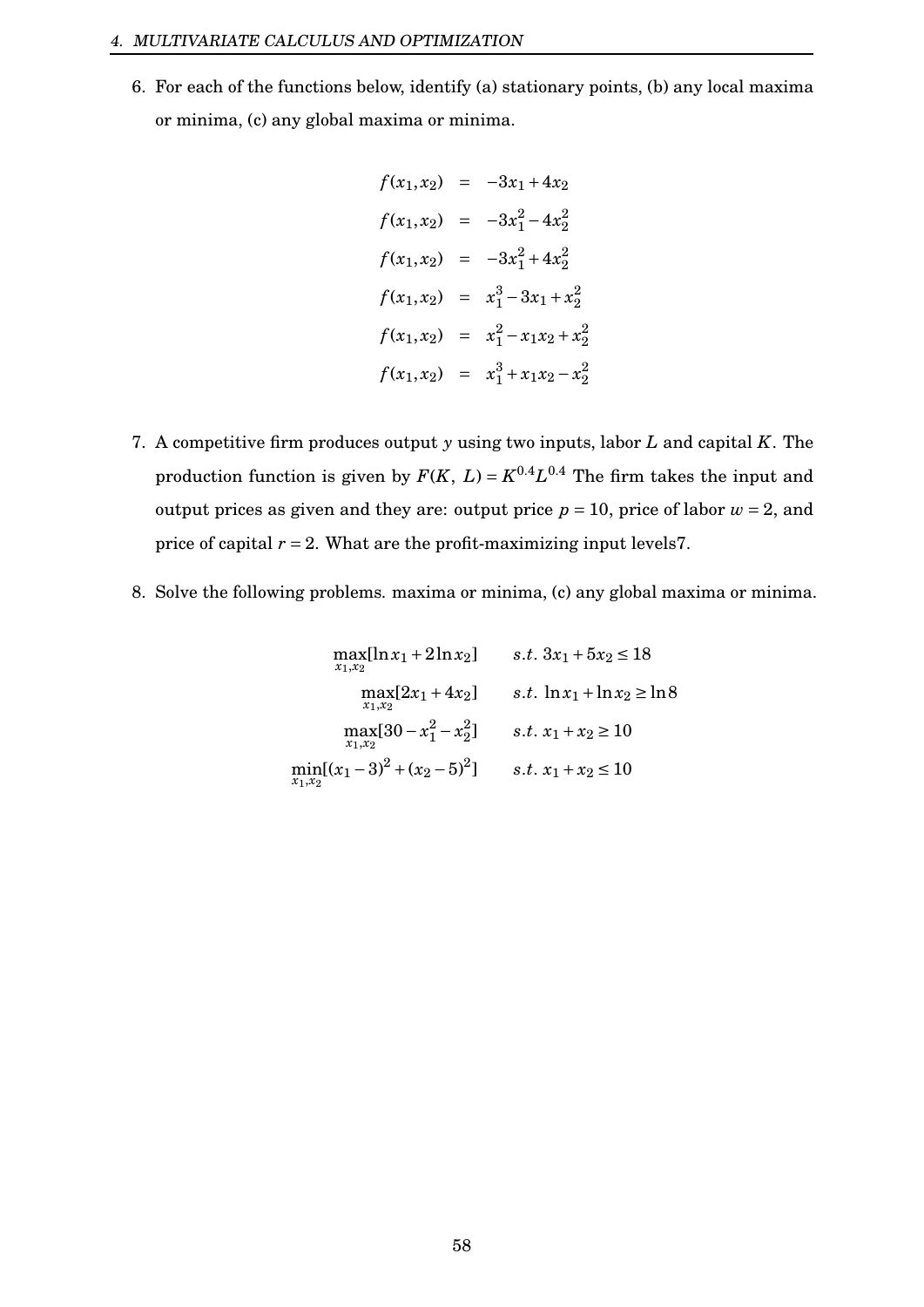6. For each of the functions below, identify (a) stationary points, (b) any local maxima or minima, (c) any global maxima or minima.

$$
f(x_1, x_2) = -3x_1 + 4x_2
$$
  
\n
$$
f(x_1, x_2) = -3x_1^2 - 4x_2^2
$$
  
\n
$$
f(x_1, x_2) = -3x_1^2 + 4x_2^2
$$
  
\n
$$
f(x_1, x_2) = x_1^3 - 3x_1 + x_2^2
$$
  
\n
$$
f(x_1, x_2) = x_1^2 - x_1x_2 + x_2^2
$$
  
\n
$$
f(x_1, x_2) = x_1^3 + x_1x_2 - x_2^2
$$

- 7. A competitive firm produces output *y* using two inputs, labor *L* and capital *K*. The production function is given by  $F(K, L) = K^{0.4}L^{0.4}$  The firm takes the input and output prices as given and they are: output price  $p = 10$ , price of labor  $w = 2$ , and price of capital  $r = 2$ . What are the profit-maximizing input levels 7.
- 8. Solve the following problems. maxima or minima, (c) any global maxima or minima.

$$
\max_{x_1, x_2} [\ln x_1 + 2 \ln x_2] \qquad s.t. \ 3x_1 + 5x_2 \le 18
$$
  

$$
\max_{x_1, x_2} [2x_1 + 4x_2] \qquad s.t. \ \ln x_1 + \ln x_2 \ge \ln 8
$$
  

$$
\max_{x_1, x_2} [30 - x_1^2 - x_2^2] \qquad s.t. \ x_1 + x_2 \ge 10
$$
  

$$
\min_{x_1, x_2} [(x_1 - 3)^2 + (x_2 - 5)^2] \qquad s.t. \ x_1 + x_2 \le 10
$$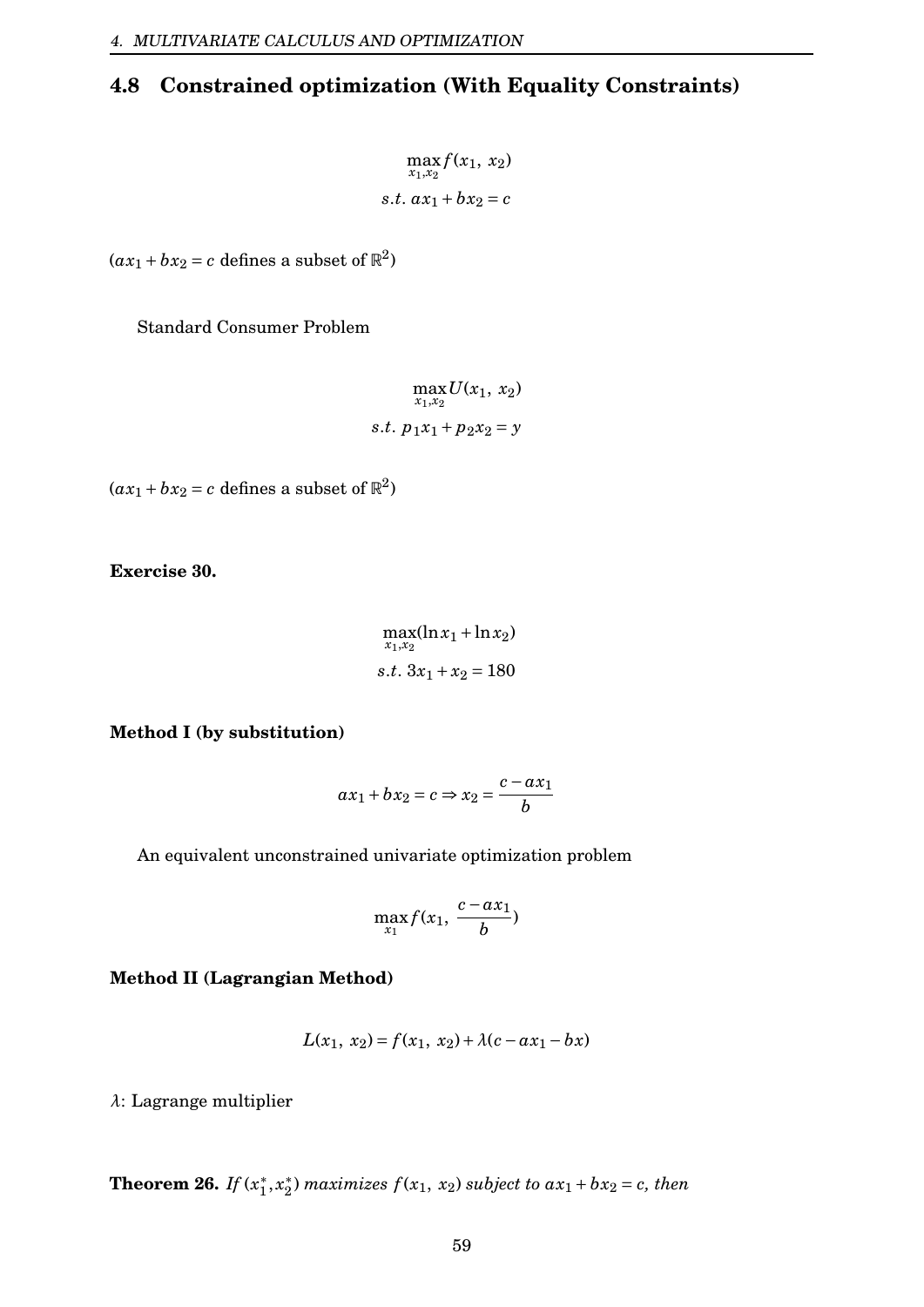# <span id="page-59-0"></span>**4.8 Constrained optimization (With Equality Constraints)**

 $\max_{x_1, x_2} f(x_1, x_2)$ *s*.*t*.  $ax_1 + bx_2 = c$ 

 $(ax_1 + bx_2 = c$  defines a subset of  $\mathbb{R}^2$ )

Standard Consumer Problem

 $\max_{x_1,x_2} U(x_1, x_2)$ *s*.*t*.  $p_1x_1 + p_2x_2 = y$ 

 $(ax_1 + bx_2 = c$  defines a subset of  $\mathbb{R}^2$ )

**Exercise 30.**

 $\max_{x_1, x_2} (\ln x_1 + \ln x_2)$ *s*.*t*.  $3x_1 + x_2 = 180$ 

**Method I (by substitution)**

$$
ax_1 + bx_2 = c \Rightarrow x_2 = \frac{c - ax_1}{b}
$$

An equivalent unconstrained univariate optimization problem

$$
\max_{x_1} f(x_1, \frac{c - ax_1}{b})
$$

**Method II (Lagrangian Method)**

$$
L(x_1, x_2) = f(x_1, x_2) + \lambda(c - ax_1 - bx)
$$

*λ*: Lagrange multiplier

**Theorem 26.** *If*  $(x_1^*)$  $x_1^*, x_2^*$  $\binom{2}{2}$  *maximizes*  $f(x_1, x_2)$  *subject to*  $ax_1 + bx_2 = c$ *, then*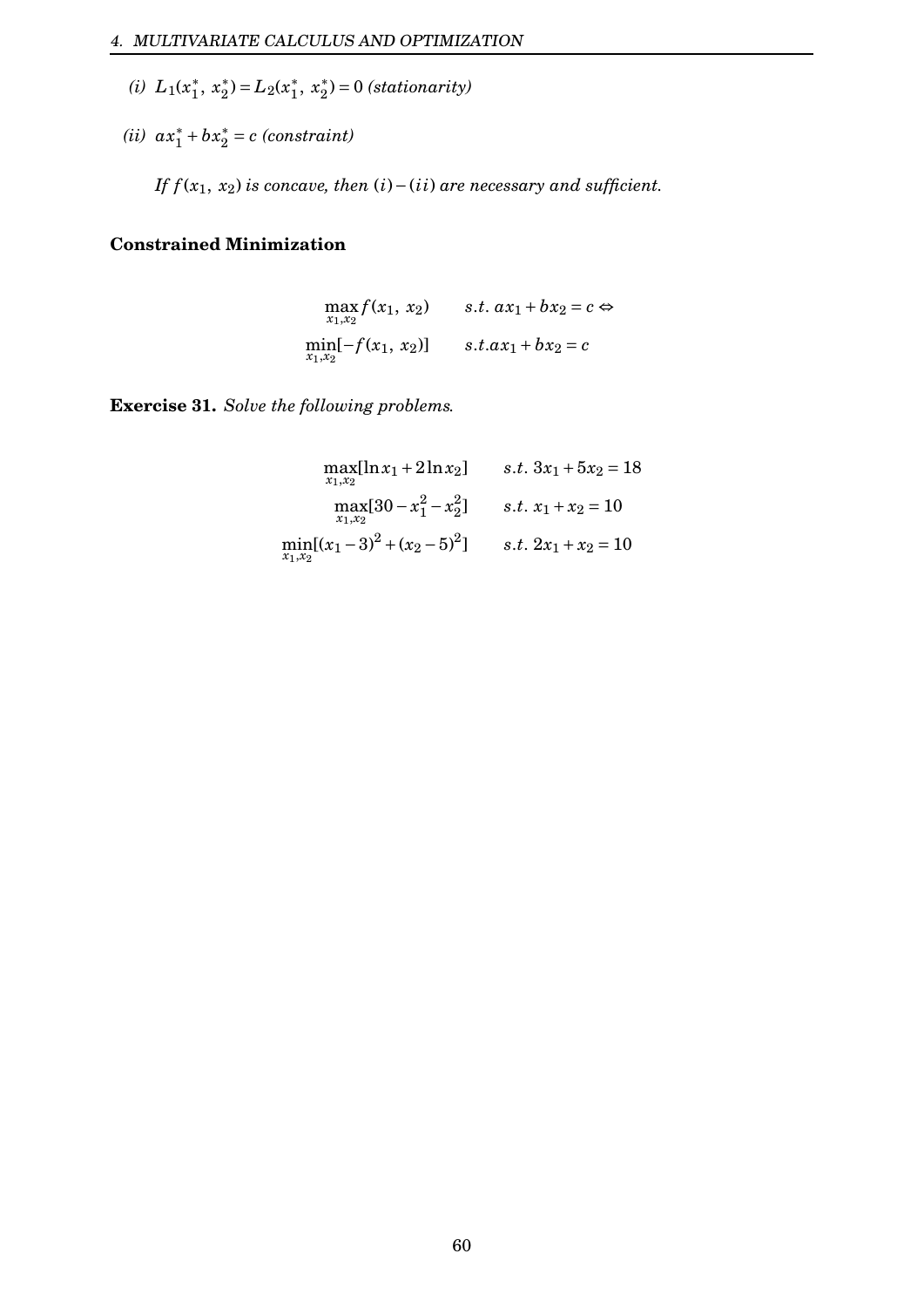- (*i*)  $L_1(x_1^*)$  $\frac{1}{1}$ ,  $x_2^*$ <sup>\*</sup><sub>2</sub> $) = L_2(x_1^*)$  $x_1^*, x_2^*$  $x_2^*$ ) = 0 *(stationarity)*
- $(iii)$   $ax_1^* + bx_2^* = c$  *(constraint)*

*If*  $f(x_1, x_2)$  *is concave, then* (*i*)−(*ii*) *are necessary and sufficient.* 

#### **Constrained Minimization**

$$
\max_{x_1, x_2} f(x_1, x_2) \qquad s.t. \ ax_1 + bx_2 = c \Leftrightarrow
$$
  
\n
$$
\min_{x_1, x_2} [-f(x_1, x_2)] \qquad s.t. ax_1 + bx_2 = c
$$

**Exercise 31.** *Solve the following problems.*

$$
\begin{aligned}\n\max_{x_1, x_2} [\ln x_1 + 2 \ln x_2] & s.t. \ 3x_1 + 5x_2 &= 18 \\
\max_{x_1, x_2} [30 - x_1^2 - x_2^2] & s.t. \ x_1 + x_2 &= 10 \\
\min_{x_1, x_2} [(x_1 - 3)^2 + (x_2 - 5)^2] & s.t. \ 2x_1 + x_2 &= 10\n\end{aligned}
$$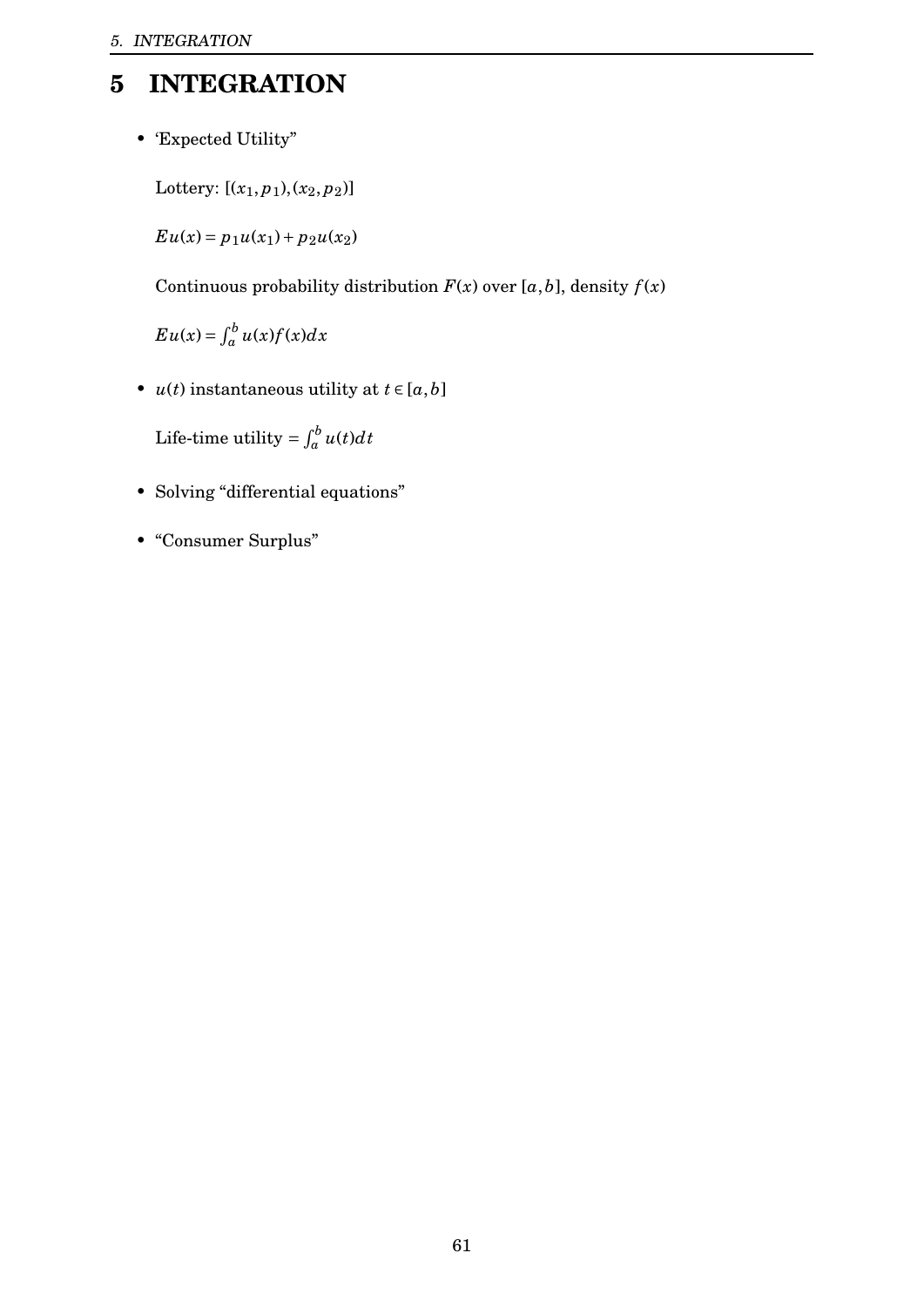# <span id="page-61-0"></span>**5 INTEGRATION**

• 'Expected Utility"

Lottery:  $[(x_1, p_1), (x_2, p_2)]$ 

 $E u(x) = p_1 u(x_1) + p_2 u(x_2)$ 

Continuous probability distribution  $F(x)$  over  $[a, b]$ , density  $f(x)$ 

 $E u(x) = \int_a^b u(x) f(x) dx$ 

• *u*(*t*) instantaneous utility at  $t \in [a, b]$ 

Life-time utility =  $\int_a^b u(t) dt$ 

- Solving "differential equations"
- "Consumer Surplus"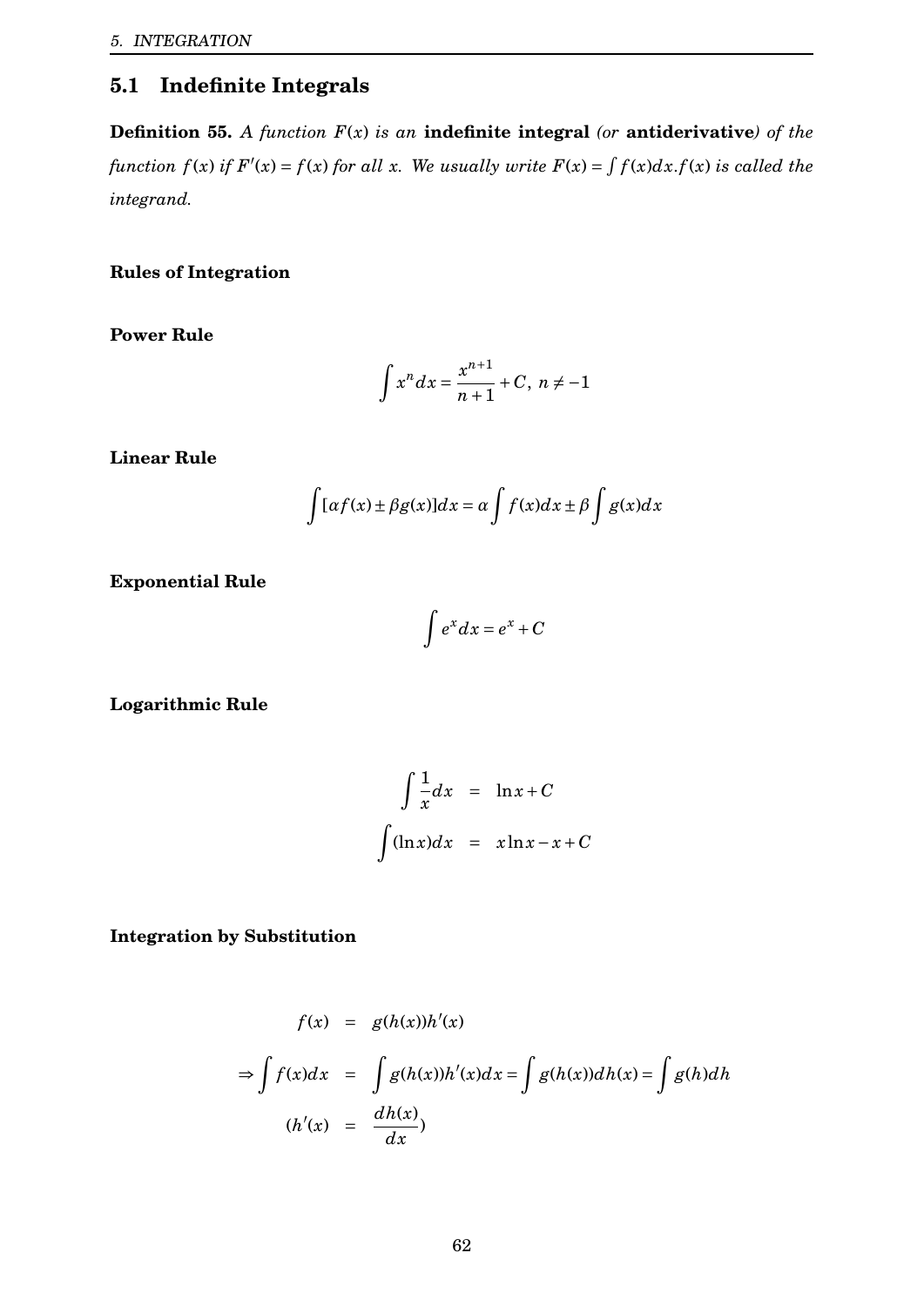# <span id="page-62-0"></span>**5.1 Indefinite Integrals**

**Definition 55.** *A function F*(*x*) *is an* **indefinite integral** *(or* **antiderivative***) of the* function  $f(x)$  if  $F'(x) = f(x)$  for all x. We usually write  $F(x) = \int f(x)dx.f(x)$  is called the *integrand.*

## **Rules of Integration**

**Power Rule**

$$
\int x^n dx = \frac{x^{n+1}}{n+1} + C, \ n \neq -1
$$

**Linear Rule**

$$
\int [\alpha f(x) \pm \beta g(x)]dx = \alpha \int f(x)dx \pm \beta \int g(x)dx
$$

**Exponential Rule**

$$
\int e^x dx = e^x + C
$$

**Logarithmic Rule**

$$
\int \frac{1}{x} dx = \ln x + C
$$

$$
\int (\ln x) dx = x \ln x - x + C
$$

**Integration by Substitution**

$$
f(x) = g(h(x))h'(x)
$$
  
\n
$$
\Rightarrow \int f(x)dx = \int g(h(x))h'(x)dx = \int g(h(x))dh(x) = \int g(h)dh
$$
  
\n
$$
(h'(x) = \frac{dh(x)}{dx})
$$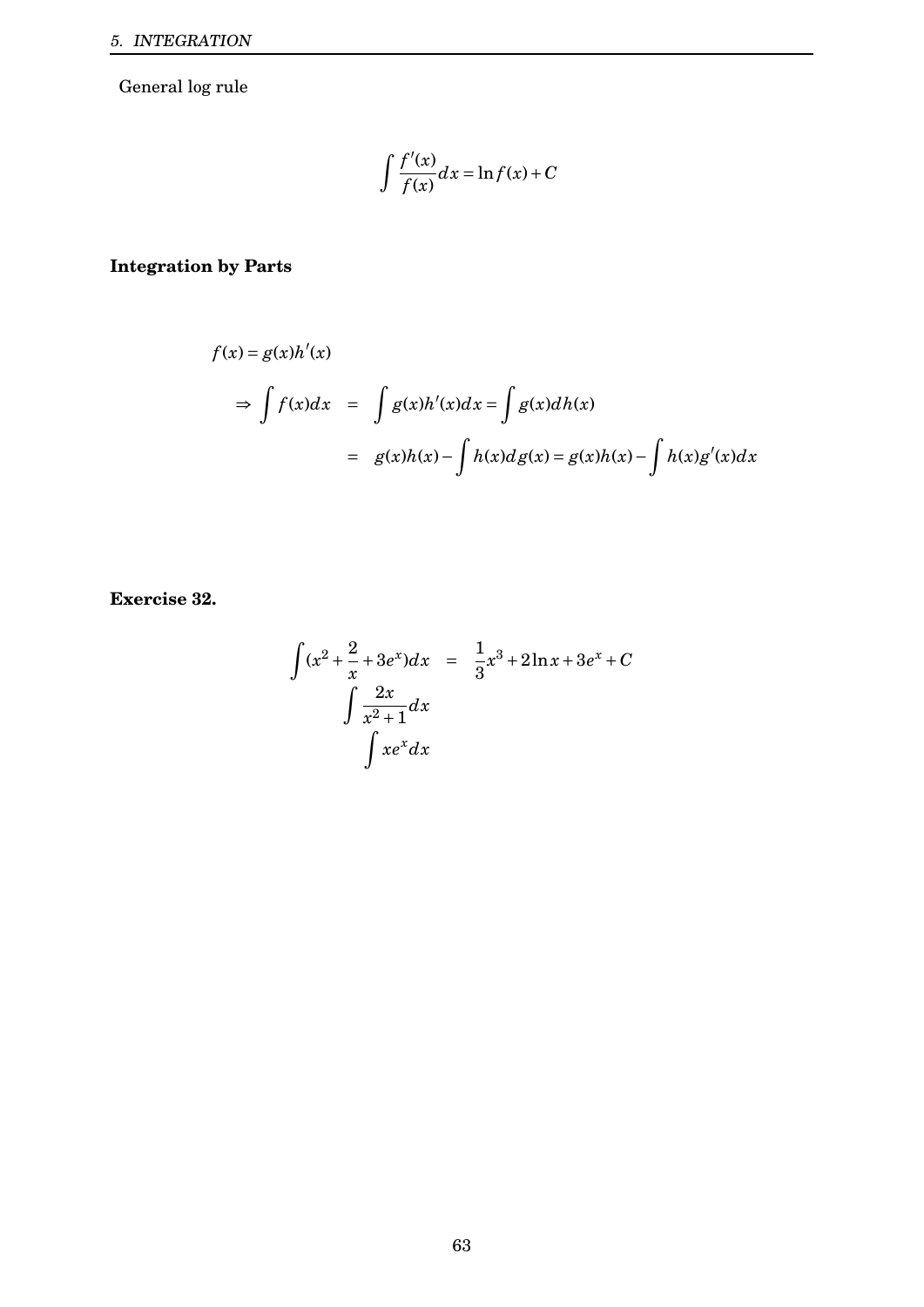General log rule

$$
\int \frac{f'(x)}{f(x)} dx = \ln f(x) + C
$$

# **Integration by Parts**

$$
f(x) = g(x)h'(x)
$$
  
\n
$$
\Rightarrow \int f(x)dx = \int g(x)h'(x)dx = \int g(x)dh(x)
$$
  
\n
$$
= g(x)h(x) - \int h(x)dg(x) = g(x)h(x) - \int h(x)g'(x)dx
$$

**Exercise 32.**

$$
\int (x^2 + \frac{2}{x} + 3e^x) dx = \frac{1}{3}x^3 + 2\ln x + 3e^x + C
$$

$$
\int \frac{2x}{x^2 + 1} dx
$$

$$
\int xe^x dx
$$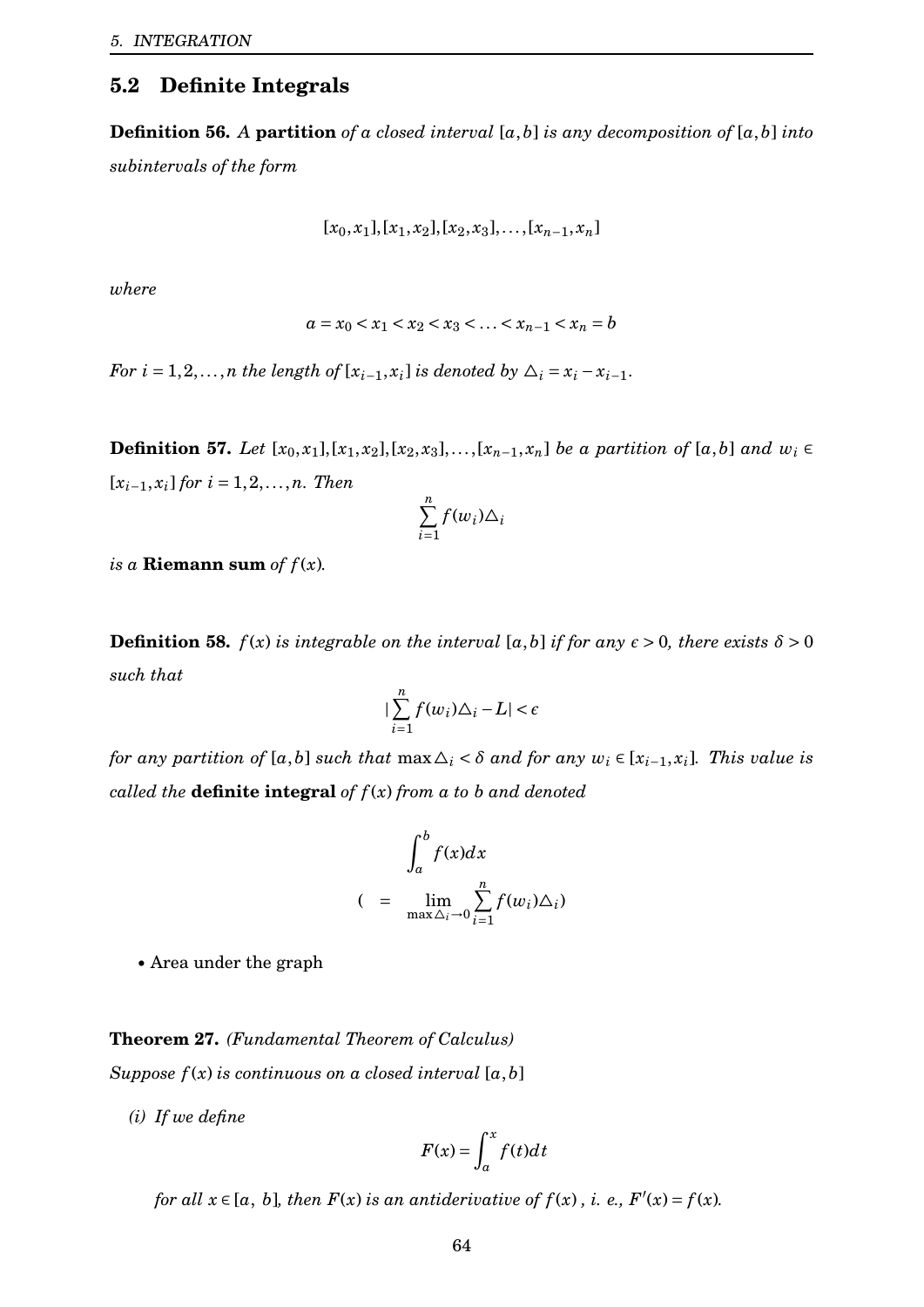## <span id="page-64-0"></span>**5.2 Definite Integrals**

**Definition 56.** *A* **partition** *of a closed interval* [*a*,*b*] *is any decomposition of* [*a*,*b*] *into subintervals of the form*

$$
[x_0, x_1], [x_1, x_2], [x_2, x_3], \ldots, [x_{n-1}, x_n]
$$

*where*

$$
a = x_0 < x_1 < x_2 < x_3 < \ldots < x_{n-1} < x_n = b
$$

*For*  $i = 1, 2, \ldots, n$  *the length of*  $[x_{i-1}, x_i]$  *is denoted by*  $\Delta_i = x_i - x_{i-1}$ .

**Definition 57.** *Let*  $[x_0, x_1], [x_1, x_2], [x_2, x_3], \ldots, [x_{n-1}, x_n]$  *be a partition of*  $[a, b]$  *and*  $w_i$  ∈  $[x_{i-1}, x_i]$  *for*  $i = 1, 2, ..., n$ *. Then* 

$$
\sum_{i=1}^n f(w_i) \triangle_i
$$

*is a* **Riemann** sum *of*  $f(x)$ *.* 

**Definition 58.**  $f(x)$  *is integrable on the interval* [ $a$ , $b$ ] *if for any*  $\epsilon > 0$ *, there exists*  $\delta > 0$ *such that*

$$
|\sum_{i=1}^n f(w_i)\Delta_i - L| < \epsilon
$$

*for any partition of* [*a*,*b*] *such that*  $\max \Delta_i < \delta$  *and for any*  $w_i \in [x_{i-1}, x_i]$ *. This value is called the* **definite integral** *of f* (*x*) *from a to b and denoted*

$$
\int_{a}^{b} f(x)dx
$$
  

$$
(\quad = \quad \lim_{\max \Delta_{i} \to 0} \sum_{i=1}^{n} f(w_{i})\Delta_{i})
$$

• Area under the graph

#### **Theorem 27.** *(Fundamental Theorem of Calculus)*

*Suppose*  $f(x)$  *is continuous on a closed interval*  $[a, b]$ 

*(i) If we define*

$$
F(x) = \int_{a}^{x} f(t)dt
$$

*for all*  $x \in [a, b]$ *, then*  $F(x)$  *is an antiderivative of*  $f(x)$ *, i. e.,*  $F'(x) = f(x)$ *.*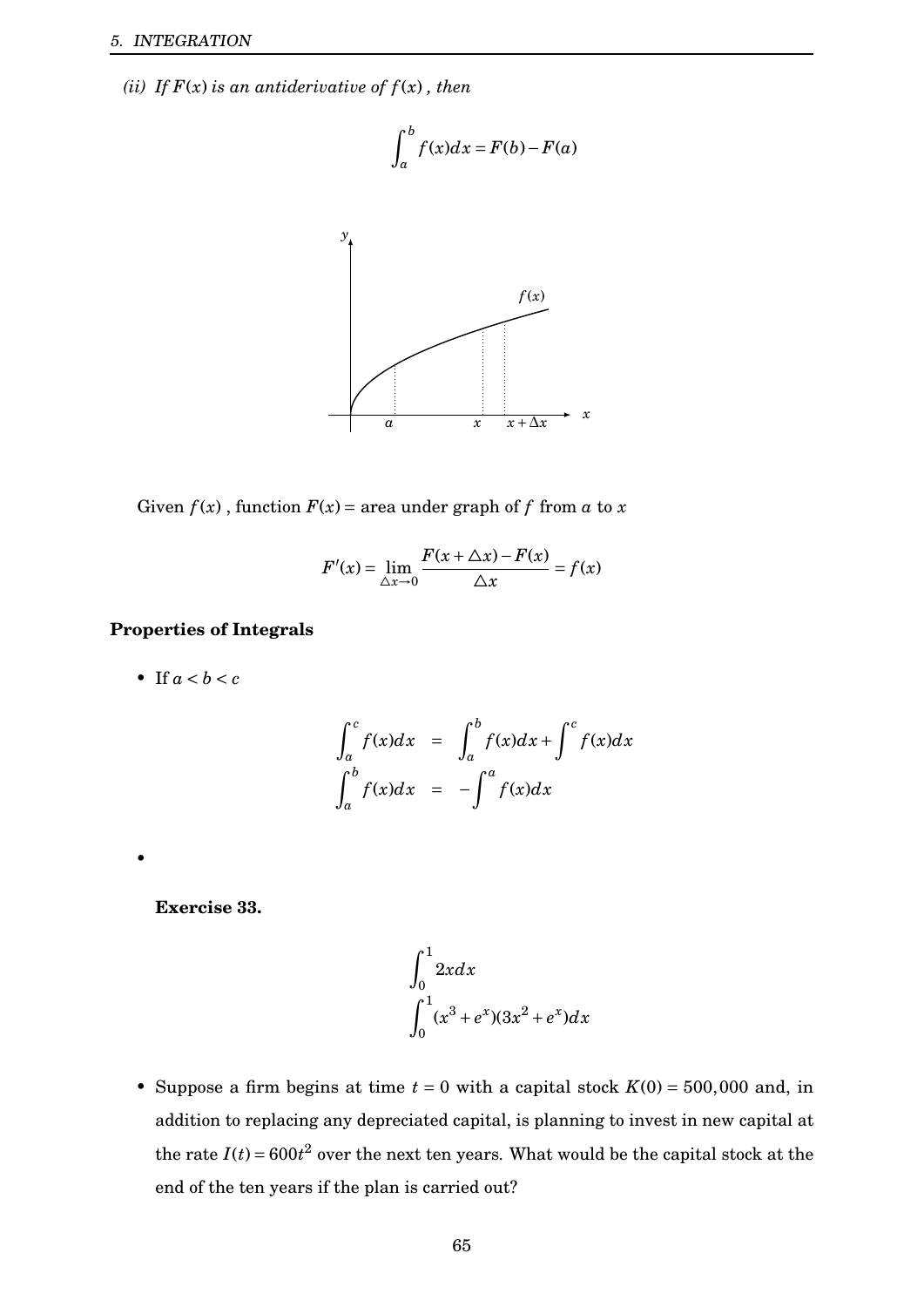*(ii) If*  $F(x)$  *is an antiderivative of*  $f(x)$ *, then* 

$$
\int_a^b f(x)dx = F(b) - F(a)
$$



Given  $f(x)$ , function  $F(x) = \text{area under graph of } f \text{ from } a \text{ to } x$ 

$$
F'(x) = \lim_{\Delta x \to 0} \frac{F(x + \Delta x) - F(x)}{\Delta x} = f(x)
$$

### **Properties of Integrals**

• If  $a < b < c$ 

$$
\int_{a}^{c} f(x)dx = \int_{a}^{b} f(x)dx + \int_{c}^{c} f(x)dx
$$

$$
\int_{a}^{b} f(x)dx = -\int_{a}^{a} f(x)dx
$$

**Exercise 33.**

•

$$
\int_0^1 2x dx
$$
  

$$
\int_0^1 (x^3 + e^x)(3x^2 + e^x) dx
$$

• Suppose a firm begins at time  $t = 0$  with a capital stock  $K(0) = 500,000$  and, in addition to replacing any depreciated capital, is planning to invest in new capital at the rate  $I(t) = 600t^2$  over the next ten years. What would be the capital stock at the end of the ten years if the plan is carried out?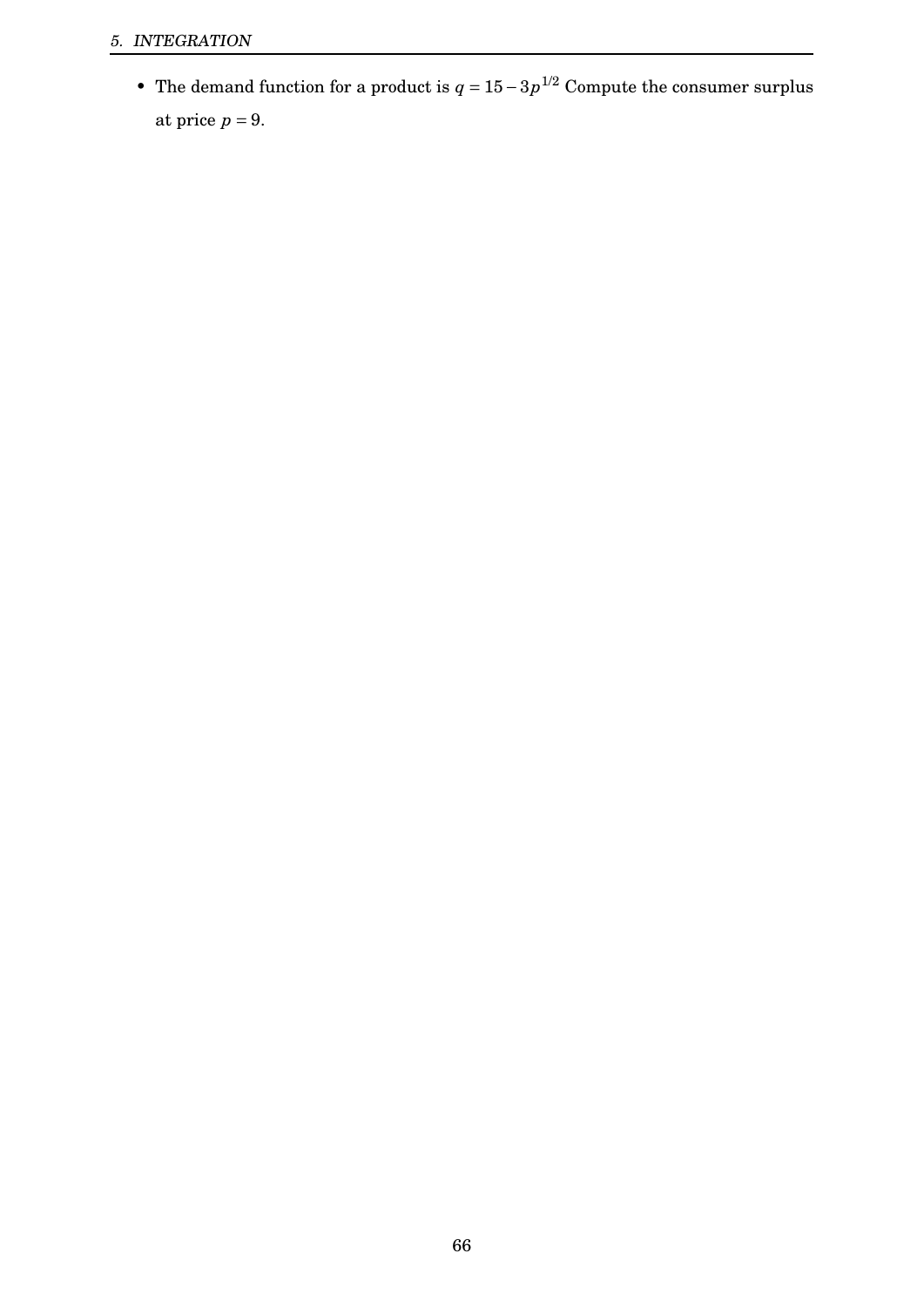• The demand function for a product is  $q = 15 - 3p^{1/2}$  Compute the consumer surplus at price  $p = 9$ .